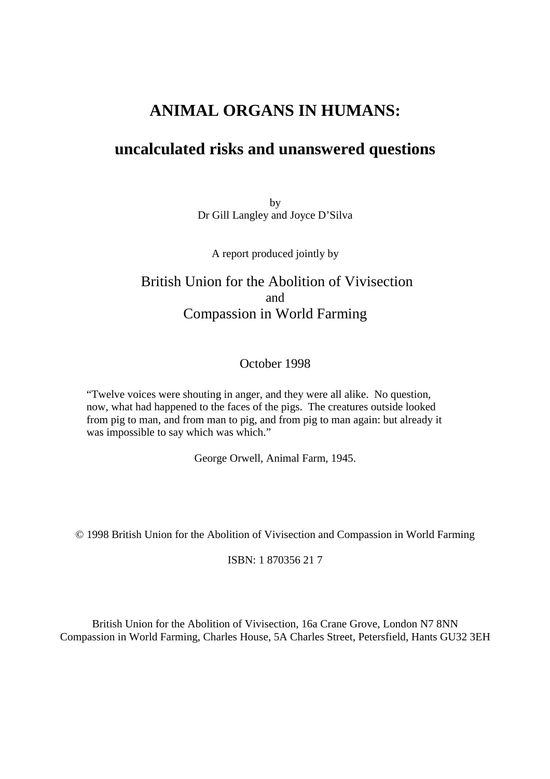# **ANIMAL ORGANS IN HUMANS:**

# **uncalculated risks and unanswered questions**

by Dr Gill Langley and Joyce D'Silva

A report produced jointly by

# British Union for the Abolition of Vivisection and Compassion in World Farming

## October 1998

"Twelve voices were shouting in anger, and they were all alike. No question, now, what had happened to the faces of the pigs. The creatures outside looked from pig to man, and from man to pig, and from pig to man again: but already it was impossible to say which was which."

George Orwell, Animal Farm, 1945.

© 1998 British Union for the Abolition of Vivisection and Compassion in World Farming

ISBN: 1 870356 21 7

British Union for the Abolition of Vivisection, 16a Crane Grove, London N7 8NN Compassion in World Farming, Charles House, 5A Charles Street, Petersfield, Hants GU32 3EH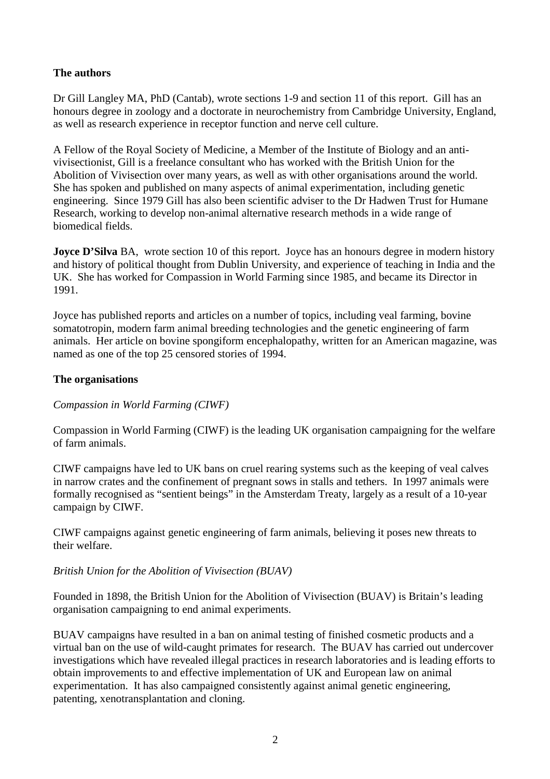## **The authors**

Dr Gill Langley MA, PhD (Cantab), wrote sections 1-9 and section 11 of this report. Gill has an honours degree in zoology and a doctorate in neurochemistry from Cambridge University, England, as well as research experience in receptor function and nerve cell culture.

A Fellow of the Royal Society of Medicine, a Member of the Institute of Biology and an antivivisectionist, Gill is a freelance consultant who has worked with the British Union for the Abolition of Vivisection over many years, as well as with other organisations around the world. She has spoken and published on many aspects of animal experimentation, including genetic engineering. Since 1979 Gill has also been scientific adviser to the Dr Hadwen Trust for Humane Research, working to develop non-animal alternative research methods in a wide range of biomedical fields.

**Joyce D'Silva** BA, wrote section 10 of this report. Joyce has an honours degree in modern history and history of political thought from Dublin University, and experience of teaching in India and the UK. She has worked for Compassion in World Farming since 1985, and became its Director in 1991.

Joyce has published reports and articles on a number of topics, including veal farming, bovine somatotropin, modern farm animal breeding technologies and the genetic engineering of farm animals. Her article on bovine spongiform encephalopathy, written for an American magazine, was named as one of the top 25 censored stories of 1994.

## **The organisations**

## *Compassion in World Farming (CIWF)*

Compassion in World Farming (CIWF) is the leading UK organisation campaigning for the welfare of farm animals.

CIWF campaigns have led to UK bans on cruel rearing systems such as the keeping of veal calves in narrow crates and the confinement of pregnant sows in stalls and tethers. In 1997 animals were formally recognised as "sentient beings" in the Amsterdam Treaty, largely as a result of a 10-year campaign by CIWF.

CIWF campaigns against genetic engineering of farm animals, believing it poses new threats to their welfare.

#### *British Union for the Abolition of Vivisection (BUAV)*

Founded in 1898, the British Union for the Abolition of Vivisection (BUAV) is Britain's leading organisation campaigning to end animal experiments.

BUAV campaigns have resulted in a ban on animal testing of finished cosmetic products and a virtual ban on the use of wild-caught primates for research. The BUAV has carried out undercover investigations which have revealed illegal practices in research laboratories and is leading efforts to obtain improvements to and effective implementation of UK and European law on animal experimentation. It has also campaigned consistently against animal genetic engineering, patenting, xenotransplantation and cloning.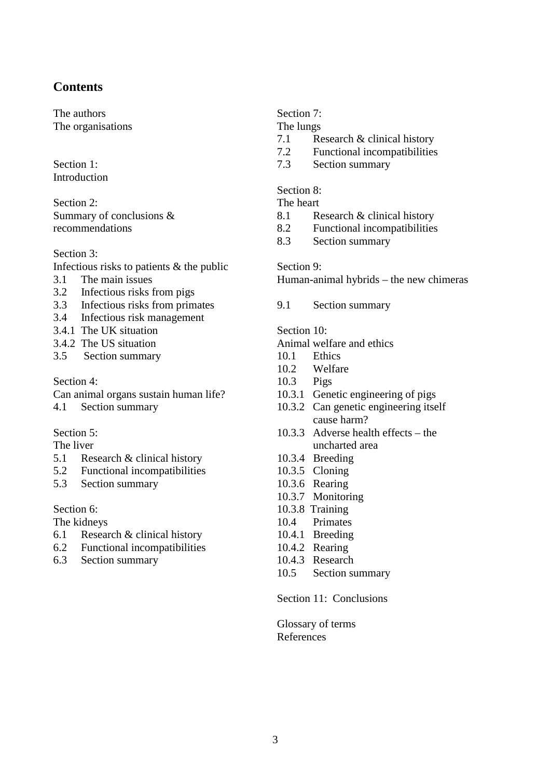## **Contents**

The authors The organisations

**Introduction** 

Section 2: The heart Summary of conclusions & recommendations

Section 3:

- Infectious risks to patients & the public Section 9:
- 3.1 The main issues
- 3.2 Infectious risks from pigs
- 3.3 Infectious risks from primates 9.1 Section summary
- 3.4 Infectious risk management
- 3.4.1 The UK situation Section 10:
- 
- 3.5 Section summary 10.1 Ethics

Can animal organs sustain human life? 10.3.1 Genetic engineering of pigs

## Section 5:

The liver

- 5.1 Research & clinical history 10.3.4 Breeding
- 5.2 Functional incompatibilities 10.3.5 Cloning
- 5.3 Section summary 10.3.6 Rearing

- 6.1 Research & clinical history 10.4.1 Breeding
- 6.2 Functional incompatibilities 10.4.2 Rearing
- 6.3 Section summary 10.4.3 Research

## Section 7:

The lungs

- 7.1 Research & clinical history
- 7.2 Functional incompatibilities
- Section 1: 2.3 Section summary

#### Section 8:

- 8.1 Research & clinical history
- 8.2 Functional incompatibilities
- 8.3 Section summary

Human-animal hybrids – the new chimeras

- 3.4.2 The US situation Animal welfare and ethics
	-
	- 10.2 Welfare
- Section 4: 10.3 Pigs
	-
- 4.1 Section summary 10.3.2 Can genetic engineering itself cause harm?
	- 10.3.3 Adverse health effects the uncharted area
	-
	-
	-
	- 10.3.7 Monitoring
- Section 6: 10.3.8 Training
- The kidneys 10.4 Primates
	-
	-
	-
	- 10.5 Section summary

## Section 11: Conclusions

Glossary of terms References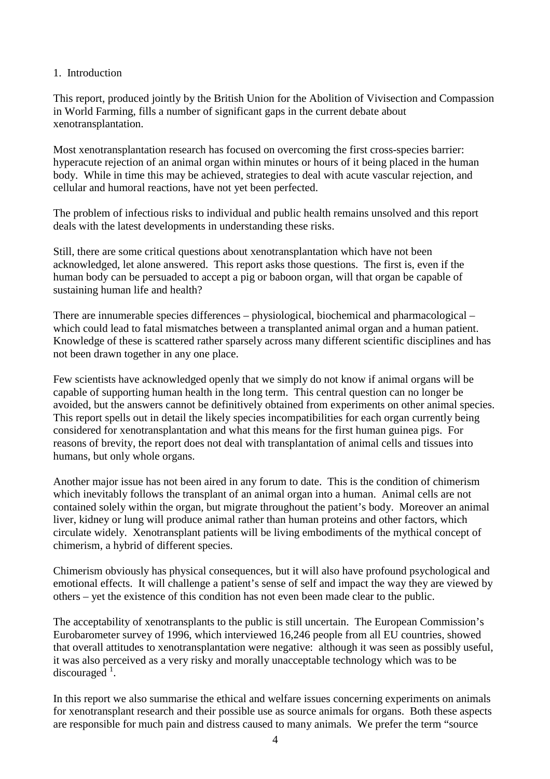#### 1. Introduction

This report, produced jointly by the British Union for the Abolition of Vivisection and Compassion in World Farming, fills a number of significant gaps in the current debate about xenotransplantation.

Most xenotransplantation research has focused on overcoming the first cross-species barrier: hyperacute rejection of an animal organ within minutes or hours of it being placed in the human body. While in time this may be achieved, strategies to deal with acute vascular rejection, and cellular and humoral reactions, have not yet been perfected.

The problem of infectious risks to individual and public health remains unsolved and this report deals with the latest developments in understanding these risks.

Still, there are some critical questions about xenotransplantation which have not been acknowledged, let alone answered. This report asks those questions. The first is, even if the human body can be persuaded to accept a pig or baboon organ, will that organ be capable of sustaining human life and health?

There are innumerable species differences – physiological, biochemical and pharmacological – which could lead to fatal mismatches between a transplanted animal organ and a human patient. Knowledge of these is scattered rather sparsely across many different scientific disciplines and has not been drawn together in any one place.

Few scientists have acknowledged openly that we simply do not know if animal organs will be capable of supporting human health in the long term. This central question can no longer be avoided, but the answers cannot be definitively obtained from experiments on other animal species. This report spells out in detail the likely species incompatibilities for each organ currently being considered for xenotransplantation and what this means for the first human guinea pigs. For reasons of brevity, the report does not deal with transplantation of animal cells and tissues into humans, but only whole organs.

Another major issue has not been aired in any forum to date. This is the condition of chimerism which inevitably follows the transplant of an animal organ into a human. Animal cells are not contained solely within the organ, but migrate throughout the patient's body. Moreover an animal liver, kidney or lung will produce animal rather than human proteins and other factors, which circulate widely. Xenotransplant patients will be living embodiments of the mythical concept of chimerism, a hybrid of different species.

Chimerism obviously has physical consequences, but it will also have profound psychological and emotional effects. It will challenge a patient's sense of self and impact the way they are viewed by others – yet the existence of this condition has not even been made clear to the public.

The acceptability of xenotransplants to the public is still uncertain. The European Commission's Eurobarometer survey of 1996, which interviewed 16,246 people from all EU countries, showed that overall attitudes to xenotransplantation were negative: although it was seen as possibly useful, it was also perceived as a very risky and morally unacceptable technology which was to be discouraged  $^{1}$ .

In this report we also summarise the ethical and welfare issues concerning experiments on animals for xenotransplant research and their possible use as source animals for organs. Both these aspects are responsible for much pain and distress caused to many animals. We prefer the term "source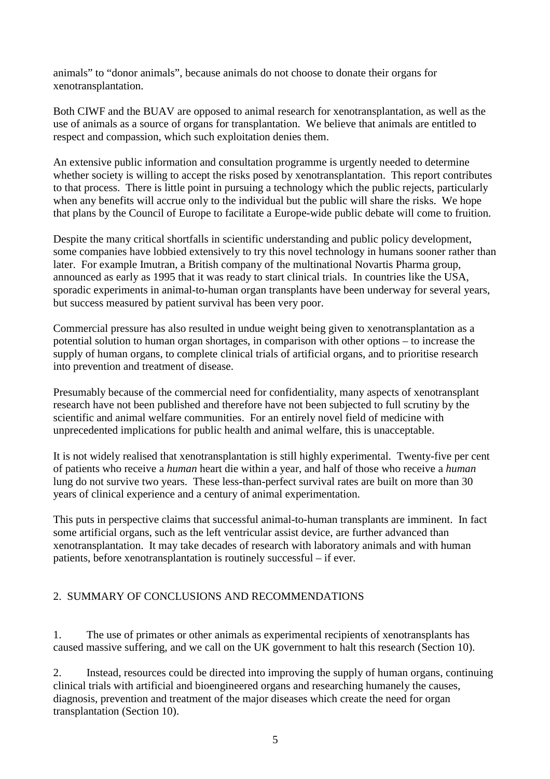animals" to "donor animals", because animals do not choose to donate their organs for xenotransplantation.

Both CIWF and the BUAV are opposed to animal research for xenotransplantation, as well as the use of animals as a source of organs for transplantation. We believe that animals are entitled to respect and compassion, which such exploitation denies them.

An extensive public information and consultation programme is urgently needed to determine whether society is willing to accept the risks posed by xenotransplantation. This report contributes to that process. There is little point in pursuing a technology which the public rejects, particularly when any benefits will accrue only to the individual but the public will share the risks. We hope that plans by the Council of Europe to facilitate a Europe-wide public debate will come to fruition.

Despite the many critical shortfalls in scientific understanding and public policy development, some companies have lobbied extensively to try this novel technology in humans sooner rather than later. For example Imutran, a British company of the multinational Novartis Pharma group, announced as early as 1995 that it was ready to start clinical trials. In countries like the USA, sporadic experiments in animal-to-human organ transplants have been underway for several years, but success measured by patient survival has been very poor.

Commercial pressure has also resulted in undue weight being given to xenotransplantation as a potential solution to human organ shortages, in comparison with other options – to increase the supply of human organs, to complete clinical trials of artificial organs, and to prioritise research into prevention and treatment of disease.

Presumably because of the commercial need for confidentiality, many aspects of xenotransplant research have not been published and therefore have not been subjected to full scrutiny by the scientific and animal welfare communities. For an entirely novel field of medicine with unprecedented implications for public health and animal welfare, this is unacceptable.

It is not widely realised that xenotransplantation is still highly experimental. Twenty-five per cent of patients who receive a *human* heart die within a year, and half of those who receive a *human* lung do not survive two years. These less-than-perfect survival rates are built on more than 30 years of clinical experience and a century of animal experimentation.

This puts in perspective claims that successful animal-to-human transplants are imminent. In fact some artificial organs, such as the left ventricular assist device, are further advanced than xenotransplantation. It may take decades of research with laboratory animals and with human patients, before xenotransplantation is routinely successful – if ever.

## 2. SUMMARY OF CONCLUSIONS AND RECOMMENDATIONS

1. The use of primates or other animals as experimental recipients of xenotransplants has caused massive suffering, and we call on the UK government to halt this research (Section 10).

2. Instead, resources could be directed into improving the supply of human organs, continuing clinical trials with artificial and bioengineered organs and researching humanely the causes, diagnosis, prevention and treatment of the major diseases which create the need for organ transplantation (Section 10).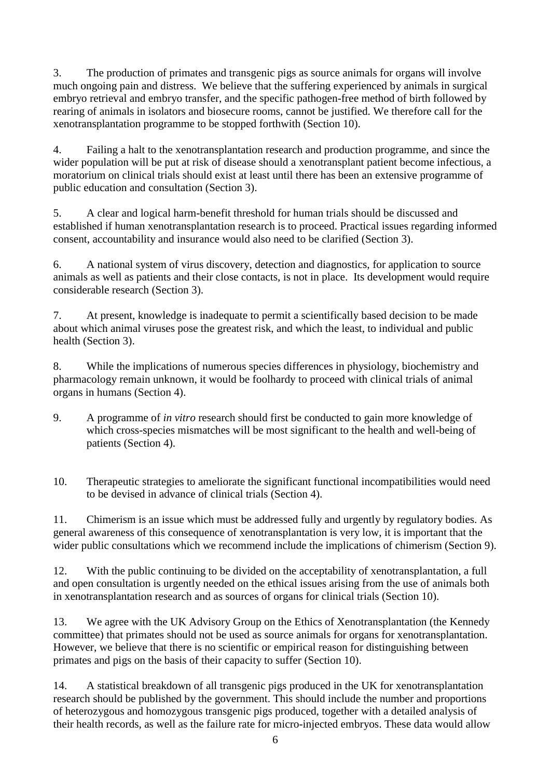3. The production of primates and transgenic pigs as source animals for organs will involve much ongoing pain and distress. We believe that the suffering experienced by animals in surgical embryo retrieval and embryo transfer, and the specific pathogen-free method of birth followed by rearing of animals in isolators and biosecure rooms, cannot be justified. We therefore call for the xenotransplantation programme to be stopped forthwith (Section 10).

4. Failing a halt to the xenotransplantation research and production programme, and since the wider population will be put at risk of disease should a xenotransplant patient become infectious, a moratorium on clinical trials should exist at least until there has been an extensive programme of public education and consultation (Section 3).

5. A clear and logical harm-benefit threshold for human trials should be discussed and established if human xenotransplantation research is to proceed. Practical issues regarding informed consent, accountability and insurance would also need to be clarified (Section 3).

6. A national system of virus discovery, detection and diagnostics, for application to source animals as well as patients and their close contacts, is not in place. Its development would require considerable research (Section 3).

7. At present, knowledge is inadequate to permit a scientifically based decision to be made about which animal viruses pose the greatest risk, and which the least, to individual and public health (Section 3).

8. While the implications of numerous species differences in physiology, biochemistry and pharmacology remain unknown, it would be foolhardy to proceed with clinical trials of animal organs in humans (Section 4).

9. A programme of *in vitro* research should first be conducted to gain more knowledge of which cross-species mismatches will be most significant to the health and well-being of patients (Section 4).

10. Therapeutic strategies to ameliorate the significant functional incompatibilities would need to be devised in advance of clinical trials (Section 4).

11. Chimerism is an issue which must be addressed fully and urgently by regulatory bodies. As general awareness of this consequence of xenotransplantation is very low, it is important that the wider public consultations which we recommend include the implications of chimerism (Section 9).

12. With the public continuing to be divided on the acceptability of xenotransplantation, a full and open consultation is urgently needed on the ethical issues arising from the use of animals both in xenotransplantation research and as sources of organs for clinical trials (Section 10).

13. We agree with the UK Advisory Group on the Ethics of Xenotransplantation (the Kennedy committee) that primates should not be used as source animals for organs for xenotransplantation. However, we believe that there is no scientific or empirical reason for distinguishing between primates and pigs on the basis of their capacity to suffer (Section 10).

14. A statistical breakdown of all transgenic pigs produced in the UK for xenotransplantation research should be published by the government. This should include the number and proportions of heterozygous and homozygous transgenic pigs produced, together with a detailed analysis of their health records, as well as the failure rate for micro-injected embryos. These data would allow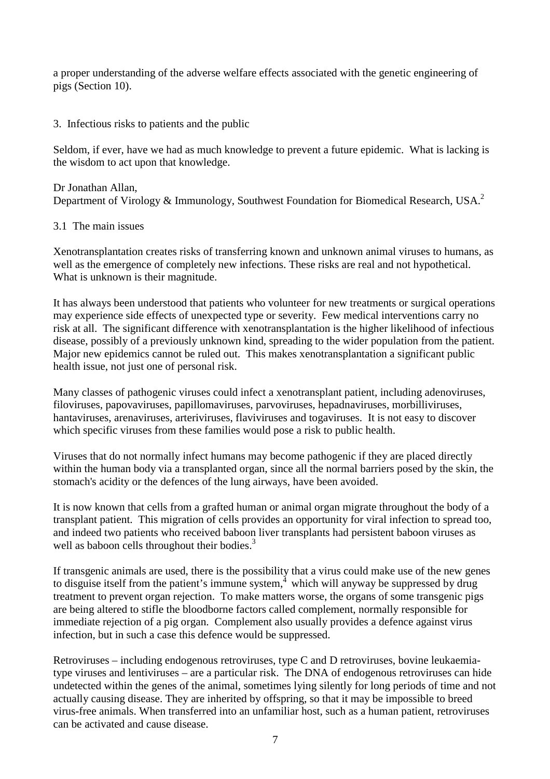a proper understanding of the adverse welfare effects associated with the genetic engineering of pigs (Section 10).

## 3. Infectious risks to patients and the public

Seldom, if ever, have we had as much knowledge to prevent a future epidemic. What is lacking is the wisdom to act upon that knowledge.

Dr Jonathan Allan, Department of Virology & Immunology, Southwest Foundation for Biomedical Research, USA.<sup>2</sup>

## 3.1 The main issues

Xenotransplantation creates risks of transferring known and unknown animal viruses to humans, as well as the emergence of completely new infections. These risks are real and not hypothetical. What is unknown is their magnitude.

It has always been understood that patients who volunteer for new treatments or surgical operations may experience side effects of unexpected type or severity. Few medical interventions carry no risk at all. The significant difference with xenotransplantation is the higher likelihood of infectious disease, possibly of a previously unknown kind, spreading to the wider population from the patient. Major new epidemics cannot be ruled out. This makes xenotransplantation a significant public health issue, not just one of personal risk.

Many classes of pathogenic viruses could infect a xenotransplant patient, including adenoviruses, filoviruses, papovaviruses, papillomaviruses, parvoviruses, hepadnaviruses, morbilliviruses, hantaviruses, arenaviruses, arteriviruses, flaviviruses and togaviruses. It is not easy to discover which specific viruses from these families would pose a risk to public health.

Viruses that do not normally infect humans may become pathogenic if they are placed directly within the human body via a transplanted organ, since all the normal barriers posed by the skin, the stomach's acidity or the defences of the lung airways, have been avoided.

It is now known that cells from a grafted human or animal organ migrate throughout the body of a transplant patient. This migration of cells provides an opportunity for viral infection to spread too, and indeed two patients who received baboon liver transplants had persistent baboon viruses as well as baboon cells throughout their bodies.<sup>3</sup>

If transgenic animals are used, there is the possibility that a virus could make use of the new genes to disguise itself from the patient's immune system, $<sup>4</sup>$  which will anyway be suppressed by drug</sup> treatment to prevent organ rejection. To make matters worse, the organs of some transgenic pigs are being altered to stifle the bloodborne factors called complement, normally responsible for immediate rejection of a pig organ. Complement also usually provides a defence against virus infection, but in such a case this defence would be suppressed.

Retroviruses – including endogenous retroviruses, type C and D retroviruses, bovine leukaemiatype viruses and lentiviruses – are a particular risk. The DNA of endogenous retroviruses can hide undetected within the genes of the animal, sometimes lying silently for long periods of time and not actually causing disease. They are inherited by offspring, so that it may be impossible to breed virus-free animals. When transferred into an unfamiliar host, such as a human patient, retroviruses can be activated and cause disease.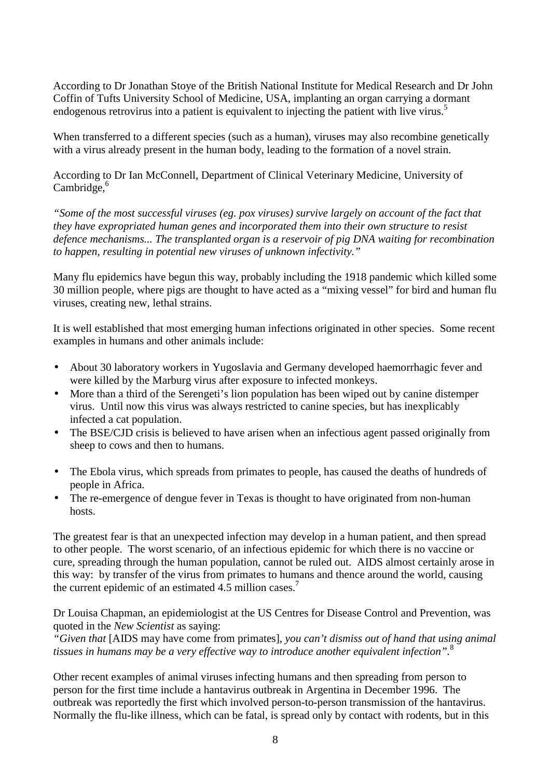According to Dr Jonathan Stoye of the British National Institute for Medical Research and Dr John Coffin of Tufts University School of Medicine, USA, implanting an organ carrying a dormant endogenous retrovirus into a patient is equivalent to injecting the patient with live virus.<sup>5</sup>

When transferred to a different species (such as a human), viruses may also recombine genetically with a virus already present in the human body, leading to the formation of a novel strain.

According to Dr Ian McConnell, Department of Clinical Veterinary Medicine, University of  $Cambridge<sup>6</sup>$ 

*"Some of the most successful viruses (eg. pox viruses) survive largely on account of the fact that they have expropriated human genes and incorporated them into their own structure to resist defence mechanisms... The transplanted organ is a reservoir of pig DNA waiting for recombination to happen, resulting in potential new viruses of unknown infectivity."*

Many flu epidemics have begun this way, probably including the 1918 pandemic which killed some 30 million people, where pigs are thought to have acted as a "mixing vessel" for bird and human flu viruses, creating new, lethal strains.

It is well established that most emerging human infections originated in other species. Some recent examples in humans and other animals include:

- About 30 laboratory workers in Yugoslavia and Germany developed haemorrhagic fever and were killed by the Marburg virus after exposure to infected monkeys.
- More than a third of the Serengeti's lion population has been wiped out by canine distemper virus. Until now this virus was always restricted to canine species, but has inexplicably infected a cat population.
- The BSE/CJD crisis is believed to have arisen when an infectious agent passed originally from sheep to cows and then to humans.
- The Ebola virus, which spreads from primates to people, has caused the deaths of hundreds of people in Africa.
- The re-emergence of dengue fever in Texas is thought to have originated from non-human hosts.

The greatest fear is that an unexpected infection may develop in a human patient, and then spread to other people. The worst scenario, of an infectious epidemic for which there is no vaccine or cure, spreading through the human population, cannot be ruled out. AIDS almost certainly arose in this way: by transfer of the virus from primates to humans and thence around the world, causing the current epidemic of an estimated 4.5 million cases.<sup>7</sup>

Dr Louisa Chapman, an epidemiologist at the US Centres for Disease Control and Prevention, was quoted in the *New Scientist* as saying:

*"Given that* [AIDS may have come from primates], *you can't dismiss out of hand that using animal tissues in humans may be a very effective way to introduce another equivalent infection".*<sup>8</sup>

Other recent examples of animal viruses infecting humans and then spreading from person to person for the first time include a hantavirus outbreak in Argentina in December 1996. The outbreak was reportedly the first which involved person-to-person transmission of the hantavirus. Normally the flu-like illness, which can be fatal, is spread only by contact with rodents, but in this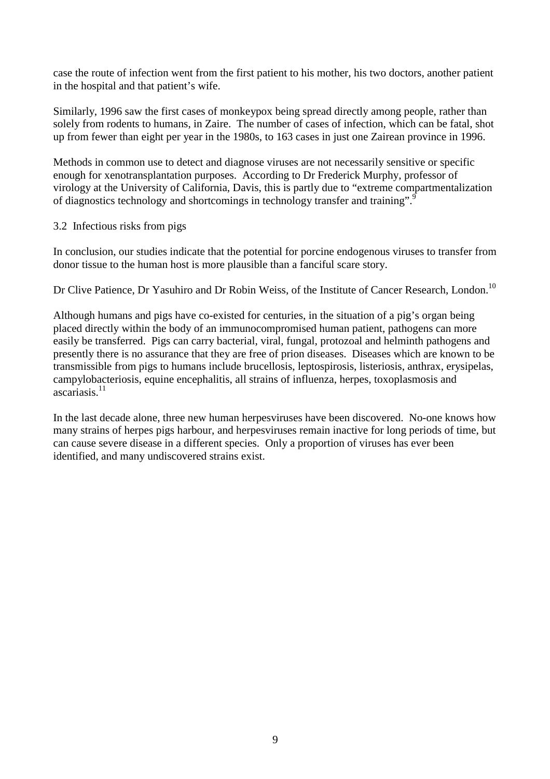case the route of infection went from the first patient to his mother, his two doctors, another patient in the hospital and that patient's wife.

Similarly, 1996 saw the first cases of monkeypox being spread directly among people, rather than solely from rodents to humans, in Zaire. The number of cases of infection, which can be fatal, shot up from fewer than eight per year in the 1980s, to 163 cases in just one Zairean province in 1996.

Methods in common use to detect and diagnose viruses are not necessarily sensitive or specific enough for xenotransplantation purposes. According to Dr Frederick Murphy, professor of virology at the University of California, Davis, this is partly due to "extreme compartmentalization of diagnostics technology and shortcomings in technology transfer and training".<sup>9</sup>

## 3.2 Infectious risks from pigs

In conclusion, our studies indicate that the potential for porcine endogenous viruses to transfer from donor tissue to the human host is more plausible than a fanciful scare story.

Dr Clive Patience, Dr Yasuhiro and Dr Robin Weiss, of the Institute of Cancer Research, London.<sup>10</sup>

Although humans and pigs have co-existed for centuries, in the situation of a pig's organ being placed directly within the body of an immunocompromised human patient, pathogens can more easily be transferred. Pigs can carry bacterial, viral, fungal, protozoal and helminth pathogens and presently there is no assurance that they are free of prion diseases. Diseases which are known to be transmissible from pigs to humans include brucellosis, leptospirosis, listeriosis, anthrax, erysipelas, campylobacteriosis, equine encephalitis, all strains of influenza, herpes, toxoplasmosis and ascariasis.11

In the last decade alone, three new human herpesviruses have been discovered. No-one knows how many strains of herpes pigs harbour, and herpesviruses remain inactive for long periods of time, but can cause severe disease in a different species. Only a proportion of viruses has ever been identified, and many undiscovered strains exist.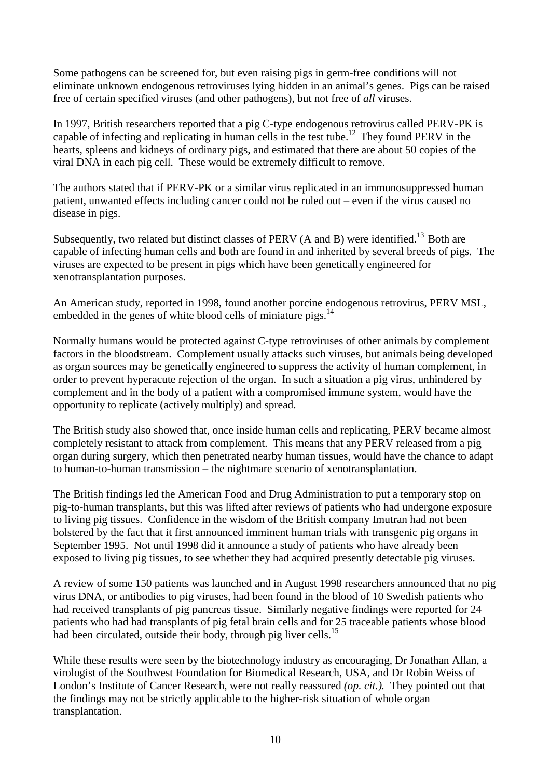Some pathogens can be screened for, but even raising pigs in germ-free conditions will not eliminate unknown endogenous retroviruses lying hidden in an animal's genes. Pigs can be raised free of certain specified viruses (and other pathogens), but not free of *all* viruses.

In 1997, British researchers reported that a pig C-type endogenous retrovirus called PERV-PK is capable of infecting and replicating in human cells in the test tube.<sup>12</sup> They found PERV in the hearts, spleens and kidneys of ordinary pigs, and estimated that there are about 50 copies of the viral DNA in each pig cell. These would be extremely difficult to remove.

The authors stated that if PERV-PK or a similar virus replicated in an immunosuppressed human patient, unwanted effects including cancer could not be ruled out – even if the virus caused no disease in pigs.

Subsequently, two related but distinct classes of PERV (A and B) were identified.<sup>13</sup> Both are capable of infecting human cells and both are found in and inherited by several breeds of pigs. The viruses are expected to be present in pigs which have been genetically engineered for xenotransplantation purposes.

An American study, reported in 1998, found another porcine endogenous retrovirus, PERV MSL, embedded in the genes of white blood cells of miniature pigs. $^{14}$ 

Normally humans would be protected against C-type retroviruses of other animals by complement factors in the bloodstream. Complement usually attacks such viruses, but animals being developed as organ sources may be genetically engineered to suppress the activity of human complement, in order to prevent hyperacute rejection of the organ. In such a situation a pig virus, unhindered by complement and in the body of a patient with a compromised immune system, would have the opportunity to replicate (actively multiply) and spread.

The British study also showed that, once inside human cells and replicating, PERV became almost completely resistant to attack from complement. This means that any PERV released from a pig organ during surgery, which then penetrated nearby human tissues, would have the chance to adapt to human-to-human transmission – the nightmare scenario of xenotransplantation.

The British findings led the American Food and Drug Administration to put a temporary stop on pig-to-human transplants, but this was lifted after reviews of patients who had undergone exposure to living pig tissues. Confidence in the wisdom of the British company Imutran had not been bolstered by the fact that it first announced imminent human trials with transgenic pig organs in September 1995. Not until 1998 did it announce a study of patients who have already been exposed to living pig tissues, to see whether they had acquired presently detectable pig viruses.

A review of some 150 patients was launched and in August 1998 researchers announced that no pig virus DNA, or antibodies to pig viruses, had been found in the blood of 10 Swedish patients who had received transplants of pig pancreas tissue. Similarly negative findings were reported for 24 patients who had had transplants of pig fetal brain cells and for 25 traceable patients whose blood had been circulated, outside their body, through pig liver cells.<sup>15</sup>

While these results were seen by the biotechnology industry as encouraging, Dr Jonathan Allan, a virologist of the Southwest Foundation for Biomedical Research, USA, and Dr Robin Weiss of London's Institute of Cancer Research, were not really reassured *(op. cit.).* They pointed out that the findings may not be strictly applicable to the higher-risk situation of whole organ transplantation.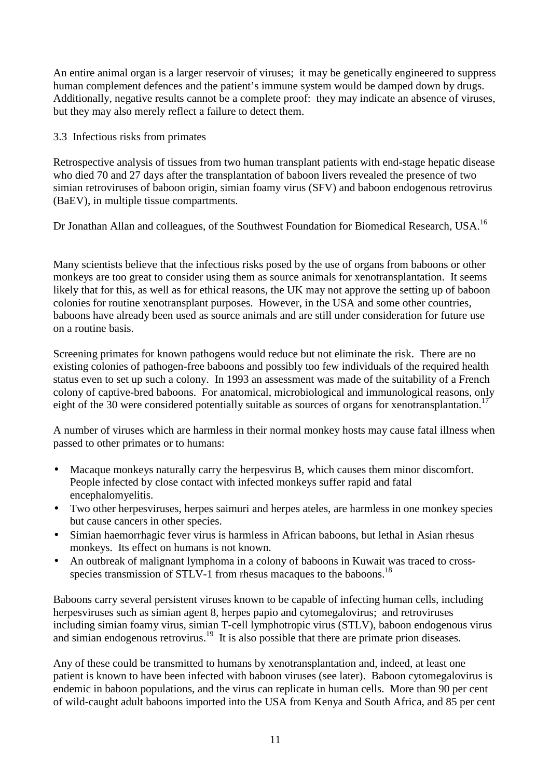An entire animal organ is a larger reservoir of viruses; it may be genetically engineered to suppress human complement defences and the patient's immune system would be damped down by drugs. Additionally, negative results cannot be a complete proof: they may indicate an absence of viruses, but they may also merely reflect a failure to detect them.

3.3 Infectious risks from primates

Retrospective analysis of tissues from two human transplant patients with end-stage hepatic disease who died 70 and 27 days after the transplantation of baboon livers revealed the presence of two simian retroviruses of baboon origin, simian foamy virus (SFV) and baboon endogenous retrovirus (BaEV), in multiple tissue compartments.

Dr Jonathan Allan and colleagues, of the Southwest Foundation for Biomedical Research, USA.<sup>16</sup>

Many scientists believe that the infectious risks posed by the use of organs from baboons or other monkeys are too great to consider using them as source animals for xenotransplantation. It seems likely that for this, as well as for ethical reasons, the UK may not approve the setting up of baboon colonies for routine xenotransplant purposes. However, in the USA and some other countries, baboons have already been used as source animals and are still under consideration for future use on a routine basis.

Screening primates for known pathogens would reduce but not eliminate the risk. There are no existing colonies of pathogen-free baboons and possibly too few individuals of the required health status even to set up such a colony. In 1993 an assessment was made of the suitability of a French colony of captive-bred baboons. For anatomical, microbiological and immunological reasons, only eight of the 30 were considered potentially suitable as sources of organs for xenotransplantation.<sup>17</sup>

A number of viruses which are harmless in their normal monkey hosts may cause fatal illness when passed to other primates or to humans:

- Macaque monkeys naturally carry the herpesvirus B, which causes them minor discomfort. People infected by close contact with infected monkeys suffer rapid and fatal encephalomyelitis.
- Two other herpesviruses, herpes saimuri and herpes ateles, are harmless in one monkey species but cause cancers in other species.
- Simian haemorrhagic fever virus is harmless in African baboons, but lethal in Asian rhesus monkeys. Its effect on humans is not known.
- An outbreak of malignant lymphoma in a colony of baboons in Kuwait was traced to crossspecies transmission of STLV-1 from rhesus macaques to the baboons.<sup>18</sup>

Baboons carry several persistent viruses known to be capable of infecting human cells, including herpesviruses such as simian agent 8, herpes papio and cytomegalovirus; and retroviruses including simian foamy virus, simian T-cell lymphotropic virus (STLV), baboon endogenous virus and simian endogenous retrovirus.<sup>19</sup> It is also possible that there are primate prion diseases.

Any of these could be transmitted to humans by xenotransplantation and, indeed, at least one patient is known to have been infected with baboon viruses (see later). Baboon cytomegalovirus is endemic in baboon populations, and the virus can replicate in human cells. More than 90 per cent of wild-caught adult baboons imported into the USA from Kenya and South Africa, and 85 per cent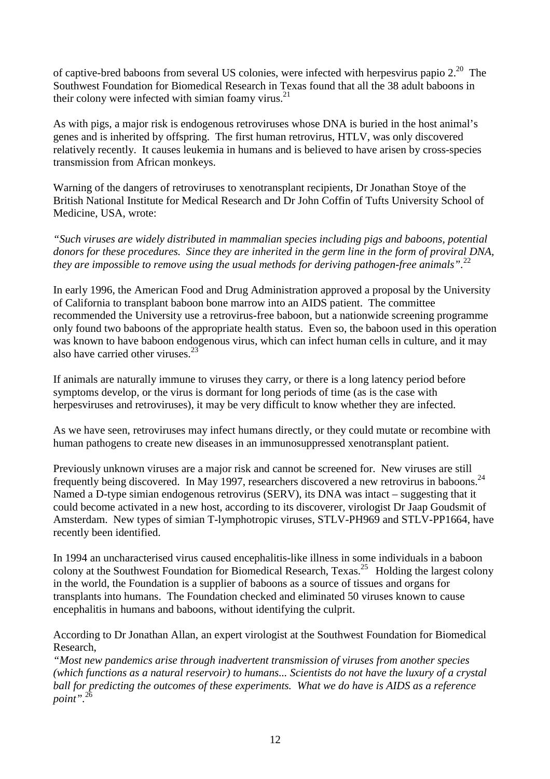of captive-bred baboons from several US colonies, were infected with herpesvirus papio  $2^{20}$ . The Southwest Foundation for Biomedical Research in Texas found that all the 38 adult baboons in their colony were infected with simian foamy virus. $21$ 

As with pigs, a major risk is endogenous retroviruses whose DNA is buried in the host animal's genes and is inherited by offspring. The first human retrovirus, HTLV, was only discovered relatively recently. It causes leukemia in humans and is believed to have arisen by cross-species transmission from African monkeys.

Warning of the dangers of retroviruses to xenotransplant recipients, Dr Jonathan Stoye of the British National Institute for Medical Research and Dr John Coffin of Tufts University School of Medicine, USA, wrote:

*"Such viruses are widely distributed in mammalian species including pigs and baboons, potential donors for these procedures. Since they are inherited in the germ line in the form of proviral DNA, they are impossible to remove using the usual methods for deriving pathogen-free animals".*<sup>22</sup>

In early 1996, the American Food and Drug Administration approved a proposal by the University of California to transplant baboon bone marrow into an AIDS patient. The committee recommended the University use a retrovirus-free baboon, but a nationwide screening programme only found two baboons of the appropriate health status. Even so, the baboon used in this operation was known to have baboon endogenous virus, which can infect human cells in culture, and it may also have carried other viruses. $23$ 

If animals are naturally immune to viruses they carry, or there is a long latency period before symptoms develop, or the virus is dormant for long periods of time (as is the case with herpesviruses and retroviruses), it may be very difficult to know whether they are infected.

As we have seen, retroviruses may infect humans directly, or they could mutate or recombine with human pathogens to create new diseases in an immunosuppressed xenotransplant patient.

Previously unknown viruses are a major risk and cannot be screened for. New viruses are still frequently being discovered. In May 1997, researchers discovered a new retrovirus in baboons.<sup>24</sup> Named a D-type simian endogenous retrovirus (SERV), its DNA was intact – suggesting that it could become activated in a new host, according to its discoverer, virologist Dr Jaap Goudsmit of Amsterdam. New types of simian T-lymphotropic viruses, STLV-PH969 and STLV-PP1664, have recently been identified.

In 1994 an uncharacterised virus caused encephalitis-like illness in some individuals in a baboon colony at the Southwest Foundation for Biomedical Research, Texas.<sup>25</sup> Holding the largest colony in the world, the Foundation is a supplier of baboons as a source of tissues and organs for transplants into humans. The Foundation checked and eliminated 50 viruses known to cause encephalitis in humans and baboons, without identifying the culprit.

According to Dr Jonathan Allan, an expert virologist at the Southwest Foundation for Biomedical Research,

*"Most new pandemics arise through inadvertent transmission of viruses from another species (which functions as a natural reservoir) to humans... Scientists do not have the luxury of a crystal ball for predicting the outcomes of these experiments. What we do have is AIDS as a reference point".*<sup>26</sup>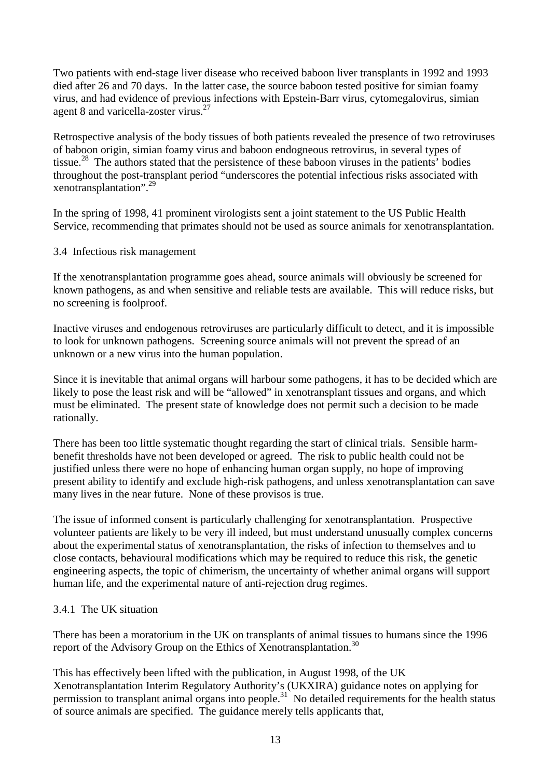Two patients with end-stage liver disease who received baboon liver transplants in 1992 and 1993 died after 26 and 70 days. In the latter case, the source baboon tested positive for simian foamy virus, and had evidence of previous infections with Epstein-Barr virus, cytomegalovirus, simian agent 8 and varicella-zoster virus. $^{27}$ 

Retrospective analysis of the body tissues of both patients revealed the presence of two retroviruses of baboon origin, simian foamy virus and baboon endogneous retrovirus, in several types of tissue.<sup>28</sup> The authors stated that the persistence of these baboon viruses in the patients' bodies throughout the post-transplant period "underscores the potential infectious risks associated with xenotransplantation".29

In the spring of 1998, 41 prominent virologists sent a joint statement to the US Public Health Service, recommending that primates should not be used as source animals for xenotransplantation.

3.4 Infectious risk management

If the xenotransplantation programme goes ahead, source animals will obviously be screened for known pathogens, as and when sensitive and reliable tests are available. This will reduce risks, but no screening is foolproof.

Inactive viruses and endogenous retroviruses are particularly difficult to detect, and it is impossible to look for unknown pathogens. Screening source animals will not prevent the spread of an unknown or a new virus into the human population.

Since it is inevitable that animal organs will harbour some pathogens, it has to be decided which are likely to pose the least risk and will be "allowed" in xenotransplant tissues and organs, and which must be eliminated. The present state of knowledge does not permit such a decision to be made rationally.

There has been too little systematic thought regarding the start of clinical trials. Sensible harmbenefit thresholds have not been developed or agreed. The risk to public health could not be justified unless there were no hope of enhancing human organ supply, no hope of improving present ability to identify and exclude high-risk pathogens, and unless xenotransplantation can save many lives in the near future. None of these provisos is true.

The issue of informed consent is particularly challenging for xenotransplantation. Prospective volunteer patients are likely to be very ill indeed, but must understand unusually complex concerns about the experimental status of xenotransplantation, the risks of infection to themselves and to close contacts, behavioural modifications which may be required to reduce this risk, the genetic engineering aspects, the topic of chimerism, the uncertainty of whether animal organs will support human life, and the experimental nature of anti-rejection drug regimes.

## 3.4.1 The UK situation

There has been a moratorium in the UK on transplants of animal tissues to humans since the 1996 report of the Advisory Group on the Ethics of Xenotransplantation.<sup>30</sup>

This has effectively been lifted with the publication, in August 1998, of the UK Xenotransplantation Interim Regulatory Authority's (UKXIRA) guidance notes on applying for permission to transplant animal organs into people.<sup>31</sup> No detailed requirements for the health status of source animals are specified. The guidance merely tells applicants that,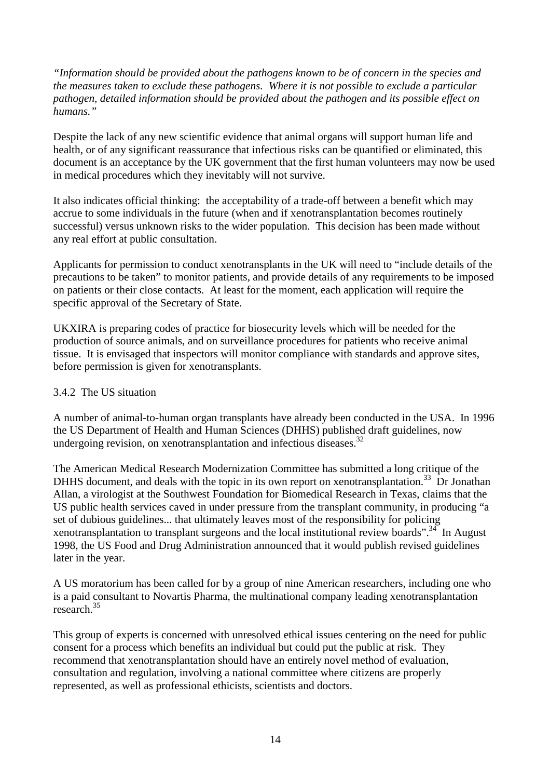*"Information should be provided about the pathogens known to be of concern in the species and the measures taken to exclude these pathogens. Where it is not possible to exclude a particular pathogen, detailed information should be provided about the pathogen and its possible effect on humans."*

Despite the lack of any new scientific evidence that animal organs will support human life and health, or of any significant reassurance that infectious risks can be quantified or eliminated, this document is an acceptance by the UK government that the first human volunteers may now be used in medical procedures which they inevitably will not survive.

It also indicates official thinking: the acceptability of a trade-off between a benefit which may accrue to some individuals in the future (when and if xenotransplantation becomes routinely successful) versus unknown risks to the wider population. This decision has been made without any real effort at public consultation.

Applicants for permission to conduct xenotransplants in the UK will need to "include details of the precautions to be taken" to monitor patients, and provide details of any requirements to be imposed on patients or their close contacts. At least for the moment, each application will require the specific approval of the Secretary of State.

UKXIRA is preparing codes of practice for biosecurity levels which will be needed for the production of source animals, and on surveillance procedures for patients who receive animal tissue. It is envisaged that inspectors will monitor compliance with standards and approve sites, before permission is given for xenotransplants.

## 3.4.2 The US situation

A number of animal-to-human organ transplants have already been conducted in the USA. In 1996 the US Department of Health and Human Sciences (DHHS) published draft guidelines, now undergoing revision, on xenotransplantation and infectious diseases. $32$ 

The American Medical Research Modernization Committee has submitted a long critique of the DHHS document, and deals with the topic in its own report on xenotransplantation.<sup>33</sup> Dr Jonathan Allan, a virologist at the Southwest Foundation for Biomedical Research in Texas, claims that the US public health services caved in under pressure from the transplant community, in producing "a set of dubious guidelines... that ultimately leaves most of the responsibility for policing xenotransplantation to transplant surgeons and the local institutional review boards".<sup>34</sup> In August 1998, the US Food and Drug Administration announced that it would publish revised guidelines later in the year.

A US moratorium has been called for by a group of nine American researchers, including one who is a paid consultant to Novartis Pharma, the multinational company leading xenotransplantation research.35

This group of experts is concerned with unresolved ethical issues centering on the need for public consent for a process which benefits an individual but could put the public at risk. They recommend that xenotransplantation should have an entirely novel method of evaluation, consultation and regulation, involving a national committee where citizens are properly represented, as well as professional ethicists, scientists and doctors.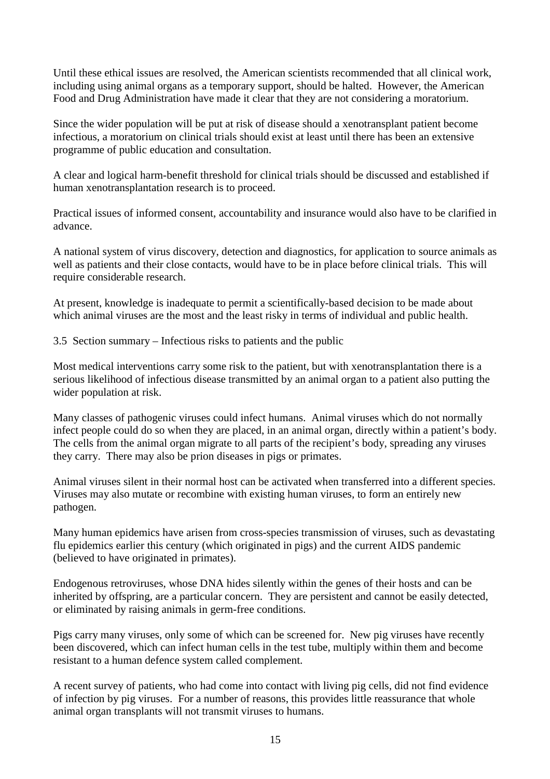Until these ethical issues are resolved, the American scientists recommended that all clinical work, including using animal organs as a temporary support, should be halted. However, the American Food and Drug Administration have made it clear that they are not considering a moratorium.

Since the wider population will be put at risk of disease should a xenotransplant patient become infectious, a moratorium on clinical trials should exist at least until there has been an extensive programme of public education and consultation.

A clear and logical harm-benefit threshold for clinical trials should be discussed and established if human xenotransplantation research is to proceed.

Practical issues of informed consent, accountability and insurance would also have to be clarified in advance.

A national system of virus discovery, detection and diagnostics, for application to source animals as well as patients and their close contacts, would have to be in place before clinical trials. This will require considerable research.

At present, knowledge is inadequate to permit a scientifically-based decision to be made about which animal viruses are the most and the least risky in terms of individual and public health.

3.5 Section summary – Infectious risks to patients and the public

Most medical interventions carry some risk to the patient, but with xenotransplantation there is a serious likelihood of infectious disease transmitted by an animal organ to a patient also putting the wider population at risk.

Many classes of pathogenic viruses could infect humans. Animal viruses which do not normally infect people could do so when they are placed, in an animal organ, directly within a patient's body. The cells from the animal organ migrate to all parts of the recipient's body, spreading any viruses they carry. There may also be prion diseases in pigs or primates.

Animal viruses silent in their normal host can be activated when transferred into a different species. Viruses may also mutate or recombine with existing human viruses, to form an entirely new pathogen.

Many human epidemics have arisen from cross-species transmission of viruses, such as devastating flu epidemics earlier this century (which originated in pigs) and the current AIDS pandemic (believed to have originated in primates).

Endogenous retroviruses, whose DNA hides silently within the genes of their hosts and can be inherited by offspring, are a particular concern. They are persistent and cannot be easily detected, or eliminated by raising animals in germ-free conditions.

Pigs carry many viruses, only some of which can be screened for. New pig viruses have recently been discovered, which can infect human cells in the test tube, multiply within them and become resistant to a human defence system called complement.

A recent survey of patients, who had come into contact with living pig cells, did not find evidence of infection by pig viruses. For a number of reasons, this provides little reassurance that whole animal organ transplants will not transmit viruses to humans.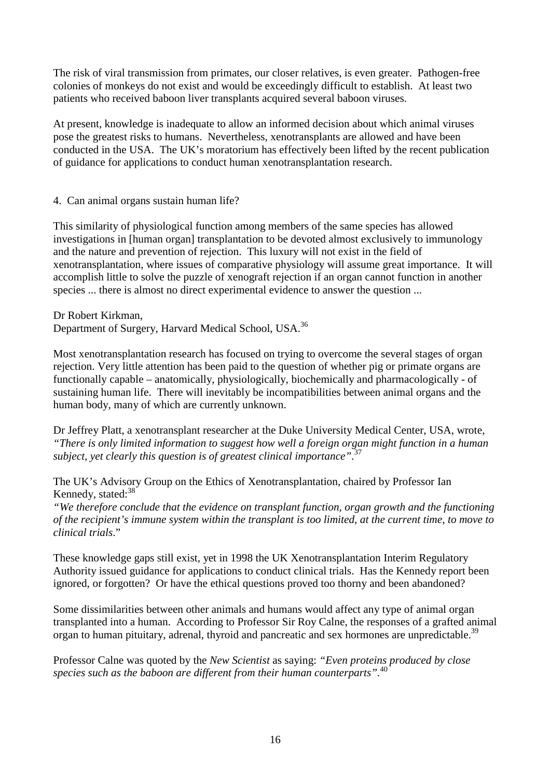The risk of viral transmission from primates, our closer relatives, is even greater. Pathogen-free colonies of monkeys do not exist and would be exceedingly difficult to establish. At least two patients who received baboon liver transplants acquired several baboon viruses.

At present, knowledge is inadequate to allow an informed decision about which animal viruses pose the greatest risks to humans. Nevertheless, xenotransplants are allowed and have been conducted in the USA. The UK's moratorium has effectively been lifted by the recent publication of guidance for applications to conduct human xenotransplantation research.

4. Can animal organs sustain human life?

This similarity of physiological function among members of the same species has allowed investigations in [human organ] transplantation to be devoted almost exclusively to immunology and the nature and prevention of rejection. This luxury will not exist in the field of xenotransplantation, where issues of comparative physiology will assume great importance. It will accomplish little to solve the puzzle of xenograft rejection if an organ cannot function in another species ... there is almost no direct experimental evidence to answer the question ...

Dr Robert Kirkman, Department of Surgery, Harvard Medical School, USA.<sup>36</sup>

Most xenotransplantation research has focused on trying to overcome the several stages of organ rejection. Very little attention has been paid to the question of whether pig or primate organs are functionally capable – anatomically, physiologically, biochemically and pharmacologically - of sustaining human life. There will inevitably be incompatibilities between animal organs and the human body, many of which are currently unknown.

Dr Jeffrey Platt, a xenotransplant researcher at the Duke University Medical Center, USA, wrote, *"There is only limited information to suggest how well a foreign organ might function in a human subject, yet clearly this question is of greatest clinical importance".*<sup>37</sup>

The UK's Advisory Group on the Ethics of Xenotransplantation, chaired by Professor Ian Kennedy, stated: $38$ 

*"We therefore conclude that the evidence on transplant function, organ growth and the functioning of the recipient's immune system within the transplant is too limited, at the current time, to move to clinical trials*."

These knowledge gaps still exist, yet in 1998 the UK Xenotransplantation Interim Regulatory Authority issued guidance for applications to conduct clinical trials. Has the Kennedy report been ignored, or forgotten? Or have the ethical questions proved too thorny and been abandoned?

Some dissimilarities between other animals and humans would affect any type of animal organ transplanted into a human. According to Professor Sir Roy Calne, the responses of a grafted animal organ to human pituitary, adrenal, thyroid and pancreatic and sex hormones are unpredictable.<sup>39</sup>

Professor Calne was quoted by the *New Scientist* as saying: *"Even proteins produced by close species such as the baboon are different from their human counterparts".*<sup>40</sup>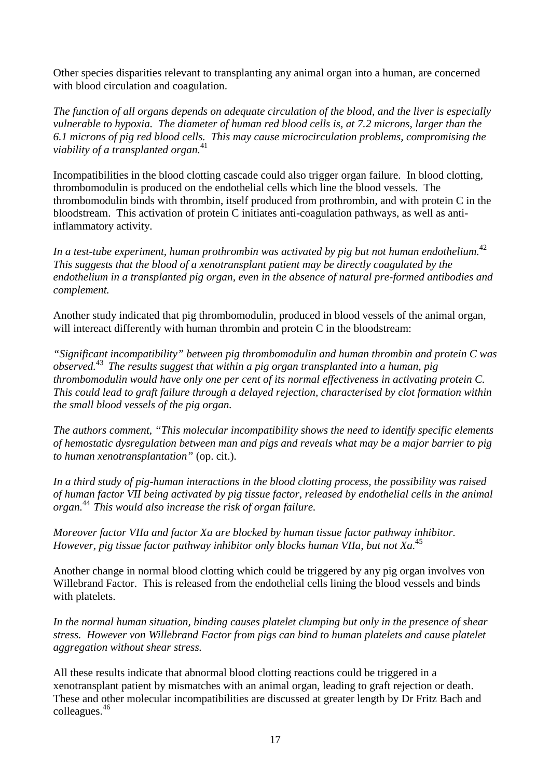Other species disparities relevant to transplanting any animal organ into a human, are concerned with blood circulation and coagulation.

*The function of all organs depends on adequate circulation of the blood, and the liver is especially vulnerable to hypoxia. The diameter of human red blood cells is, at 7.2 microns, larger than the 6.1 microns of pig red blood cells. This may cause microcirculation problems, compromising the viability of a transplanted organ.*<sup>41</sup>

Incompatibilities in the blood clotting cascade could also trigger organ failure. In blood clotting, thrombomodulin is produced on the endothelial cells which line the blood vessels. The thrombomodulin binds with thrombin, itself produced from prothrombin, and with protein C in the bloodstream. This activation of protein C initiates anti-coagulation pathways, as well as antiinflammatory activity.

*In a test-tube experiment, human prothrombin was activated by pig but not human endothelium.*<sup>42</sup> *This suggests that the blood of a xenotransplant patient may be directly coagulated by the endothelium in a transplanted pig organ, even in the absence of natural pre-formed antibodies and complement.*

Another study indicated that pig thrombomodulin, produced in blood vessels of the animal organ, will intereact differently with human thrombin and protein C in the bloodstream:

*"Significant incompatibility" between pig thrombomodulin and human thrombin and protein C was observed.*<sup>43</sup>*The results suggest that within a pig organ transplanted into a human, pig thrombomodulin would have only one per cent of its normal effectiveness in activating protein C. This could lead to graft failure through a delayed rejection, characterised by clot formation within the small blood vessels of the pig organ.*

*The authors comment, "This molecular incompatibility shows the need to identify specific elements of hemostatic dysregulation between man and pigs and reveals what may be a major barrier to pig to human xenotransplantation"* (op. cit.).

*In a third study of pig-human interactions in the blood clotting process, the possibility was raised of human factor VII being activated by pig tissue factor, released by endothelial cells in the animal organ.* <sup>44</sup>*This would also increase the risk of organ failure.*

*Moreover factor VIIa and factor Xa are blocked by human tissue factor pathway inhibitor. However, pig tissue factor pathway inhibitor only blocks human VIIa, but not Xa.*<sup>45</sup>

Another change in normal blood clotting which could be triggered by any pig organ involves von Willebrand Factor. This is released from the endothelial cells lining the blood vessels and binds with platelets.

*In the normal human situation, binding causes platelet clumping but only in the presence of shear stress. However von Willebrand Factor from pigs can bind to human platelets and cause platelet aggregation without shear stress.*

All these results indicate that abnormal blood clotting reactions could be triggered in a xenotransplant patient by mismatches with an animal organ, leading to graft rejection or death. These and other molecular incompatibilities are discussed at greater length by Dr Fritz Bach and colleagues.46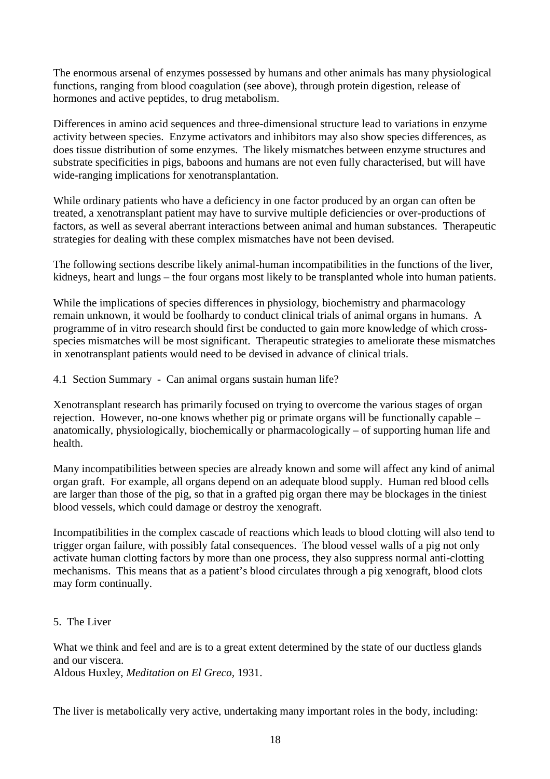The enormous arsenal of enzymes possessed by humans and other animals has many physiological functions, ranging from blood coagulation (see above), through protein digestion, release of hormones and active peptides, to drug metabolism.

Differences in amino acid sequences and three-dimensional structure lead to variations in enzyme activity between species. Enzyme activators and inhibitors may also show species differences, as does tissue distribution of some enzymes. The likely mismatches between enzyme structures and substrate specificities in pigs, baboons and humans are not even fully characterised, but will have wide-ranging implications for xenotransplantation.

While ordinary patients who have a deficiency in one factor produced by an organ can often be treated, a xenotransplant patient may have to survive multiple deficiencies or over-productions of factors, as well as several aberrant interactions between animal and human substances. Therapeutic strategies for dealing with these complex mismatches have not been devised.

The following sections describe likely animal-human incompatibilities in the functions of the liver, kidneys, heart and lungs – the four organs most likely to be transplanted whole into human patients.

While the implications of species differences in physiology, biochemistry and pharmacology remain unknown, it would be foolhardy to conduct clinical trials of animal organs in humans. A programme of in vitro research should first be conducted to gain more knowledge of which crossspecies mismatches will be most significant. Therapeutic strategies to ameliorate these mismatches in xenotransplant patients would need to be devised in advance of clinical trials.

4.1 Section Summary - Can animal organs sustain human life?

Xenotransplant research has primarily focused on trying to overcome the various stages of organ rejection. However, no-one knows whether pig or primate organs will be functionally capable – anatomically, physiologically, biochemically or pharmacologically – of supporting human life and health.

Many incompatibilities between species are already known and some will affect any kind of animal organ graft. For example, all organs depend on an adequate blood supply. Human red blood cells are larger than those of the pig, so that in a grafted pig organ there may be blockages in the tiniest blood vessels, which could damage or destroy the xenograft.

Incompatibilities in the complex cascade of reactions which leads to blood clotting will also tend to trigger organ failure, with possibly fatal consequences. The blood vessel walls of a pig not only activate human clotting factors by more than one process, they also suppress normal anti-clotting mechanisms. This means that as a patient's blood circulates through a pig xenograft, blood clots may form continually.

## 5. The Liver

What we think and feel and are is to a great extent determined by the state of our ductless glands and our viscera. Aldous Huxley, *Meditation on El Greco,* 1931.

The liver is metabolically very active, undertaking many important roles in the body, including: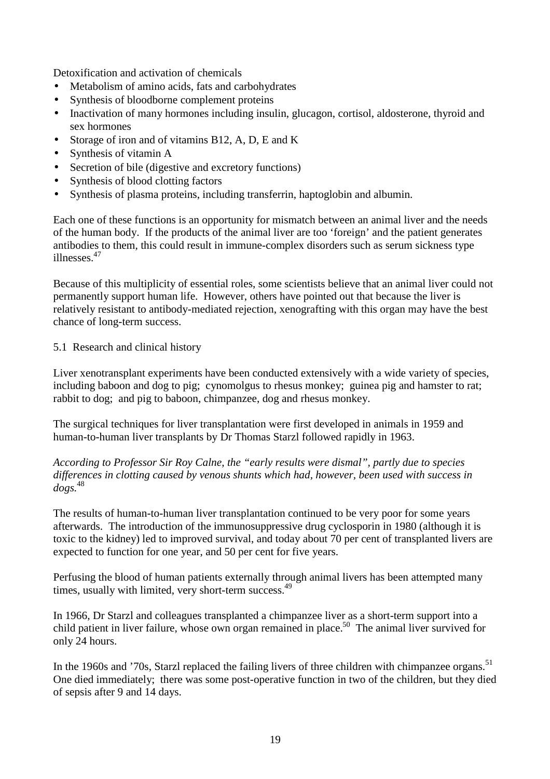Detoxification and activation of chemicals

- Metabolism of amino acids, fats and carbohydrates
- Synthesis of bloodborne complement proteins
- Inactivation of many hormones including insulin, glucagon, cortisol, aldosterone, thyroid and sex hormones
- Storage of iron and of vitamins B12, A, D, E and K
- Synthesis of vitamin A
- Secretion of bile (digestive and excretory functions)
- Synthesis of blood clotting factors
- Synthesis of plasma proteins, including transferrin, haptoglobin and albumin.

Each one of these functions is an opportunity for mismatch between an animal liver and the needs of the human body. If the products of the animal liver are too 'foreign' and the patient generates antibodies to them, this could result in immune-complex disorders such as serum sickness type illnesses.<sup>47</sup>

Because of this multiplicity of essential roles, some scientists believe that an animal liver could not permanently support human life. However, others have pointed out that because the liver is relatively resistant to antibody-mediated rejection, xenografting with this organ may have the best chance of long-term success.

## 5.1 Research and clinical history

Liver xenotransplant experiments have been conducted extensively with a wide variety of species, including baboon and dog to pig; cynomolgus to rhesus monkey; guinea pig and hamster to rat; rabbit to dog; and pig to baboon, chimpanzee, dog and rhesus monkey.

The surgical techniques for liver transplantation were first developed in animals in 1959 and human-to-human liver transplants by Dr Thomas Starzl followed rapidly in 1963.

*According to Professor Sir Roy Calne, the "early results were dismal", partly due to species differences in clotting caused by venous shunts which had, however, been used with success in dogs.*<sup>48</sup>

The results of human-to-human liver transplantation continued to be very poor for some years afterwards. The introduction of the immunosuppressive drug cyclosporin in 1980 (although it is toxic to the kidney) led to improved survival, and today about 70 per cent of transplanted livers are expected to function for one year, and 50 per cent for five years.

Perfusing the blood of human patients externally through animal livers has been attempted many times, usually with limited, very short-term success.<sup>49</sup>

In 1966, Dr Starzl and colleagues transplanted a chimpanzee liver as a short-term support into a child patient in liver failure, whose own organ remained in place.<sup>50</sup> The animal liver survived for only 24 hours.

In the 1960s and '70s, Starzl replaced the failing livers of three children with chimpanzee organs.<sup>51</sup> One died immediately; there was some post-operative function in two of the children, but they died of sepsis after 9 and 14 days.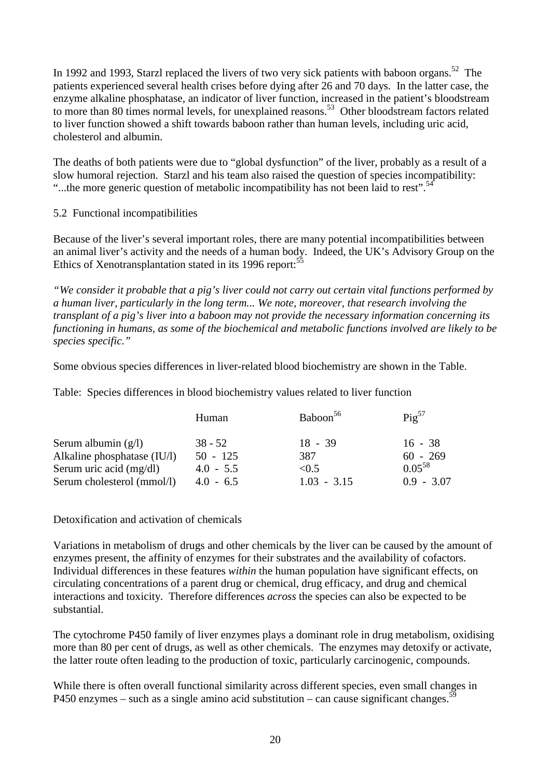In 1992 and 1993, Starzl replaced the livers of two very sick patients with baboon organs.<sup>52</sup> The patients experienced several health crises before dying after 26 and 70 days. In the latter case, the enzyme alkaline phosphatase, an indicator of liver function, increased in the patient's bloodstream to more than 80 times normal levels, for unexplained reasons.<sup>53</sup> Other bloodstream factors related to liver function showed a shift towards baboon rather than human levels, including uric acid, cholesterol and albumin.

The deaths of both patients were due to "global dysfunction" of the liver, probably as a result of a slow humoral rejection. Starzl and his team also raised the question of species incompatibility: "...the more generic question of metabolic incompatibility has not been laid to rest".<sup>54</sup>

## 5.2 Functional incompatibilities

Because of the liver's several important roles, there are many potential incompatibilities between an animal liver's activity and the needs of a human body. Indeed, the UK's Advisory Group on the Ethics of Xenotransplantation stated in its 1996 report:<sup>55</sup>

*"We consider it probable that a pig's liver could not carry out certain vital functions performed by a human liver, particularly in the long term... We note, moreover, that research involving the transplant of a pig's liver into a baboon may not provide the necessary information concerning its functioning in humans, as some of the biochemical and metabolic functions involved are likely to be species specific."*

Some obvious species differences in liver-related blood biochemistry are shown in the Table.

Table: Species differences in blood biochemistry values related to liver function

|                             | Human       | Baboon <sup>56</sup> | $\text{Pig}^{57}$ |
|-----------------------------|-------------|----------------------|-------------------|
| Serum albumin $(g/l)$       | $38 - 52$   | $18 - 39$            | $16 - 38$         |
| Alkaline phosphatase (IU/l) | $50 - 125$  | 387                  | $60 - 269$        |
| Serum uric acid (mg/dl)     | $4.0 - 5.5$ | < 0.5                | $0.05^{58}$       |
| Serum cholesterol (mmol/l)  | $4.0 - 6.5$ | $1.03 - 3.15$        | $0.9 - 3.07$      |

Detoxification and activation of chemicals

Variations in metabolism of drugs and other chemicals by the liver can be caused by the amount of enzymes present, the affinity of enzymes for their substrates and the availability of cofactors. Individual differences in these features *within* the human population have significant effects, on circulating concentrations of a parent drug or chemical, drug efficacy, and drug and chemical interactions and toxicity. Therefore differences *across* the species can also be expected to be substantial.

The cytochrome P450 family of liver enzymes plays a dominant role in drug metabolism, oxidising more than 80 per cent of drugs, as well as other chemicals. The enzymes may detoxify or activate, the latter route often leading to the production of toxic, particularly carcinogenic, compounds.

While there is often overall functional similarity across different species, even small changes in P450 enzymes – such as a single amino acid substitution – can cause significant changes.<sup>59</sup>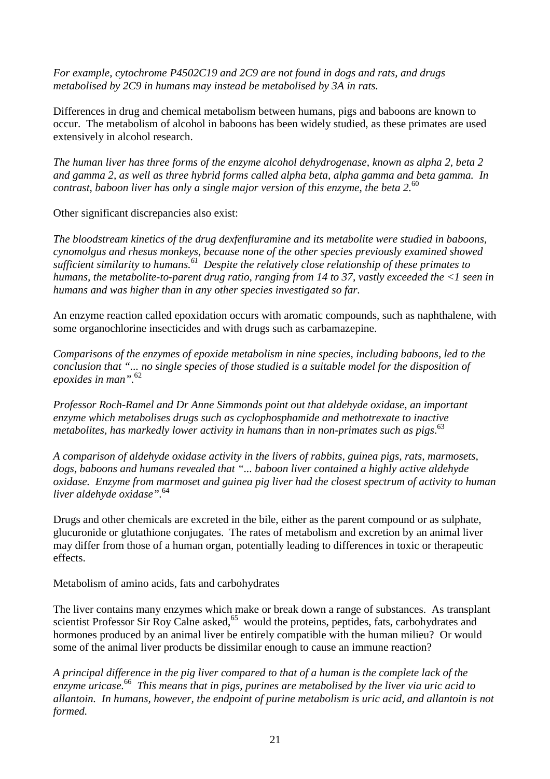*For example, cytochrome P4502C19 and 2C9 are not found in dogs and rats, and drugs metabolised by 2C9 in humans may instead be metabolised by 3A in rats.*

Differences in drug and chemical metabolism between humans, pigs and baboons are known to occur. The metabolism of alcohol in baboons has been widely studied, as these primates are used extensively in alcohol research.

*The human liver has three forms of the enzyme alcohol dehydrogenase, known as alpha 2, beta 2 and gamma 2, as well as three hybrid forms called alpha beta, alpha gamma and beta gamma. In contrast, baboon liver has only a single major version of this enzyme, the beta 2.*<sup>60</sup>

Other significant discrepancies also exist:

*The bloodstream kinetics of the drug dexfenfluramine and its metabolite were studied in baboons, cynomolgus and rhesus monkeys, because none of the other species previously examined showed sufficient similarity to humans.61 Despite the relatively close relationship of these primates to humans, the metabolite-to-parent drug ratio, ranging from 14 to 37, vastly exceeded the <1 seen in humans and was higher than in any other species investigated so far.*

An enzyme reaction called epoxidation occurs with aromatic compounds, such as naphthalene, with some organochlorine insecticides and with drugs such as carbamazepine.

*Comparisons of the enzymes of epoxide metabolism in nine species, including baboons, led to the conclusion that "... no single species of those studied is a suitable model for the disposition of epoxides in man".*<sup>62</sup>

*Professor Roch-Ramel and Dr Anne Simmonds point out that aldehyde oxidase, an important enzyme which metabolises drugs such as cyclophosphamide and methotrexate to inactive metabolites, has markedly lower activity in humans than in non-primates such as pigs*. 63

*A comparison of aldehyde oxidase activity in the livers of rabbits, guinea pigs, rats, marmosets, dogs, baboons and humans revealed that "... baboon liver contained a highly active aldehyde oxidase. Enzyme from marmoset and guinea pig liver had the closest spectrum of activity to human liver aldehyde oxidase".*<sup>64</sup>

Drugs and other chemicals are excreted in the bile, either as the parent compound or as sulphate, glucuronide or glutathione conjugates. The rates of metabolism and excretion by an animal liver may differ from those of a human organ, potentially leading to differences in toxic or therapeutic effects.

Metabolism of amino acids, fats and carbohydrates

The liver contains many enzymes which make or break down a range of substances. As transplant scientist Professor Sir Roy Calne asked, $65$  would the proteins, peptides, fats, carbohydrates and hormones produced by an animal liver be entirely compatible with the human milieu? Or would some of the animal liver products be dissimilar enough to cause an immune reaction?

*A principal difference in the pig liver compared to that of a human is the complete lack of the enzyme uricase.*66 *This means that in pigs, purines are metabolised by the liver via uric acid to allantoin. In humans, however, the endpoint of purine metabolism is uric acid, and allantoin is not formed.*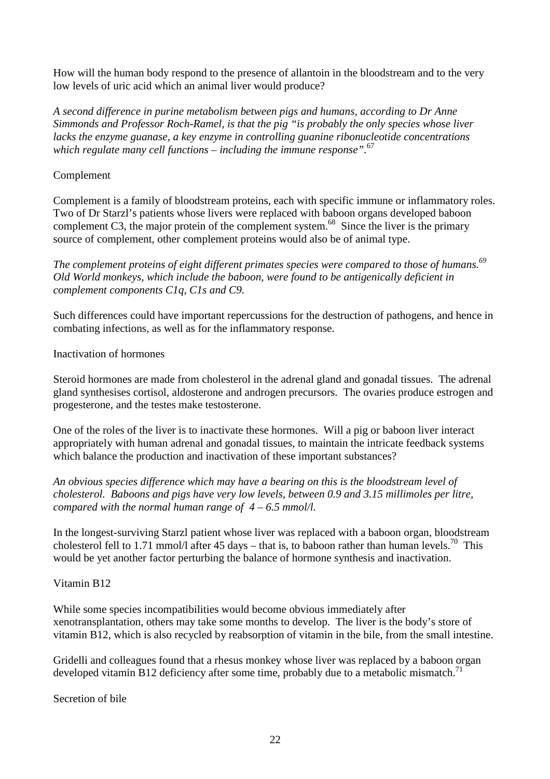How will the human body respond to the presence of allantoin in the bloodstream and to the very low levels of uric acid which an animal liver would produce?

*A second difference in purine metabolism between pigs and humans, according to Dr Anne Simmonds and Professor Roch-Ramel, is that the pig "is probably the only species whose liver lacks the enzyme guanase, a key enzyme in controlling guanine ribonucleotide concentrations which regulate many cell functions – including the immune response".*<sup>67</sup>

## Complement

Complement is a family of bloodstream proteins, each with specific immune or inflammatory roles. Two of Dr Starzl's patients whose livers were replaced with baboon organs developed baboon complement C3, the major protein of the complement system.<sup>68</sup> Since the liver is the primary source of complement, other complement proteins would also be of animal type.

The complement proteins of eight different primates species were compared to those of humans.<sup>69</sup> *Old World monkeys, which include the baboon, were found to be antigenically deficient in complement components C1q, C1s and C9.*

Such differences could have important repercussions for the destruction of pathogens, and hence in combating infections, as well as for the inflammatory response.

## Inactivation of hormones

Steroid hormones are made from cholesterol in the adrenal gland and gonadal tissues. The adrenal gland synthesises cortisol, aldosterone and androgen precursors. The ovaries produce estrogen and progesterone, and the testes make testosterone.

One of the roles of the liver is to inactivate these hormones. Will a pig or baboon liver interact appropriately with human adrenal and gonadal tissues, to maintain the intricate feedback systems which balance the production and inactivation of these important substances?

*An obvious species difference which may have a bearing on this is the bloodstream level of cholesterol. Baboons and pigs have very low levels, between 0.9 and 3.15 millimoles per litre, compared with the normal human range of 4 – 6.5 mmol/l.*

In the longest-surviving Starzl patient whose liver was replaced with a baboon organ, bloodstream cholesterol fell to 1.71 mmol/l after 45 days – that is, to baboon rather than human levels.<sup>70</sup> This would be yet another factor perturbing the balance of hormone synthesis and inactivation.

## Vitamin B12

While some species incompatibilities would become obvious immediately after xenotransplantation, others may take some months to develop. The liver is the body's store of vitamin B12, which is also recycled by reabsorption of vitamin in the bile, from the small intestine.

Gridelli and colleagues found that a rhesus monkey whose liver was replaced by a baboon organ developed vitamin B12 deficiency after some time, probably due to a metabolic mismatch.<sup>71</sup>

Secretion of bile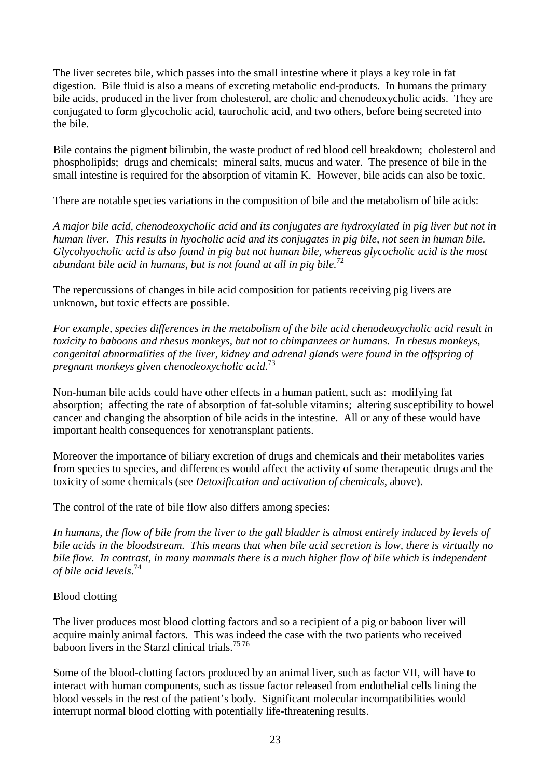The liver secretes bile, which passes into the small intestine where it plays a key role in fat digestion. Bile fluid is also a means of excreting metabolic end-products. In humans the primary bile acids, produced in the liver from cholesterol, are cholic and chenodeoxycholic acids. They are conjugated to form glycocholic acid, taurocholic acid, and two others, before being secreted into the bile.

Bile contains the pigment bilirubin, the waste product of red blood cell breakdown; cholesterol and phospholipids; drugs and chemicals; mineral salts, mucus and water. The presence of bile in the small intestine is required for the absorption of vitamin K. However, bile acids can also be toxic.

There are notable species variations in the composition of bile and the metabolism of bile acids:

*A major bile acid, chenodeoxycholic acid and its conjugates are hydroxylated in pig liver but not in human liver. This results in hyocholic acid and its conjugates in pig bile, not seen in human bile. Glycohyocholic acid is also found in pig but not human bile, whereas glycocholic acid is the most abundant bile acid in humans, but is not found at all in pig bile.*<sup>72</sup>

The repercussions of changes in bile acid composition for patients receiving pig livers are unknown, but toxic effects are possible.

*For example, species differences in the metabolism of the bile acid chenodeoxycholic acid result in toxicity to baboons and rhesus monkeys, but not to chimpanzees or humans. In rhesus monkeys, congenital abnormalities of the liver, kidney and adrenal glands were found in the offspring of pregnant monkeys given chenodeoxycholic acid.*<sup>73</sup>

Non-human bile acids could have other effects in a human patient, such as: modifying fat absorption; affecting the rate of absorption of fat-soluble vitamins; altering susceptibility to bowel cancer and changing the absorption of bile acids in the intestine. All or any of these would have important health consequences for xenotransplant patients.

Moreover the importance of biliary excretion of drugs and chemicals and their metabolites varies from species to species, and differences would affect the activity of some therapeutic drugs and the toxicity of some chemicals (see *Detoxification and activation of chemicals*, above).

The control of the rate of bile flow also differs among species:

*In humans, the flow of bile from the liver to the gall bladder is almost entirely induced by levels of bile acids in the bloodstream. This means that when bile acid secretion is low, there is virtually no bile flow. In contrast, in many mammals there is a much higher flow of bile which is independent of bile acid levels*. 74

## Blood clotting

The liver produces most blood clotting factors and so a recipient of a pig or baboon liver will acquire mainly animal factors. This was indeed the case with the two patients who received baboon livers in the Starzl clinical trials.<sup>7576</sup>

Some of the blood-clotting factors produced by an animal liver, such as factor VII, will have to interact with human components, such as tissue factor released from endothelial cells lining the blood vessels in the rest of the patient's body. Significant molecular incompatibilities would interrupt normal blood clotting with potentially life-threatening results.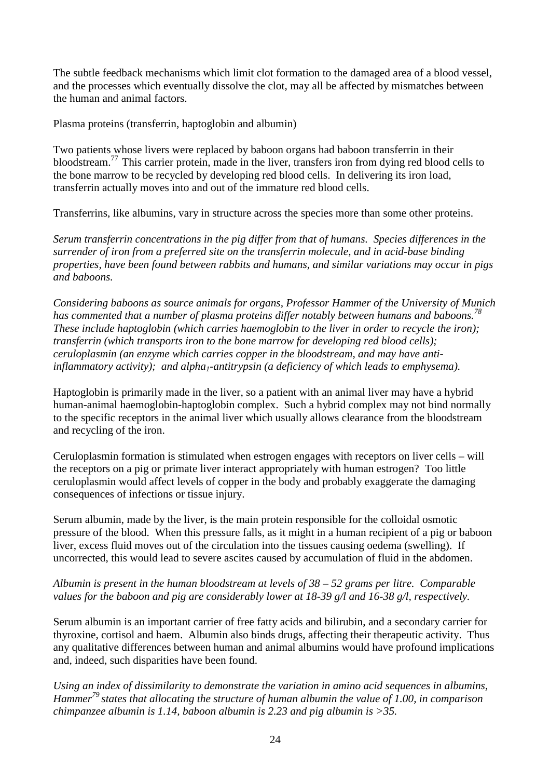The subtle feedback mechanisms which limit clot formation to the damaged area of a blood vessel, and the processes which eventually dissolve the clot, may all be affected by mismatches between the human and animal factors.

Plasma proteins (transferrin, haptoglobin and albumin)

Two patients whose livers were replaced by baboon organs had baboon transferrin in their bloodstream.77 This carrier protein, made in the liver, transfers iron from dying red blood cells to the bone marrow to be recycled by developing red blood cells. In delivering its iron load, transferrin actually moves into and out of the immature red blood cells.

Transferrins, like albumins, vary in structure across the species more than some other proteins.

*Serum transferrin concentrations in the pig differ from that of humans. Species differences in the surrender of iron from a preferred site on the transferrin molecule, and in acid-base binding properties, have been found between rabbits and humans, and similar variations may occur in pigs and baboons.*

*Considering baboons as source animals for organs, Professor Hammer of the University of Munich* has commented that a number of plasma proteins differ notably between humans and baboons.<sup>78</sup> *These include haptoglobin (which carries haemoglobin to the liver in order to recycle the iron); transferrin (which transports iron to the bone marrow for developing red blood cells); ceruloplasmin (an enzyme which carries copper in the bloodstream, and may have anti*inflammatory activity); and alpha<sub>1</sub>-antitrypsin (a deficiency of which leads to emphysema).

Haptoglobin is primarily made in the liver, so a patient with an animal liver may have a hybrid human-animal haemoglobin-haptoglobin complex. Such a hybrid complex may not bind normally to the specific receptors in the animal liver which usually allows clearance from the bloodstream and recycling of the iron.

Ceruloplasmin formation is stimulated when estrogen engages with receptors on liver cells – will the receptors on a pig or primate liver interact appropriately with human estrogen? Too little ceruloplasmin would affect levels of copper in the body and probably exaggerate the damaging consequences of infections or tissue injury.

Serum albumin, made by the liver, is the main protein responsible for the colloidal osmotic pressure of the blood. When this pressure falls, as it might in a human recipient of a pig or baboon liver, excess fluid moves out of the circulation into the tissues causing oedema (swelling). If uncorrected, this would lead to severe ascites caused by accumulation of fluid in the abdomen.

## *Albumin is present in the human bloodstream at levels of 38 – 52 grams per litre. Comparable values for the baboon and pig are considerably lower at 18-39 g/l and 16-38 g/l, respectively.*

Serum albumin is an important carrier of free fatty acids and bilirubin, and a secondary carrier for thyroxine, cortisol and haem. Albumin also binds drugs, affecting their therapeutic activity. Thus any qualitative differences between human and animal albumins would have profound implications and, indeed, such disparities have been found.

*Using an index of dissimilarity to demonstrate the variation in amino acid sequences in albumins, Hammer79 states that allocating the structure of human albumin the value of 1.00, in comparison chimpanzee albumin is 1.14, baboon albumin is 2.23 and pig albumin is >35.*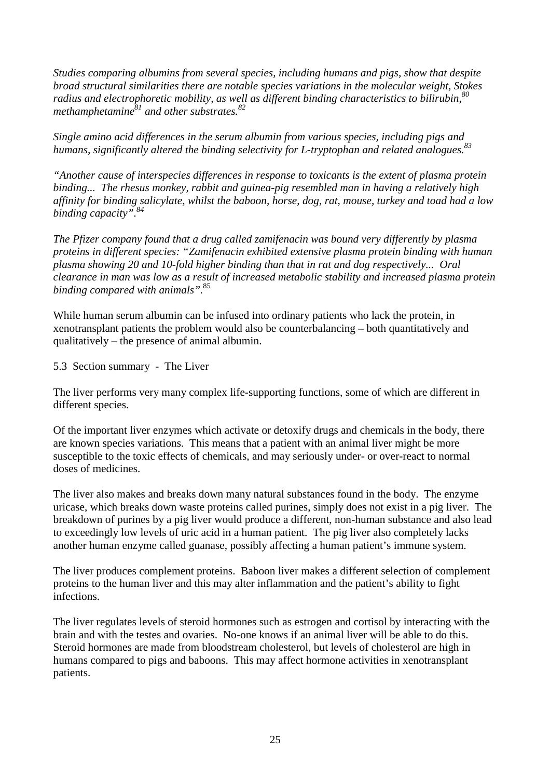*Studies comparing albumins from several species, including humans and pigs, show that despite broad structural similarities there are notable species variations in the molecular weight, Stokes radius and electrophoretic mobility, as well as different binding characteristics to bilirubin,80 methamphetamine*<sup>81</sup> and other substrates.<sup>82</sup>

*Single amino acid differences in the serum albumin from various species, including pigs and humans, significantly altered the binding selectivity for L-tryptophan and related analogues.83*

*"Another cause of interspecies differences in response to toxicants is the extent of plasma protein binding... The rhesus monkey, rabbit and guinea-pig resembled man in having a relatively high affinity for binding salicylate, whilst the baboon, horse, dog, rat, mouse, turkey and toad had a low binding capacity".84*

*The Pfizer company found that a drug called zamifenacin was bound very differently by plasma proteins in different species: "Zamifenacin exhibited extensive plasma protein binding with human plasma showing 20 and 10-fold higher binding than that in rat and dog respectively... Oral clearance in man was low as a result of increased metabolic stability and increased plasma protein binding compared with animals".*<sup>85</sup>

While human serum albumin can be infused into ordinary patients who lack the protein, in xenotransplant patients the problem would also be counterbalancing – both quantitatively and qualitatively – the presence of animal albumin.

5.3 Section summary - The Liver

The liver performs very many complex life-supporting functions, some of which are different in different species.

Of the important liver enzymes which activate or detoxify drugs and chemicals in the body, there are known species variations. This means that a patient with an animal liver might be more susceptible to the toxic effects of chemicals, and may seriously under- or over-react to normal doses of medicines.

The liver also makes and breaks down many natural substances found in the body. The enzyme uricase, which breaks down waste proteins called purines, simply does not exist in a pig liver. The breakdown of purines by a pig liver would produce a different, non-human substance and also lead to exceedingly low levels of uric acid in a human patient. The pig liver also completely lacks another human enzyme called guanase, possibly affecting a human patient's immune system.

The liver produces complement proteins. Baboon liver makes a different selection of complement proteins to the human liver and this may alter inflammation and the patient's ability to fight infections.

The liver regulates levels of steroid hormones such as estrogen and cortisol by interacting with the brain and with the testes and ovaries. No-one knows if an animal liver will be able to do this. Steroid hormones are made from bloodstream cholesterol, but levels of cholesterol are high in humans compared to pigs and baboons. This may affect hormone activities in xenotransplant patients.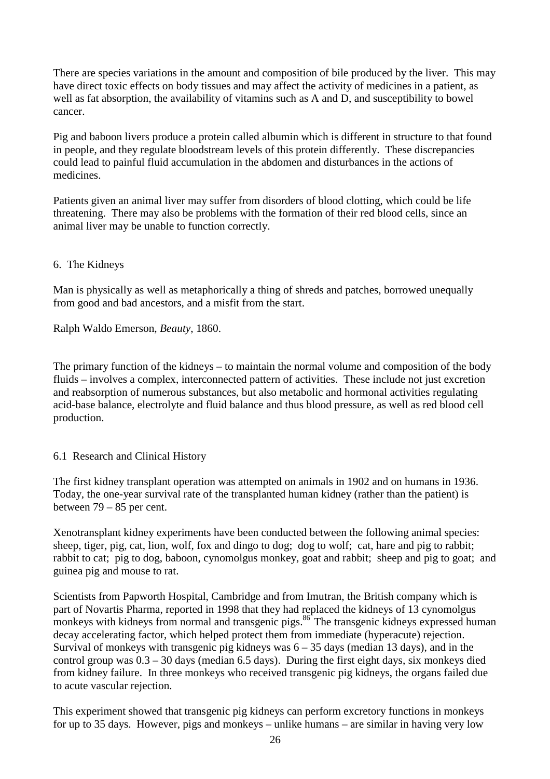There are species variations in the amount and composition of bile produced by the liver. This may have direct toxic effects on body tissues and may affect the activity of medicines in a patient, as well as fat absorption, the availability of vitamins such as A and D, and susceptibility to bowel cancer.

Pig and baboon livers produce a protein called albumin which is different in structure to that found in people, and they regulate bloodstream levels of this protein differently. These discrepancies could lead to painful fluid accumulation in the abdomen and disturbances in the actions of medicines.

Patients given an animal liver may suffer from disorders of blood clotting, which could be life threatening. There may also be problems with the formation of their red blood cells, since an animal liver may be unable to function correctly.

## 6. The Kidneys

Man is physically as well as metaphorically a thing of shreds and patches, borrowed unequally from good and bad ancestors, and a misfit from the start.

Ralph Waldo Emerson, *Beauty*, 1860.

The primary function of the kidneys – to maintain the normal volume and composition of the body fluids – involves a complex, interconnected pattern of activities. These include not just excretion and reabsorption of numerous substances, but also metabolic and hormonal activities regulating acid-base balance, electrolyte and fluid balance and thus blood pressure, as well as red blood cell production.

#### 6.1 Research and Clinical History

The first kidney transplant operation was attempted on animals in 1902 and on humans in 1936. Today, the one-year survival rate of the transplanted human kidney (rather than the patient) is between 79 – 85 per cent.

Xenotransplant kidney experiments have been conducted between the following animal species: sheep, tiger, pig, cat, lion, wolf, fox and dingo to dog; dog to wolf; cat, hare and pig to rabbit; rabbit to cat; pig to dog, baboon, cynomolgus monkey, goat and rabbit; sheep and pig to goat; and guinea pig and mouse to rat.

Scientists from Papworth Hospital, Cambridge and from Imutran, the British company which is part of Novartis Pharma, reported in 1998 that they had replaced the kidneys of 13 cynomolgus monkeys with kidneys from normal and transgenic pigs.<sup>86</sup> The transgenic kidneys expressed human decay accelerating factor, which helped protect them from immediate (hyperacute) rejection. Survival of monkeys with transgenic pig kidneys was  $6 - 35$  days (median 13 days), and in the control group was  $0.3 - 30$  days (median 6.5 days). During the first eight days, six monkeys died from kidney failure. In three monkeys who received transgenic pig kidneys, the organs failed due to acute vascular rejection.

This experiment showed that transgenic pig kidneys can perform excretory functions in monkeys for up to 35 days. However, pigs and monkeys – unlike humans – are similar in having very low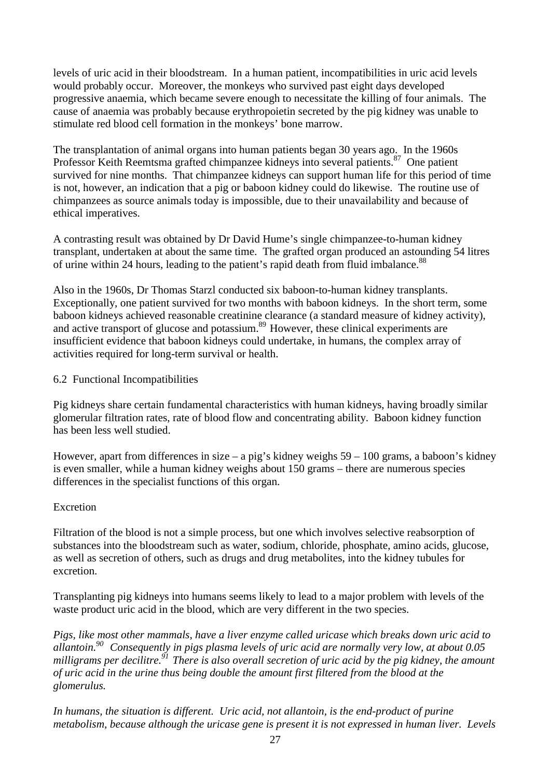levels of uric acid in their bloodstream. In a human patient, incompatibilities in uric acid levels would probably occur. Moreover, the monkeys who survived past eight days developed progressive anaemia, which became severe enough to necessitate the killing of four animals. The cause of anaemia was probably because erythropoietin secreted by the pig kidney was unable to stimulate red blood cell formation in the monkeys' bone marrow.

The transplantation of animal organs into human patients began 30 years ago. In the 1960s Professor Keith Reemtsma grafted chimpanzee kidneys into several patients.<sup>87</sup> One patient survived for nine months. That chimpanzee kidneys can support human life for this period of time is not, however, an indication that a pig or baboon kidney could do likewise. The routine use of chimpanzees as source animals today is impossible, due to their unavailability and because of ethical imperatives.

A contrasting result was obtained by Dr David Hume's single chimpanzee-to-human kidney transplant, undertaken at about the same time. The grafted organ produced an astounding 54 litres of urine within 24 hours, leading to the patient's rapid death from fluid imbalance.<sup>88</sup>

Also in the 1960s, Dr Thomas Starzl conducted six baboon-to-human kidney transplants. Exceptionally, one patient survived for two months with baboon kidneys. In the short term, some baboon kidneys achieved reasonable creatinine clearance (a standard measure of kidney activity), and active transport of glucose and potassium.<sup>89</sup> However, these clinical experiments are insufficient evidence that baboon kidneys could undertake, in humans, the complex array of activities required for long-term survival or health.

## 6.2 Functional Incompatibilities

Pig kidneys share certain fundamental characteristics with human kidneys, having broadly similar glomerular filtration rates, rate of blood flow and concentrating ability. Baboon kidney function has been less well studied.

However, apart from differences in size – a pig's kidney weighs 59 – 100 grams, a baboon's kidney is even smaller, while a human kidney weighs about 150 grams – there are numerous species differences in the specialist functions of this organ.

#### Excretion

Filtration of the blood is not a simple process, but one which involves selective reabsorption of substances into the bloodstream such as water, sodium, chloride, phosphate, amino acids, glucose, as well as secretion of others, such as drugs and drug metabolites, into the kidney tubules for excretion.

Transplanting pig kidneys into humans seems likely to lead to a major problem with levels of the waste product uric acid in the blood, which are very different in the two species.

*Pigs, like most other mammals, have a liver enzyme called uricase which breaks down uric acid to allantoin.90 Consequently in pigs plasma levels of uric acid are normally very low, at about 0.05 milligrams per decilitre.91 There is also overall secretion of uric acid by the pig kidney, the amount of uric acid in the urine thus being double the amount first filtered from the blood at the glomerulus.*

*In humans, the situation is different. Uric acid, not allantoin, is the end-product of purine metabolism, because although the uricase gene is present it is not expressed in human liver. Levels*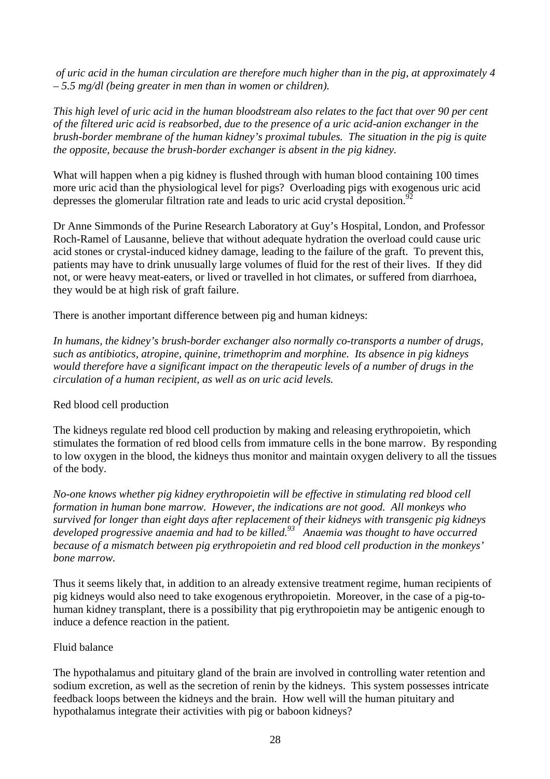*of uric acid in the human circulation are therefore much higher than in the pig, at approximately 4 – 5.5 mg/dl (being greater in men than in women or children).*

*This high level of uric acid in the human bloodstream also relates to the fact that over 90 per cent of the filtered uric acid is reabsorbed, due to the presence of a uric acid-anion exchanger in the brush-border membrane of the human kidney's proximal tubules. The situation in the pig is quite the opposite, because the brush-border exchanger is absent in the pig kidney.*

What will happen when a pig kidney is flushed through with human blood containing 100 times more uric acid than the physiological level for pigs? Overloading pigs with exogenous uric acid depresses the glomerular filtration rate and leads to uric acid crystal deposition.<sup>92</sup>

Dr Anne Simmonds of the Purine Research Laboratory at Guy's Hospital, London, and Professor Roch-Ramel of Lausanne, believe that without adequate hydration the overload could cause uric acid stones or crystal-induced kidney damage, leading to the failure of the graft. To prevent this, patients may have to drink unusually large volumes of fluid for the rest of their lives. If they did not, or were heavy meat-eaters, or lived or travelled in hot climates, or suffered from diarrhoea, they would be at high risk of graft failure.

There is another important difference between pig and human kidneys:

*In humans, the kidney's brush-border exchanger also normally co-transports a number of drugs, such as antibiotics, atropine, quinine, trimethoprim and morphine. Its absence in pig kidneys would therefore have a significant impact on the therapeutic levels of a number of drugs in the circulation of a human recipient, as well as on uric acid levels.*

## Red blood cell production

The kidneys regulate red blood cell production by making and releasing erythropoietin, which stimulates the formation of red blood cells from immature cells in the bone marrow. By responding to low oxygen in the blood, the kidneys thus monitor and maintain oxygen delivery to all the tissues of the body.

*No-one knows whether pig kidney erythropoietin will be effective in stimulating red blood cell formation in human bone marrow. However, the indications are not good. All monkeys who survived for longer than eight days after replacement of their kidneys with transgenic pig kidneys* developed progressive anaemia and had to be killed.<sup>93</sup> Anaemia was thought to have occurred *because of a mismatch between pig erythropoietin and red blood cell production in the monkeys' bone marrow.*

Thus it seems likely that, in addition to an already extensive treatment regime, human recipients of pig kidneys would also need to take exogenous erythropoietin. Moreover, in the case of a pig-tohuman kidney transplant, there is a possibility that pig erythropoietin may be antigenic enough to induce a defence reaction in the patient.

## Fluid balance

The hypothalamus and pituitary gland of the brain are involved in controlling water retention and sodium excretion, as well as the secretion of renin by the kidneys. This system possesses intricate feedback loops between the kidneys and the brain. How well will the human pituitary and hypothalamus integrate their activities with pig or baboon kidneys?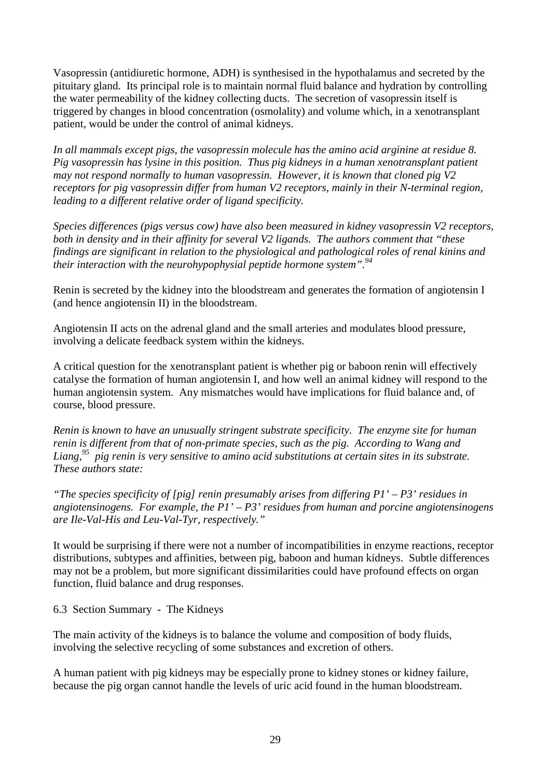Vasopressin (antidiuretic hormone, ADH) is synthesised in the hypothalamus and secreted by the pituitary gland. Its principal role is to maintain normal fluid balance and hydration by controlling the water permeability of the kidney collecting ducts. The secretion of vasopressin itself is triggered by changes in blood concentration (osmolality) and volume which, in a xenotransplant patient, would be under the control of animal kidneys.

*In all mammals except pigs, the vasopressin molecule has the amino acid arginine at residue 8. Pig vasopressin has lysine in this position. Thus pig kidneys in a human xenotransplant patient may not respond normally to human vasopressin. However, it is known that cloned pig V2 receptors for pig vasopressin differ from human V2 receptors, mainly in their N-terminal region, leading to a different relative order of ligand specificity.*

*Species differences (pigs versus cow) have also been measured in kidney vasopressin V2 receptors, both in density and in their affinity for several V2 ligands. The authors comment that "these findings are significant in relation to the physiological and pathological roles of renal kinins and their interaction with the neurohypophysial peptide hormone system".94*

Renin is secreted by the kidney into the bloodstream and generates the formation of angiotensin I (and hence angiotensin II) in the bloodstream.

Angiotensin II acts on the adrenal gland and the small arteries and modulates blood pressure, involving a delicate feedback system within the kidneys.

A critical question for the xenotransplant patient is whether pig or baboon renin will effectively catalyse the formation of human angiotensin I, and how well an animal kidney will respond to the human angiotensin system. Any mismatches would have implications for fluid balance and, of course, blood pressure.

*Renin is known to have an unusually stringent substrate specificity. The enzyme site for human renin is different from that of non-primate species, such as the pig. According to Wang and Liang,95 pig renin is very sensitive to amino acid substitutions at certain sites in its substrate. These authors state:*

*"The species specificity of [pig] renin presumably arises from differing P1' – P3' residues in angiotensinogens. For example, the P1' – P3' residues from human and porcine angiotensinogens are Ile-Val-His and Leu-Val-Tyr, respectively."*

It would be surprising if there were not a number of incompatibilities in enzyme reactions, receptor distributions, subtypes and affinities, between pig, baboon and human kidneys. Subtle differences may not be a problem, but more significant dissimilarities could have profound effects on organ function, fluid balance and drug responses.

6.3 Section Summary - The Kidneys

The main activity of the kidneys is to balance the volume and composition of body fluids, involving the selective recycling of some substances and excretion of others.

A human patient with pig kidneys may be especially prone to kidney stones or kidney failure, because the pig organ cannot handle the levels of uric acid found in the human bloodstream.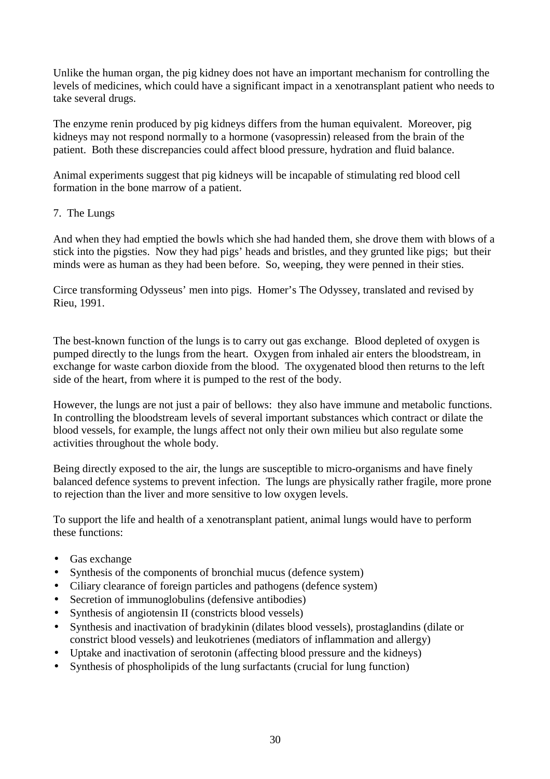Unlike the human organ, the pig kidney does not have an important mechanism for controlling the levels of medicines, which could have a significant impact in a xenotransplant patient who needs to take several drugs.

The enzyme renin produced by pig kidneys differs from the human equivalent. Moreover, pig kidneys may not respond normally to a hormone (vasopressin) released from the brain of the patient. Both these discrepancies could affect blood pressure, hydration and fluid balance.

Animal experiments suggest that pig kidneys will be incapable of stimulating red blood cell formation in the bone marrow of a patient.

## 7. The Lungs

And when they had emptied the bowls which she had handed them, she drove them with blows of a stick into the pigsties. Now they had pigs' heads and bristles, and they grunted like pigs; but their minds were as human as they had been before. So, weeping, they were penned in their sties.

Circe transforming Odysseus' men into pigs. Homer's The Odyssey, translated and revised by Rieu, 1991.

The best-known function of the lungs is to carry out gas exchange. Blood depleted of oxygen is pumped directly to the lungs from the heart. Oxygen from inhaled air enters the bloodstream, in exchange for waste carbon dioxide from the blood. The oxygenated blood then returns to the left side of the heart, from where it is pumped to the rest of the body.

However, the lungs are not just a pair of bellows: they also have immune and metabolic functions. In controlling the bloodstream levels of several important substances which contract or dilate the blood vessels, for example, the lungs affect not only their own milieu but also regulate some activities throughout the whole body.

Being directly exposed to the air, the lungs are susceptible to micro-organisms and have finely balanced defence systems to prevent infection. The lungs are physically rather fragile, more prone to rejection than the liver and more sensitive to low oxygen levels.

To support the life and health of a xenotransplant patient, animal lungs would have to perform these functions:

- Gas exchange
- Synthesis of the components of bronchial mucus (defence system)
- Ciliary clearance of foreign particles and pathogens (defence system)
- Secretion of immunoglobulins (defensive antibodies)
- Synthesis of angiotensin II (constricts blood vessels)
- Synthesis and inactivation of bradykinin (dilates blood vessels), prostaglandins (dilate or constrict blood vessels) and leukotrienes (mediators of inflammation and allergy)
- Uptake and inactivation of serotonin (affecting blood pressure and the kidneys)
- Synthesis of phospholipids of the lung surfactants (crucial for lung function)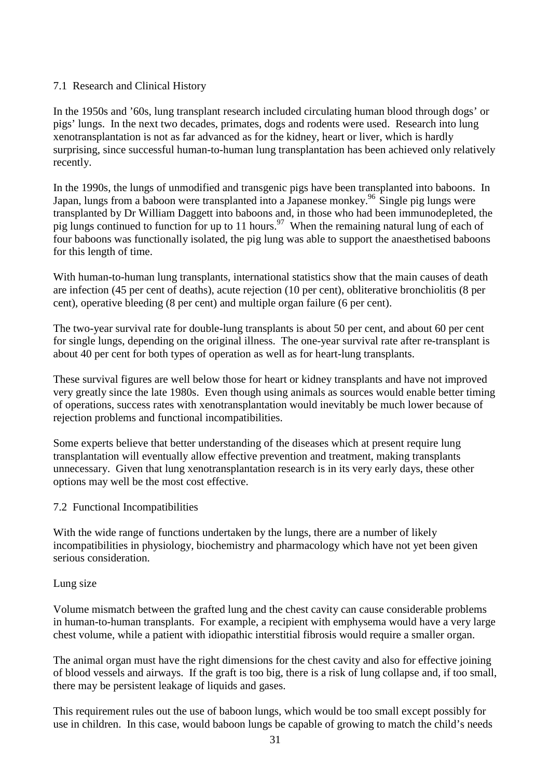## 7.1 Research and Clinical History

In the 1950s and '60s, lung transplant research included circulating human blood through dogs' or pigs' lungs. In the next two decades, primates, dogs and rodents were used. Research into lung xenotransplantation is not as far advanced as for the kidney, heart or liver, which is hardly surprising, since successful human-to-human lung transplantation has been achieved only relatively recently.

In the 1990s, the lungs of unmodified and transgenic pigs have been transplanted into baboons. In Japan, lungs from a baboon were transplanted into a Japanese monkey.<sup>96</sup> Single pig lungs were transplanted by Dr William Daggett into baboons and, in those who had been immunodepleted, the pig lungs continued to function for up to 11 hours.<sup>97</sup> When the remaining natural lung of each of four baboons was functionally isolated, the pig lung was able to support the anaesthetised baboons for this length of time.

With human-to-human lung transplants, international statistics show that the main causes of death are infection (45 per cent of deaths), acute rejection (10 per cent), obliterative bronchiolitis (8 per cent), operative bleeding (8 per cent) and multiple organ failure (6 per cent).

The two-year survival rate for double-lung transplants is about 50 per cent, and about 60 per cent for single lungs, depending on the original illness. The one-year survival rate after re-transplant is about 40 per cent for both types of operation as well as for heart-lung transplants.

These survival figures are well below those for heart or kidney transplants and have not improved very greatly since the late 1980s. Even though using animals as sources would enable better timing of operations, success rates with xenotransplantation would inevitably be much lower because of rejection problems and functional incompatibilities.

Some experts believe that better understanding of the diseases which at present require lung transplantation will eventually allow effective prevention and treatment, making transplants unnecessary. Given that lung xenotransplantation research is in its very early days, these other options may well be the most cost effective.

#### 7.2 Functional Incompatibilities

With the wide range of functions undertaken by the lungs, there are a number of likely incompatibilities in physiology, biochemistry and pharmacology which have not yet been given serious consideration.

#### Lung size

Volume mismatch between the grafted lung and the chest cavity can cause considerable problems in human-to-human transplants. For example, a recipient with emphysema would have a very large chest volume, while a patient with idiopathic interstitial fibrosis would require a smaller organ.

The animal organ must have the right dimensions for the chest cavity and also for effective joining of blood vessels and airways. If the graft is too big, there is a risk of lung collapse and, if too small, there may be persistent leakage of liquids and gases.

This requirement rules out the use of baboon lungs, which would be too small except possibly for use in children. In this case, would baboon lungs be capable of growing to match the child's needs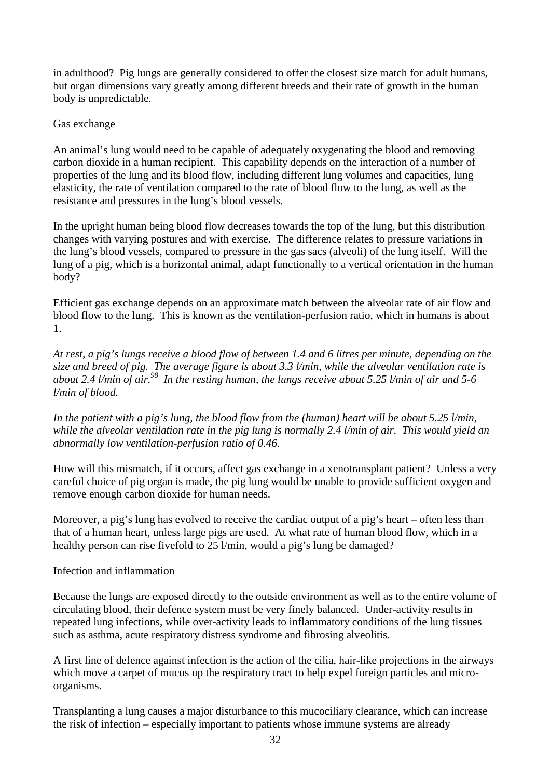in adulthood? Pig lungs are generally considered to offer the closest size match for adult humans, but organ dimensions vary greatly among different breeds and their rate of growth in the human body is unpredictable.

## Gas exchange

An animal's lung would need to be capable of adequately oxygenating the blood and removing carbon dioxide in a human recipient. This capability depends on the interaction of a number of properties of the lung and its blood flow, including different lung volumes and capacities, lung elasticity, the rate of ventilation compared to the rate of blood flow to the lung, as well as the resistance and pressures in the lung's blood vessels.

In the upright human being blood flow decreases towards the top of the lung, but this distribution changes with varying postures and with exercise. The difference relates to pressure variations in the lung's blood vessels, compared to pressure in the gas sacs (alveoli) of the lung itself. Will the lung of a pig, which is a horizontal animal, adapt functionally to a vertical orientation in the human body?

Efficient gas exchange depends on an approximate match between the alveolar rate of air flow and blood flow to the lung. This is known as the ventilation-perfusion ratio, which in humans is about 1.

*At rest, a pig's lungs receive a blood flow of between 1.4 and 6 litres per minute, depending on the size and breed of pig. The average figure is about 3.3 l/min, while the alveolar ventilation rate is about 2.4 l/min of air.98 In the resting human, the lungs receive about 5.25 l/min of air and 5-6 l/min of blood.*

*In the patient with a pig's lung, the blood flow from the (human) heart will be about 5.25 l/min, while the alveolar ventilation rate in the pig lung is normally 2.4 l/min of air. This would yield an abnormally low ventilation-perfusion ratio of 0.46.*

How will this mismatch, if it occurs, affect gas exchange in a xenotransplant patient? Unless a very careful choice of pig organ is made, the pig lung would be unable to provide sufficient oxygen and remove enough carbon dioxide for human needs.

Moreover, a pig's lung has evolved to receive the cardiac output of a pig's heart – often less than that of a human heart, unless large pigs are used. At what rate of human blood flow, which in a healthy person can rise fivefold to 25 l/min, would a pig's lung be damaged?

#### Infection and inflammation

Because the lungs are exposed directly to the outside environment as well as to the entire volume of circulating blood, their defence system must be very finely balanced. Under-activity results in repeated lung infections, while over-activity leads to inflammatory conditions of the lung tissues such as asthma, acute respiratory distress syndrome and fibrosing alveolitis.

A first line of defence against infection is the action of the cilia, hair-like projections in the airways which move a carpet of mucus up the respiratory tract to help expel foreign particles and microorganisms.

Transplanting a lung causes a major disturbance to this mucociliary clearance, which can increase the risk of infection – especially important to patients whose immune systems are already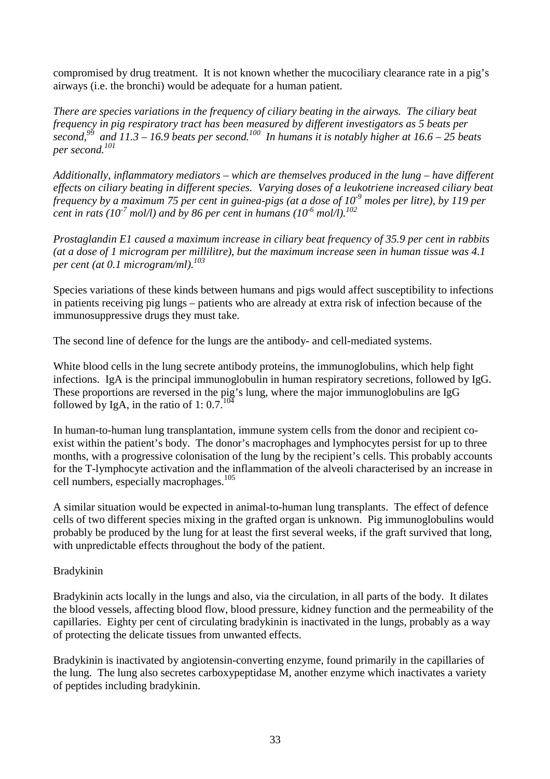compromised by drug treatment. It is not known whether the mucociliary clearance rate in a pig's airways (i.e. the bronchi) would be adequate for a human patient.

*There are species variations in the frequency of ciliary beating in the airways. The ciliary beat frequency in pig respiratory tract has been measured by different investigators as 5 beats per second,99 and 11.3 – 16.9 beats per second.100 In humans it is notably higher at 16.6 – 25 beats per second.101*

*Additionally, inflammatory mediators – which are themselves produced in the lung – have different effects on ciliary beating in different species. Varying doses of a leukotriene increased ciliary beat frequency by a maximum 75 per cent in guinea-pigs (at a dose of 10-9 moles per litre), by 119 per cent in rats (10<sup>-7</sup> mol/l) and by 86 per cent in humans (10<sup>-6</sup> mol/l).<sup>102</sup>* 

*Prostaglandin E1 caused a maximum increase in ciliary beat frequency of 35.9 per cent in rabbits (at a dose of 1 microgram per millilitre), but the maximum increase seen in human tissue was 4.1 per cent (at 0.1 microgram/ml).103*

Species variations of these kinds between humans and pigs would affect susceptibility to infections in patients receiving pig lungs – patients who are already at extra risk of infection because of the immunosuppressive drugs they must take.

The second line of defence for the lungs are the antibody- and cell-mediated systems.

White blood cells in the lung secrete antibody proteins, the immunoglobulins, which help fight infections. IgA is the principal immunoglobulin in human respiratory secretions, followed by IgG. These proportions are reversed in the pig's lung, where the major immunoglobulins are IgG followed by IgA, in the ratio of 1: 0.7.<sup>10</sup>

In human-to-human lung transplantation, immune system cells from the donor and recipient coexist within the patient's body. The donor's macrophages and lymphocytes persist for up to three months, with a progressive colonisation of the lung by the recipient's cells. This probably accounts for the T-lymphocyte activation and the inflammation of the alveoli characterised by an increase in cell numbers, especially macrophages.<sup>105</sup>

A similar situation would be expected in animal-to-human lung transplants. The effect of defence cells of two different species mixing in the grafted organ is unknown. Pig immunoglobulins would probably be produced by the lung for at least the first several weeks, if the graft survived that long, with unpredictable effects throughout the body of the patient.

## Bradykinin

Bradykinin acts locally in the lungs and also, via the circulation, in all parts of the body. It dilates the blood vessels, affecting blood flow, blood pressure, kidney function and the permeability of the capillaries. Eighty per cent of circulating bradykinin is inactivated in the lungs, probably as a way of protecting the delicate tissues from unwanted effects.

Bradykinin is inactivated by angiotensin-converting enzyme, found primarily in the capillaries of the lung. The lung also secretes carboxypeptidase M, another enzyme which inactivates a variety of peptides including bradykinin.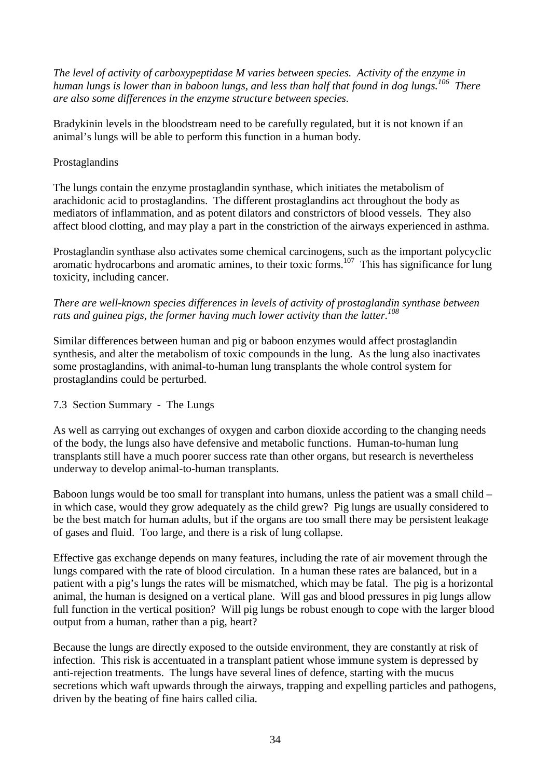*The level of activity of carboxypeptidase M varies between species. Activity of the enzyme in human lungs is lower than in baboon lungs, and less than half that found in dog lungs.106 There are also some differences in the enzyme structure between species.*

Bradykinin levels in the bloodstream need to be carefully regulated, but it is not known if an animal's lungs will be able to perform this function in a human body.

## Prostaglandins

The lungs contain the enzyme prostaglandin synthase, which initiates the metabolism of arachidonic acid to prostaglandins. The different prostaglandins act throughout the body as mediators of inflammation, and as potent dilators and constrictors of blood vessels. They also affect blood clotting, and may play a part in the constriction of the airways experienced in asthma.

Prostaglandin synthase also activates some chemical carcinogens, such as the important polycyclic aromatic hydrocarbons and aromatic amines, to their toxic forms.<sup>107</sup> This has significance for lung toxicity, including cancer.

*There are well-known species differences in levels of activity of prostaglandin synthase between rats and guinea pigs, the former having much lower activity than the latter.<sup>108</sup>*

Similar differences between human and pig or baboon enzymes would affect prostaglandin synthesis, and alter the metabolism of toxic compounds in the lung. As the lung also inactivates some prostaglandins, with animal-to-human lung transplants the whole control system for prostaglandins could be perturbed.

#### 7.3 Section Summary - The Lungs

As well as carrying out exchanges of oxygen and carbon dioxide according to the changing needs of the body, the lungs also have defensive and metabolic functions. Human-to-human lung transplants still have a much poorer success rate than other organs, but research is nevertheless underway to develop animal-to-human transplants.

Baboon lungs would be too small for transplant into humans, unless the patient was a small child – in which case, would they grow adequately as the child grew? Pig lungs are usually considered to be the best match for human adults, but if the organs are too small there may be persistent leakage of gases and fluid. Too large, and there is a risk of lung collapse.

Effective gas exchange depends on many features, including the rate of air movement through the lungs compared with the rate of blood circulation. In a human these rates are balanced, but in a patient with a pig's lungs the rates will be mismatched, which may be fatal. The pig is a horizontal animal, the human is designed on a vertical plane. Will gas and blood pressures in pig lungs allow full function in the vertical position? Will pig lungs be robust enough to cope with the larger blood output from a human, rather than a pig, heart?

Because the lungs are directly exposed to the outside environment, they are constantly at risk of infection. This risk is accentuated in a transplant patient whose immune system is depressed by anti-rejection treatments. The lungs have several lines of defence, starting with the mucus secretions which waft upwards through the airways, trapping and expelling particles and pathogens, driven by the beating of fine hairs called cilia.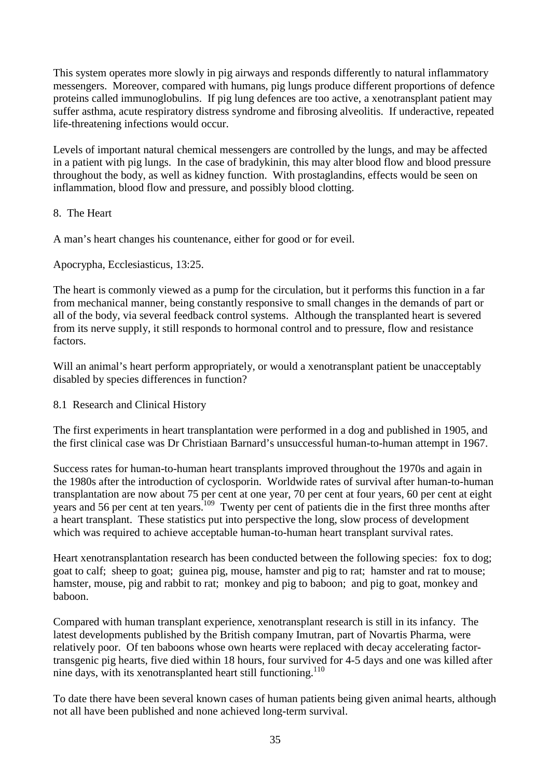This system operates more slowly in pig airways and responds differently to natural inflammatory messengers. Moreover, compared with humans, pig lungs produce different proportions of defence proteins called immunoglobulins. If pig lung defences are too active, a xenotransplant patient may suffer asthma, acute respiratory distress syndrome and fibrosing alveolitis. If underactive, repeated life-threatening infections would occur.

Levels of important natural chemical messengers are controlled by the lungs, and may be affected in a patient with pig lungs. In the case of bradykinin, this may alter blood flow and blood pressure throughout the body, as well as kidney function. With prostaglandins, effects would be seen on inflammation, blood flow and pressure, and possibly blood clotting.

## 8. The Heart

A man's heart changes his countenance, either for good or for eveil.

Apocrypha, Ecclesiasticus, 13:25.

The heart is commonly viewed as a pump for the circulation, but it performs this function in a far from mechanical manner, being constantly responsive to small changes in the demands of part or all of the body, via several feedback control systems. Although the transplanted heart is severed from its nerve supply, it still responds to hormonal control and to pressure, flow and resistance factors.

Will an animal's heart perform appropriately, or would a xenotransplant patient be unacceptably disabled by species differences in function?

#### 8.1 Research and Clinical History

The first experiments in heart transplantation were performed in a dog and published in 1905, and the first clinical case was Dr Christiaan Barnard's unsuccessful human-to-human attempt in 1967.

Success rates for human-to-human heart transplants improved throughout the 1970s and again in the 1980s after the introduction of cyclosporin. Worldwide rates of survival after human-to-human transplantation are now about 75 per cent at one year, 70 per cent at four years, 60 per cent at eight years and 56 per cent at ten years.<sup>109</sup> Twenty per cent of patients die in the first three months after a heart transplant. These statistics put into perspective the long, slow process of development which was required to achieve acceptable human-to-human heart transplant survival rates.

Heart xenotransplantation research has been conducted between the following species: fox to dog; goat to calf; sheep to goat; guinea pig, mouse, hamster and pig to rat; hamster and rat to mouse; hamster, mouse, pig and rabbit to rat; monkey and pig to baboon; and pig to goat, monkey and baboon.

Compared with human transplant experience, xenotransplant research is still in its infancy. The latest developments published by the British company Imutran, part of Novartis Pharma, were relatively poor. Of ten baboons whose own hearts were replaced with decay accelerating factortransgenic pig hearts, five died within 18 hours, four survived for 4-5 days and one was killed after nine days, with its xenotransplanted heart still functioning.<sup>110</sup>

To date there have been several known cases of human patients being given animal hearts, although not all have been published and none achieved long-term survival.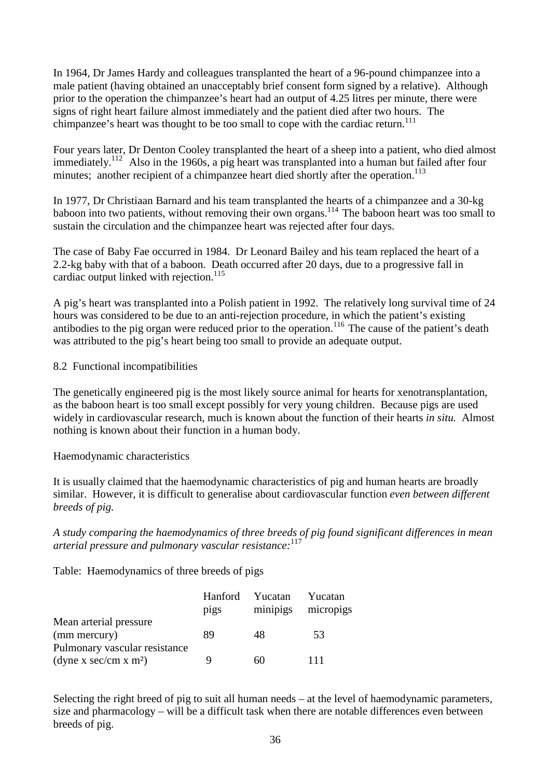In 1964, Dr James Hardy and colleagues transplanted the heart of a 96-pound chimpanzee into a male patient (having obtained an unacceptably brief consent form signed by a relative). Although prior to the operation the chimpanzee's heart had an output of 4.25 litres per minute, there were signs of right heart failure almost immediately and the patient died after two hours. The chimpanzee's heart was thought to be too small to cope with the cardiac return.<sup>111</sup>

Four years later, Dr Denton Cooley transplanted the heart of a sheep into a patient, who died almost immediately.<sup>112</sup> Also in the 1960s, a pig heart was transplanted into a human but failed after four minutes; another recipient of a chimpanzee heart died shortly after the operation.<sup>113</sup>

In 1977, Dr Christiaan Barnard and his team transplanted the hearts of a chimpanzee and a 30-kg baboon into two patients, without removing their own organs.<sup>114</sup> The baboon heart was too small to sustain the circulation and the chimpanzee heart was rejected after four days.

The case of Baby Fae occurred in 1984. Dr Leonard Bailey and his team replaced the heart of a 2.2-kg baby with that of a baboon. Death occurred after 20 days, due to a progressive fall in cardiac output linked with rejection.<sup>115</sup>

A pig's heart was transplanted into a Polish patient in 1992. The relatively long survival time of 24 hours was considered to be due to an anti-rejection procedure, in which the patient's existing antibodies to the pig organ were reduced prior to the operation.<sup>116</sup> The cause of the patient's death was attributed to the pig's heart being too small to provide an adequate output.

## 8.2 Functional incompatibilities

The genetically engineered pig is the most likely source animal for hearts for xenotransplantation, as the baboon heart is too small except possibly for very young children. Because pigs are used widely in cardiovascular research, much is known about the function of their hearts *in situ.* Almost nothing is known about their function in a human body.

## Haemodynamic characteristics

It is usually claimed that the haemodynamic characteristics of pig and human hearts are broadly similar. However, it is difficult to generalise about cardiovascular function *even between different breeds of pig.*

*A study comparing the haemodynamics of three breeds of pig found significant differences in mean arterial pressure and pulmonary vascular resistance:*<sup>117</sup>

Table: Haemodynamics of three breeds of pigs

|                                                                    | Hanford<br>pigs | Yucatan | Yucatan<br>minipigs micropigs |
|--------------------------------------------------------------------|-----------------|---------|-------------------------------|
| Mean arterial pressure<br>(mm mercury)                             | 89              | 48      | 53                            |
| Pulmonary vascular resistance<br>(dyne x sec/cm x m <sup>2</sup> ) |                 | 60      | 111                           |

Selecting the right breed of pig to suit all human needs – at the level of haemodynamic parameters, size and pharmacology – will be a difficult task when there are notable differences even between breeds of pig.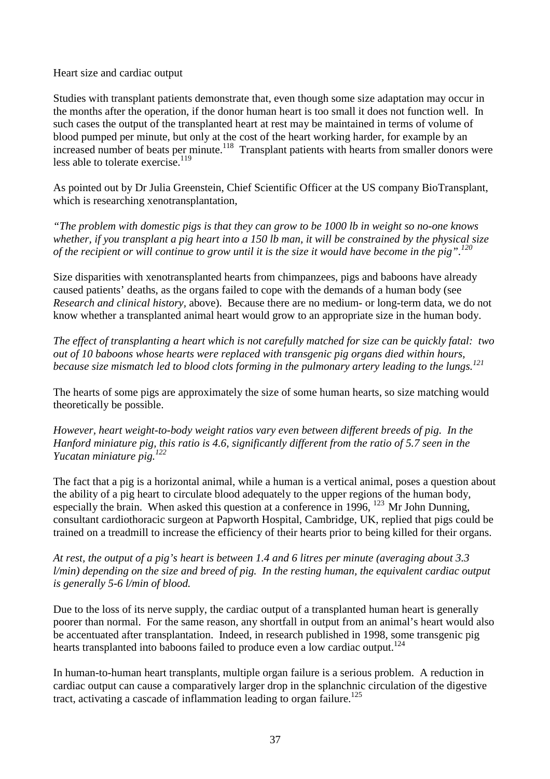Heart size and cardiac output

Studies with transplant patients demonstrate that, even though some size adaptation may occur in the months after the operation, if the donor human heart is too small it does not function well. In such cases the output of the transplanted heart at rest may be maintained in terms of volume of blood pumped per minute, but only at the cost of the heart working harder, for example by an increased number of beats per minute.<sup>118</sup> Transplant patients with hearts from smaller donors were less able to tolerate exercise.<sup>119</sup>

As pointed out by Dr Julia Greenstein, Chief Scientific Officer at the US company BioTransplant, which is researching xenotransplantation,

*"The problem with domestic pigs is that they can grow to be 1000 lb in weight so no-one knows whether, if you transplant a pig heart into a 150 lb man, it will be constrained by the physical size of the recipient or will continue to grow until it is the size it would have become in the pig".<sup>120</sup>*

Size disparities with xenotransplanted hearts from chimpanzees, pigs and baboons have already caused patients' deaths, as the organs failed to cope with the demands of a human body (see *Research and clinical history,* above). Because there are no medium- or long-term data, we do not know whether a transplanted animal heart would grow to an appropriate size in the human body.

*The effect of transplanting a heart which is not carefully matched for size can be quickly fatal: two out of 10 baboons whose hearts were replaced with transgenic pig organs died within hours, because size mismatch led to blood clots forming in the pulmonary artery leading to the lungs.<sup>121</sup>*

The hearts of some pigs are approximately the size of some human hearts, so size matching would theoretically be possible.

*However, heart weight-to-body weight ratios vary even between different breeds of pig. In the Hanford miniature pig, this ratio is 4.6, significantly different from the ratio of 5.7 seen in the Yucatan miniature pig.<sup>122</sup>*

The fact that a pig is a horizontal animal, while a human is a vertical animal, poses a question about the ability of a pig heart to circulate blood adequately to the upper regions of the human body, especially the brain. When asked this question at a conference in 1996,  $^{123}$  Mr John Dunning, consultant cardiothoracic surgeon at Papworth Hospital, Cambridge, UK, replied that pigs could be trained on a treadmill to increase the efficiency of their hearts prior to being killed for their organs.

*At rest, the output of a pig's heart is between 1.4 and 6 litres per minute (averaging about 3.3 l/min) depending on the size and breed of pig. In the resting human, the equivalent cardiac output is generally 5-6 l/min of blood.*

Due to the loss of its nerve supply, the cardiac output of a transplanted human heart is generally poorer than normal. For the same reason, any shortfall in output from an animal's heart would also be accentuated after transplantation. Indeed, in research published in 1998, some transgenic pig hearts transplanted into baboons failed to produce even a low cardiac output.<sup>124</sup>

In human-to-human heart transplants, multiple organ failure is a serious problem. A reduction in cardiac output can cause a comparatively larger drop in the splanchnic circulation of the digestive tract, activating a cascade of inflammation leading to organ failure.<sup>125</sup>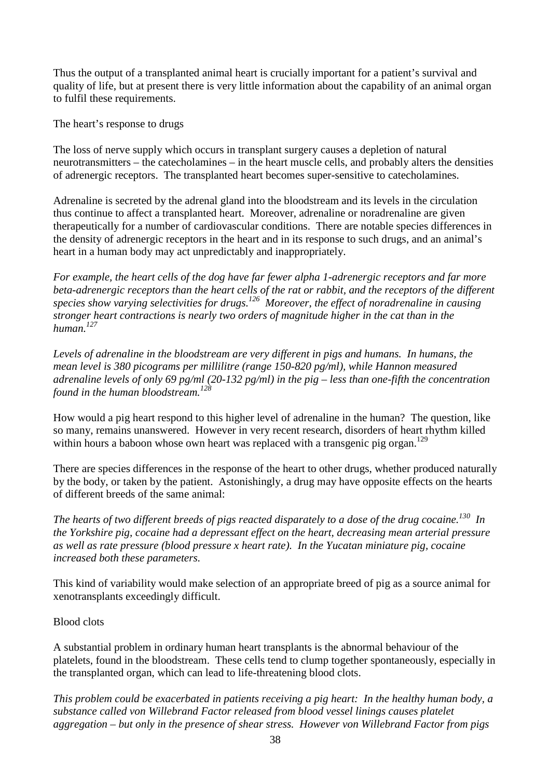Thus the output of a transplanted animal heart is crucially important for a patient's survival and quality of life, but at present there is very little information about the capability of an animal organ to fulfil these requirements.

The heart's response to drugs

The loss of nerve supply which occurs in transplant surgery causes a depletion of natural neurotransmitters – the catecholamines – in the heart muscle cells, and probably alters the densities of adrenergic receptors. The transplanted heart becomes super-sensitive to catecholamines.

Adrenaline is secreted by the adrenal gland into the bloodstream and its levels in the circulation thus continue to affect a transplanted heart. Moreover, adrenaline or noradrenaline are given therapeutically for a number of cardiovascular conditions. There are notable species differences in the density of adrenergic receptors in the heart and in its response to such drugs, and an animal's heart in a human body may act unpredictably and inappropriately.

*For example, the heart cells of the dog have far fewer alpha 1-adrenergic receptors and far more beta-adrenergic receptors than the heart cells of the rat or rabbit, and the receptors of the different species show varying selectivities for drugs.126 Moreover, the effect of noradrenaline in causing stronger heart contractions is nearly two orders of magnitude higher in the cat than in the human.<sup>127</sup>*

*Levels of adrenaline in the bloodstream are very different in pigs and humans. In humans, the mean level is 380 picograms per millilitre (range 150-820 pg/ml), while Hannon measured adrenaline levels of only 69 pg/ml (20-132 pg/ml) in the pig – less than one-fifth the concentration found in the human bloodstream.<sup>128</sup>*

How would a pig heart respond to this higher level of adrenaline in the human? The question, like so many, remains unanswered. However in very recent research, disorders of heart rhythm killed within hours a baboon whose own heart was replaced with a transgenic pig organ.<sup>129</sup>

There are species differences in the response of the heart to other drugs, whether produced naturally by the body, or taken by the patient. Astonishingly, a drug may have opposite effects on the hearts of different breeds of the same animal:

*The hearts of two different breeds of pigs reacted disparately to a dose of the drug cocaine.130 In the Yorkshire pig, cocaine had a depressant effect on the heart, decreasing mean arterial pressure as well as rate pressure (blood pressure x heart rate). In the Yucatan miniature pig, cocaine increased both these parameters.*

This kind of variability would make selection of an appropriate breed of pig as a source animal for xenotransplants exceedingly difficult.

## Blood clots

A substantial problem in ordinary human heart transplants is the abnormal behaviour of the platelets, found in the bloodstream. These cells tend to clump together spontaneously, especially in the transplanted organ, which can lead to life-threatening blood clots.

*This problem could be exacerbated in patients receiving a pig heart: In the healthy human body, a substance called von Willebrand Factor released from blood vessel linings causes platelet aggregation – but only in the presence of shear stress. However von Willebrand Factor from pigs*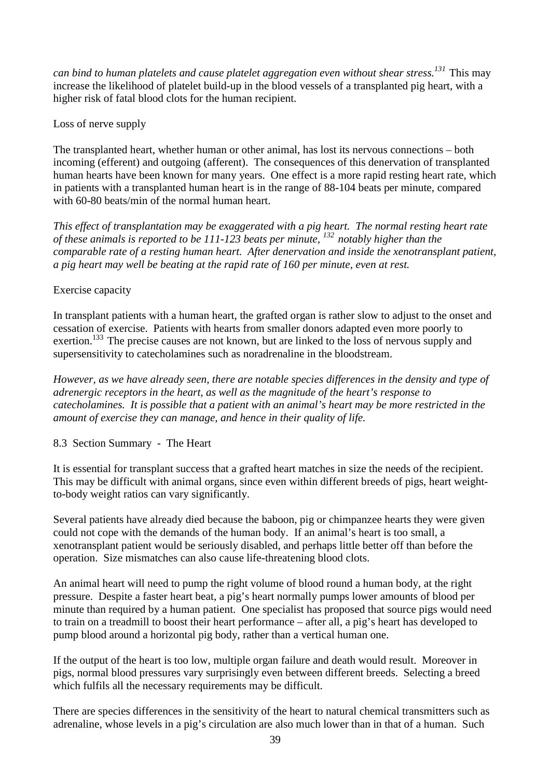*can bind to human platelets and cause platelet aggregation even without shear stress.<sup>131</sup>*This may increase the likelihood of platelet build-up in the blood vessels of a transplanted pig heart, with a higher risk of fatal blood clots for the human recipient.

Loss of nerve supply

The transplanted heart, whether human or other animal, has lost its nervous connections – both incoming (efferent) and outgoing (afferent). The consequences of this denervation of transplanted human hearts have been known for many years. One effect is a more rapid resting heart rate, which in patients with a transplanted human heart is in the range of 88-104 beats per minute, compared with 60-80 beats/min of the normal human heart.

*This effect of transplantation may be exaggerated with a pig heart. The normal resting heart rate of these animals is reported to be 111-123 beats per minute, 132 notably higher than the comparable rate of a resting human heart. After denervation and inside the xenotransplant patient, a pig heart may well be beating at the rapid rate of 160 per minute, even at rest.*

## Exercise capacity

In transplant patients with a human heart, the grafted organ is rather slow to adjust to the onset and cessation of exercise. Patients with hearts from smaller donors adapted even more poorly to exertion.<sup>133</sup> The precise causes are not known, but are linked to the loss of nervous supply and supersensitivity to catecholamines such as noradrenaline in the bloodstream.

*However, as we have already seen, there are notable species differences in the density and type of adrenergic receptors in the heart, as well as the magnitude of the heart's response to catecholamines. It is possible that a patient with an animal's heart may be more restricted in the amount of exercise they can manage, and hence in their quality of life.*

8.3 Section Summary - The Heart

It is essential for transplant success that a grafted heart matches in size the needs of the recipient. This may be difficult with animal organs, since even within different breeds of pigs, heart weightto-body weight ratios can vary significantly.

Several patients have already died because the baboon, pig or chimpanzee hearts they were given could not cope with the demands of the human body. If an animal's heart is too small, a xenotransplant patient would be seriously disabled, and perhaps little better off than before the operation. Size mismatches can also cause life-threatening blood clots.

An animal heart will need to pump the right volume of blood round a human body, at the right pressure. Despite a faster heart beat, a pig's heart normally pumps lower amounts of blood per minute than required by a human patient. One specialist has proposed that source pigs would need to train on a treadmill to boost their heart performance – after all, a pig's heart has developed to pump blood around a horizontal pig body, rather than a vertical human one.

If the output of the heart is too low, multiple organ failure and death would result. Moreover in pigs, normal blood pressures vary surprisingly even between different breeds. Selecting a breed which fulfils all the necessary requirements may be difficult.

There are species differences in the sensitivity of the heart to natural chemical transmitters such as adrenaline, whose levels in a pig's circulation are also much lower than in that of a human. Such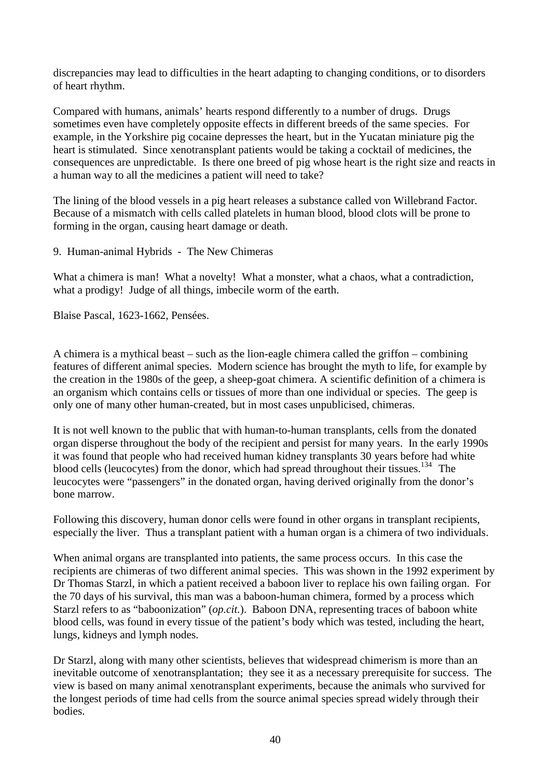discrepancies may lead to difficulties in the heart adapting to changing conditions, or to disorders of heart rhythm.

Compared with humans, animals' hearts respond differently to a number of drugs. Drugs sometimes even have completely opposite effects in different breeds of the same species. For example, in the Yorkshire pig cocaine depresses the heart, but in the Yucatan miniature pig the heart is stimulated. Since xenotransplant patients would be taking a cocktail of medicines, the consequences are unpredictable. Is there one breed of pig whose heart is the right size and reacts in a human way to all the medicines a patient will need to take?

The lining of the blood vessels in a pig heart releases a substance called von Willebrand Factor. Because of a mismatch with cells called platelets in human blood, blood clots will be prone to forming in the organ, causing heart damage or death.

9. Human-animal Hybrids - The New Chimeras

What a chimera is man! What a novelty! What a monster, what a chaos, what a contradiction, what a prodigy! Judge of all things, imbecile worm of the earth.

Blaise Pascal, 1623-1662, Pensées.

A chimera is a mythical beast – such as the lion-eagle chimera called the griffon – combining features of different animal species. Modern science has brought the myth to life, for example by the creation in the 1980s of the geep, a sheep-goat chimera. A scientific definition of a chimera is an organism which contains cells or tissues of more than one individual or species. The geep is only one of many other human-created, but in most cases unpublicised, chimeras.

It is not well known to the public that with human-to-human transplants, cells from the donated organ disperse throughout the body of the recipient and persist for many years. In the early 1990s it was found that people who had received human kidney transplants 30 years before had white blood cells (leucocytes) from the donor, which had spread throughout their tissues.<sup>134</sup> The leucocytes were "passengers" in the donated organ, having derived originally from the donor's bone marrow.

Following this discovery, human donor cells were found in other organs in transplant recipients, especially the liver. Thus a transplant patient with a human organ is a chimera of two individuals.

When animal organs are transplanted into patients, the same process occurs. In this case the recipients are chimeras of two different animal species. This was shown in the 1992 experiment by Dr Thomas Starzl, in which a patient received a baboon liver to replace his own failing organ. For the 70 days of his survival, this man was a baboon-human chimera, formed by a process which Starzl refers to as "baboonization" (*op.cit.*). Baboon DNA, representing traces of baboon white blood cells, was found in every tissue of the patient's body which was tested, including the heart, lungs, kidneys and lymph nodes.

Dr Starzl, along with many other scientists, believes that widespread chimerism is more than an inevitable outcome of xenotransplantation; they see it as a necessary prerequisite for success. The view is based on many animal xenotransplant experiments, because the animals who survived for the longest periods of time had cells from the source animal species spread widely through their bodies.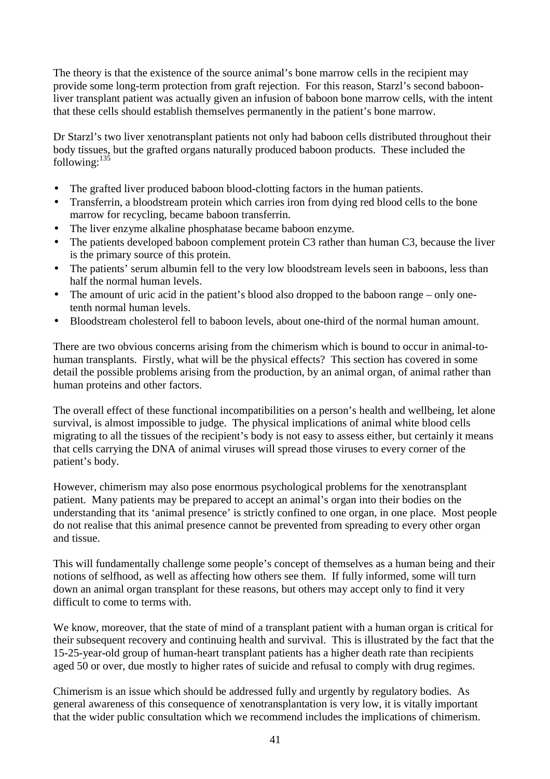The theory is that the existence of the source animal's bone marrow cells in the recipient may provide some long-term protection from graft rejection. For this reason, Starzl's second baboonliver transplant patient was actually given an infusion of baboon bone marrow cells, with the intent that these cells should establish themselves permanently in the patient's bone marrow.

Dr Starzl's two liver xenotransplant patients not only had baboon cells distributed throughout their body tissues, but the grafted organs naturally produced baboon products. These included the  $following:  $\frac{135}{35}$$ 

- The grafted liver produced baboon blood-clotting factors in the human patients.
- Transferrin, a bloodstream protein which carries iron from dying red blood cells to the bone marrow for recycling, became baboon transferrin.
- The liver enzyme alkaline phosphatase became baboon enzyme.
- The patients developed baboon complement protein C3 rather than human C3, because the liver is the primary source of this protein.
- The patients' serum albumin fell to the very low bloodstream levels seen in baboons, less than half the normal human levels.
- The amount of uric acid in the patient's blood also dropped to the baboon range only onetenth normal human levels.
- Bloodstream cholesterol fell to baboon levels, about one-third of the normal human amount.

There are two obvious concerns arising from the chimerism which is bound to occur in animal-tohuman transplants. Firstly, what will be the physical effects? This section has covered in some detail the possible problems arising from the production, by an animal organ, of animal rather than human proteins and other factors.

The overall effect of these functional incompatibilities on a person's health and wellbeing, let alone survival, is almost impossible to judge. The physical implications of animal white blood cells migrating to all the tissues of the recipient's body is not easy to assess either, but certainly it means that cells carrying the DNA of animal viruses will spread those viruses to every corner of the patient's body.

However, chimerism may also pose enormous psychological problems for the xenotransplant patient. Many patients may be prepared to accept an animal's organ into their bodies on the understanding that its 'animal presence' is strictly confined to one organ, in one place. Most people do not realise that this animal presence cannot be prevented from spreading to every other organ and tissue.

This will fundamentally challenge some people's concept of themselves as a human being and their notions of selfhood, as well as affecting how others see them. If fully informed, some will turn down an animal organ transplant for these reasons, but others may accept only to find it very difficult to come to terms with.

We know, moreover, that the state of mind of a transplant patient with a human organ is critical for their subsequent recovery and continuing health and survival. This is illustrated by the fact that the 15-25-year-old group of human-heart transplant patients has a higher death rate than recipients aged 50 or over, due mostly to higher rates of suicide and refusal to comply with drug regimes.

Chimerism is an issue which should be addressed fully and urgently by regulatory bodies. As general awareness of this consequence of xenotransplantation is very low, it is vitally important that the wider public consultation which we recommend includes the implications of chimerism.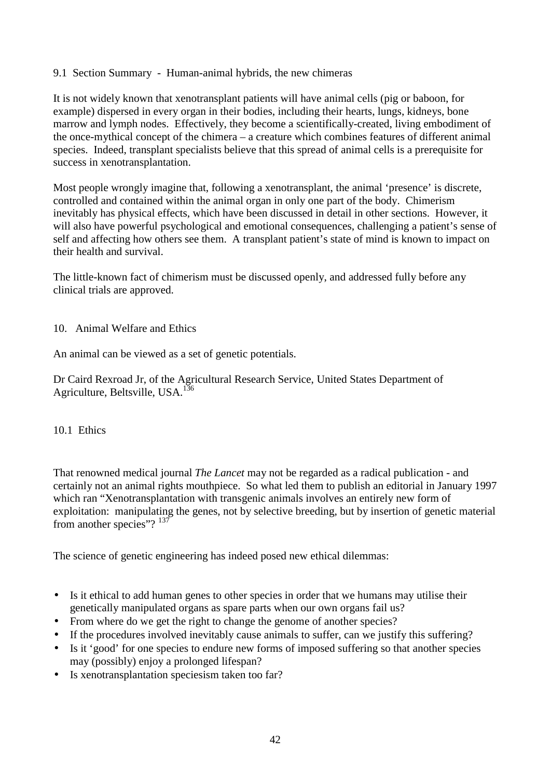## 9.1 Section Summary - Human-animal hybrids, the new chimeras

It is not widely known that xenotransplant patients will have animal cells (pig or baboon, for example) dispersed in every organ in their bodies, including their hearts, lungs, kidneys, bone marrow and lymph nodes. Effectively, they become a scientifically-created, living embodiment of the once-mythical concept of the chimera – a creature which combines features of different animal species. Indeed, transplant specialists believe that this spread of animal cells is a prerequisite for success in xenotransplantation.

Most people wrongly imagine that, following a xenotransplant, the animal 'presence' is discrete, controlled and contained within the animal organ in only one part of the body. Chimerism inevitably has physical effects, which have been discussed in detail in other sections. However, it will also have powerful psychological and emotional consequences, challenging a patient's sense of self and affecting how others see them. A transplant patient's state of mind is known to impact on their health and survival.

The little-known fact of chimerism must be discussed openly, and addressed fully before any clinical trials are approved.

## 10. Animal Welfare and Ethics

An animal can be viewed as a set of genetic potentials.

Dr Caird Rexroad Jr, of the Agricultural Research Service, United States Department of Agriculture, Beltsville, USA.<sup>136</sup>

#### 10.1 Ethics

That renowned medical journal *The Lancet* may not be regarded as a radical publication - and certainly not an animal rights mouthpiece. So what led them to publish an editorial in January 1997 which ran "Xenotransplantation with transgenic animals involves an entirely new form of exploitation: manipulating the genes, not by selective breeding, but by insertion of genetic material from another species"?<sup>137</sup>

The science of genetic engineering has indeed posed new ethical dilemmas:

- Is it ethical to add human genes to other species in order that we humans may utilise their genetically manipulated organs as spare parts when our own organs fail us?
- From where do we get the right to change the genome of another species?
- If the procedures involved inevitably cause animals to suffer, can we justify this suffering?
- Is it 'good' for one species to endure new forms of imposed suffering so that another species may (possibly) enjoy a prolonged lifespan?
- Is xenotransplantation speciesism taken too far?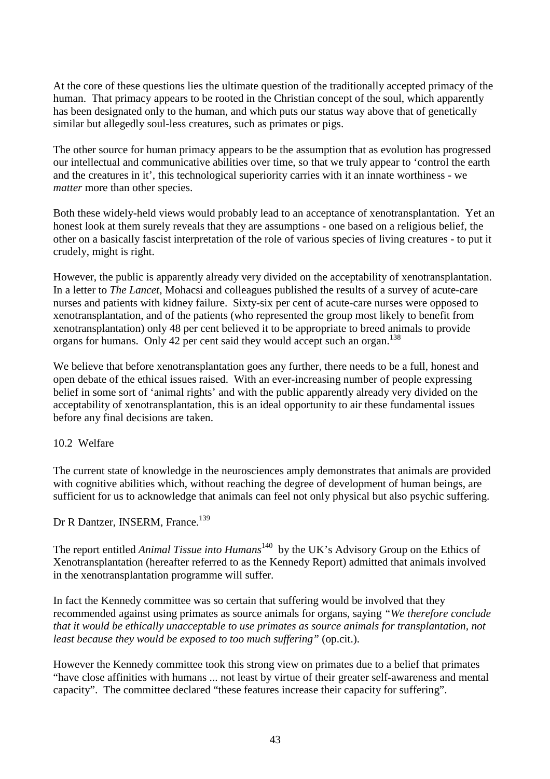At the core of these questions lies the ultimate question of the traditionally accepted primacy of the human. That primacy appears to be rooted in the Christian concept of the soul, which apparently has been designated only to the human, and which puts our status way above that of genetically similar but allegedly soul-less creatures, such as primates or pigs.

The other source for human primacy appears to be the assumption that as evolution has progressed our intellectual and communicative abilities over time, so that we truly appear to 'control the earth and the creatures in it', this technological superiority carries with it an innate worthiness - we *matter* more than other species.

Both these widely-held views would probably lead to an acceptance of xenotransplantation. Yet an honest look at them surely reveals that they are assumptions - one based on a religious belief, the other on a basically fascist interpretation of the role of various species of living creatures - to put it crudely, might is right.

However, the public is apparently already very divided on the acceptability of xenotransplantation. In a letter to *The Lancet*, Mohacsi and colleagues published the results of a survey of acute-care nurses and patients with kidney failure. Sixty-six per cent of acute-care nurses were opposed to xenotransplantation, and of the patients (who represented the group most likely to benefit from xenotransplantation) only 48 per cent believed it to be appropriate to breed animals to provide organs for humans. Only 42 per cent said they would accept such an organ.<sup>138</sup>

We believe that before xenotransplantation goes any further, there needs to be a full, honest and open debate of the ethical issues raised. With an ever-increasing number of people expressing belief in some sort of 'animal rights' and with the public apparently already very divided on the acceptability of xenotransplantation, this is an ideal opportunity to air these fundamental issues before any final decisions are taken.

## 10.2 Welfare

The current state of knowledge in the neurosciences amply demonstrates that animals are provided with cognitive abilities which, without reaching the degree of development of human beings, are sufficient for us to acknowledge that animals can feel not only physical but also psychic suffering.

Dr R Dantzer, INSERM, France.<sup>139</sup>

The report entitled *Animal Tissue into Humans*<sup>140</sup> by the UK's Advisory Group on the Ethics of Xenotransplantation (hereafter referred to as the Kennedy Report) admitted that animals involved in the xenotransplantation programme will suffer.

In fact the Kennedy committee was so certain that suffering would be involved that they recommended against using primates as source animals for organs, saying *"We therefore conclude that it would be ethically unacceptable to use primates as source animals for transplantation, not least because they would be exposed to too much suffering"* (op.cit.).

However the Kennedy committee took this strong view on primates due to a belief that primates "have close affinities with humans ... not least by virtue of their greater self-awareness and mental capacity". The committee declared "these features increase their capacity for suffering".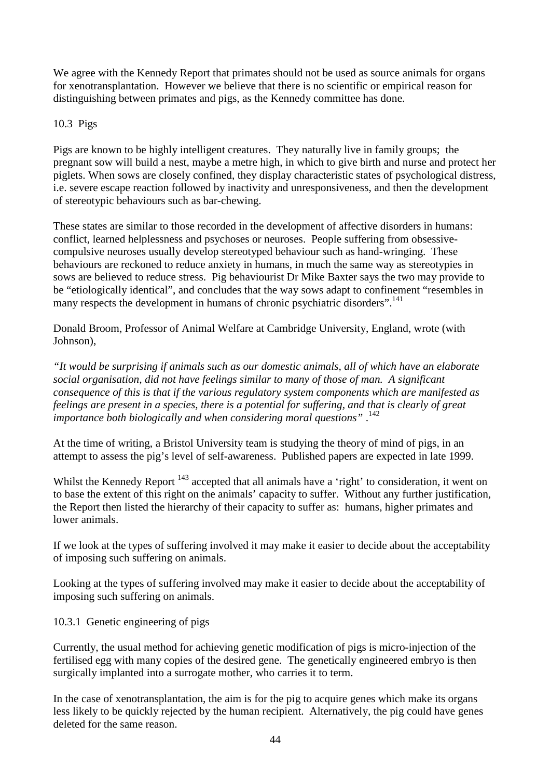We agree with the Kennedy Report that primates should not be used as source animals for organs for xenotransplantation. However we believe that there is no scientific or empirical reason for distinguishing between primates and pigs, as the Kennedy committee has done.

## 10.3 Pigs

Pigs are known to be highly intelligent creatures. They naturally live in family groups; the pregnant sow will build a nest, maybe a metre high, in which to give birth and nurse and protect her piglets. When sows are closely confined, they display characteristic states of psychological distress, i.e. severe escape reaction followed by inactivity and unresponsiveness, and then the development of stereotypic behaviours such as bar-chewing.

These states are similar to those recorded in the development of affective disorders in humans: conflict, learned helplessness and psychoses or neuroses. People suffering from obsessivecompulsive neuroses usually develop stereotyped behaviour such as hand-wringing. These behaviours are reckoned to reduce anxiety in humans, in much the same way as stereotypies in sows are believed to reduce stress. Pig behaviourist Dr Mike Baxter says the two may provide to be "etiologically identical", and concludes that the way sows adapt to confinement "resembles in many respects the development in humans of chronic psychiatric disorders".<sup>141</sup>

Donald Broom, Professor of Animal Welfare at Cambridge University, England, wrote (with Johnson),

*"It would be surprising if animals such as our domestic animals, all of which have an elaborate social organisation, did not have feelings similar to many of those of man. A significant consequence of this is that if the various regulatory system components which are manifested as feelings are present in a species, there is a potential for suffering, and that is clearly of great importance both biologically and when considering moral questions"* .142

At the time of writing, a Bristol University team is studying the theory of mind of pigs, in an attempt to assess the pig's level of self-awareness. Published papers are expected in late 1999.

Whilst the Kennedy Report <sup>143</sup> accepted that all animals have a 'right' to consideration, it went on to base the extent of this right on the animals' capacity to suffer. Without any further justification, the Report then listed the hierarchy of their capacity to suffer as: humans, higher primates and lower animals.

If we look at the types of suffering involved it may make it easier to decide about the acceptability of imposing such suffering on animals.

Looking at the types of suffering involved may make it easier to decide about the acceptability of imposing such suffering on animals.

10.3.1 Genetic engineering of pigs

Currently, the usual method for achieving genetic modification of pigs is micro-injection of the fertilised egg with many copies of the desired gene. The genetically engineered embryo is then surgically implanted into a surrogate mother, who carries it to term.

In the case of xenotransplantation, the aim is for the pig to acquire genes which make its organs less likely to be quickly rejected by the human recipient. Alternatively, the pig could have genes deleted for the same reason.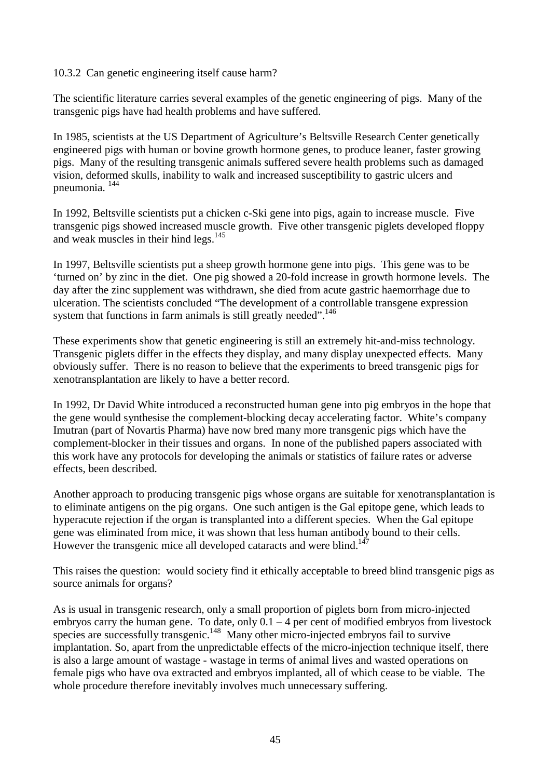### 10.3.2 Can genetic engineering itself cause harm?

The scientific literature carries several examples of the genetic engineering of pigs. Many of the transgenic pigs have had health problems and have suffered.

In 1985, scientists at the US Department of Agriculture's Beltsville Research Center genetically engineered pigs with human or bovine growth hormone genes, to produce leaner, faster growing pigs. Many of the resulting transgenic animals suffered severe health problems such as damaged vision, deformed skulls, inability to walk and increased susceptibility to gastric ulcers and pneumonia. 144

In 1992, Beltsville scientists put a chicken c-Ski gene into pigs, again to increase muscle. Five transgenic pigs showed increased muscle growth. Five other transgenic piglets developed floppy and weak muscles in their hind legs.<sup>145</sup>

In 1997, Beltsville scientists put a sheep growth hormone gene into pigs. This gene was to be 'turned on' by zinc in the diet. One pig showed a 20-fold increase in growth hormone levels. The day after the zinc supplement was withdrawn, she died from acute gastric haemorrhage due to ulceration. The scientists concluded "The development of a controllable transgene expression system that functions in farm animals is still greatly needed".<sup>146</sup>

These experiments show that genetic engineering is still an extremely hit-and-miss technology. Transgenic piglets differ in the effects they display, and many display unexpected effects. Many obviously suffer. There is no reason to believe that the experiments to breed transgenic pigs for xenotransplantation are likely to have a better record.

In 1992, Dr David White introduced a reconstructed human gene into pig embryos in the hope that the gene would synthesise the complement-blocking decay accelerating factor. White's company Imutran (part of Novartis Pharma) have now bred many more transgenic pigs which have the complement-blocker in their tissues and organs. In none of the published papers associated with this work have any protocols for developing the animals or statistics of failure rates or adverse effects, been described.

Another approach to producing transgenic pigs whose organs are suitable for xenotransplantation is to eliminate antigens on the pig organs. One such antigen is the Gal epitope gene, which leads to hyperacute rejection if the organ is transplanted into a different species. When the Gal epitope gene was eliminated from mice, it was shown that less human antibody bound to their cells. However the transgenic mice all developed cataracts and were blind.<sup>147</sup>

This raises the question: would society find it ethically acceptable to breed blind transgenic pigs as source animals for organs?

As is usual in transgenic research, only a small proportion of piglets born from micro-injected embryos carry the human gene. To date, only  $0.1 - 4$  per cent of modified embryos from livestock species are successfully transgenic.<sup>148</sup> Many other micro-injected embryos fail to survive implantation. So, apart from the unpredictable effects of the micro-injection technique itself, there is also a large amount of wastage - wastage in terms of animal lives and wasted operations on female pigs who have ova extracted and embryos implanted, all of which cease to be viable. The whole procedure therefore inevitably involves much unnecessary suffering.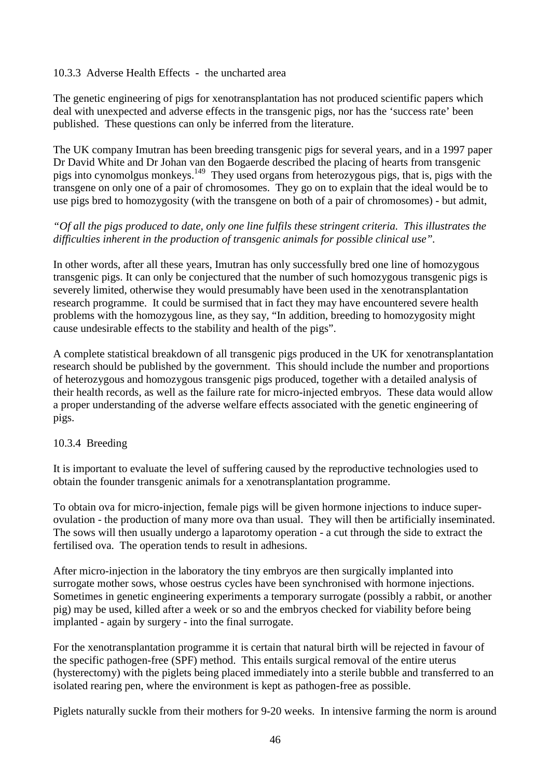## 10.3.3 Adverse Health Effects - the uncharted area

The genetic engineering of pigs for xenotransplantation has not produced scientific papers which deal with unexpected and adverse effects in the transgenic pigs, nor has the 'success rate' been published. These questions can only be inferred from the literature.

The UK company Imutran has been breeding transgenic pigs for several years, and in a 1997 paper Dr David White and Dr Johan van den Bogaerde described the placing of hearts from transgenic pigs into cynomolgus monkeys.<sup>149</sup> They used organs from heterozygous pigs, that is, pigs with the transgene on only one of a pair of chromosomes. They go on to explain that the ideal would be to use pigs bred to homozygosity (with the transgene on both of a pair of chromosomes) - but admit,

## *"Of all the pigs produced to date, only one line fulfils these stringent criteria. This illustrates the difficulties inherent in the production of transgenic animals for possible clinical use".*

In other words, after all these years, Imutran has only successfully bred one line of homozygous transgenic pigs. It can only be conjectured that the number of such homozygous transgenic pigs is severely limited, otherwise they would presumably have been used in the xenotransplantation research programme. It could be surmised that in fact they may have encountered severe health problems with the homozygous line, as they say, "In addition, breeding to homozygosity might cause undesirable effects to the stability and health of the pigs".

A complete statistical breakdown of all transgenic pigs produced in the UK for xenotransplantation research should be published by the government. This should include the number and proportions of heterozygous and homozygous transgenic pigs produced, together with a detailed analysis of their health records, as well as the failure rate for micro-injected embryos. These data would allow a proper understanding of the adverse welfare effects associated with the genetic engineering of pigs.

## 10.3.4 Breeding

It is important to evaluate the level of suffering caused by the reproductive technologies used to obtain the founder transgenic animals for a xenotransplantation programme.

To obtain ova for micro-injection, female pigs will be given hormone injections to induce superovulation - the production of many more ova than usual. They will then be artificially inseminated. The sows will then usually undergo a laparotomy operation - a cut through the side to extract the fertilised ova. The operation tends to result in adhesions.

After micro-injection in the laboratory the tiny embryos are then surgically implanted into surrogate mother sows, whose oestrus cycles have been synchronised with hormone injections. Sometimes in genetic engineering experiments a temporary surrogate (possibly a rabbit, or another pig) may be used, killed after a week or so and the embryos checked for viability before being implanted - again by surgery - into the final surrogate.

For the xenotransplantation programme it is certain that natural birth will be rejected in favour of the specific pathogen-free (SPF) method. This entails surgical removal of the entire uterus (hysterectomy) with the piglets being placed immediately into a sterile bubble and transferred to an isolated rearing pen, where the environment is kept as pathogen-free as possible.

Piglets naturally suckle from their mothers for 9-20 weeks. In intensive farming the norm is around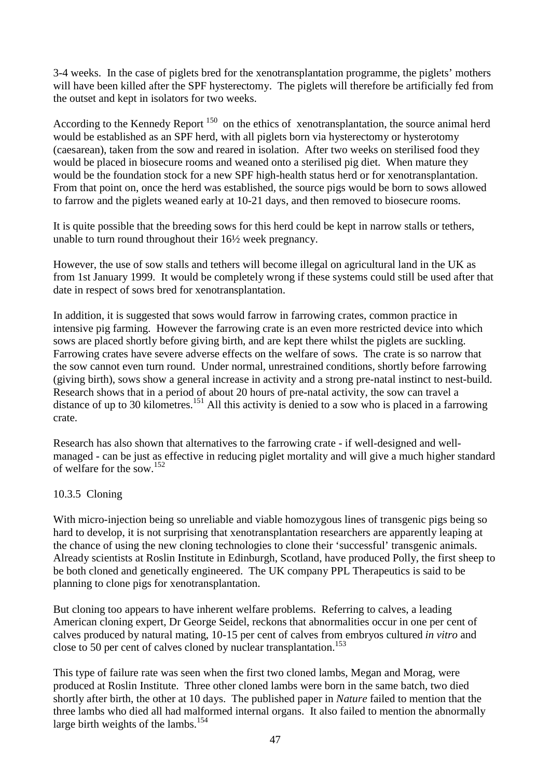3-4 weeks. In the case of piglets bred for the xenotransplantation programme, the piglets' mothers will have been killed after the SPF hysterectomy. The piglets will therefore be artificially fed from the outset and kept in isolators for two weeks.

According to the Kennedy Report  $150$  on the ethics of xenotransplantation, the source animal herd would be established as an SPF herd, with all piglets born via hysterectomy or hysterotomy (caesarean), taken from the sow and reared in isolation. After two weeks on sterilised food they would be placed in biosecure rooms and weaned onto a sterilised pig diet. When mature they would be the foundation stock for a new SPF high-health status herd or for xenotransplantation. From that point on, once the herd was established, the source pigs would be born to sows allowed to farrow and the piglets weaned early at 10-21 days, and then removed to biosecure rooms.

It is quite possible that the breeding sows for this herd could be kept in narrow stalls or tethers, unable to turn round throughout their 16½ week pregnancy.

However, the use of sow stalls and tethers will become illegal on agricultural land in the UK as from 1st January 1999. It would be completely wrong if these systems could still be used after that date in respect of sows bred for xenotransplantation.

In addition, it is suggested that sows would farrow in farrowing crates, common practice in intensive pig farming. However the farrowing crate is an even more restricted device into which sows are placed shortly before giving birth, and are kept there whilst the piglets are suckling. Farrowing crates have severe adverse effects on the welfare of sows. The crate is so narrow that the sow cannot even turn round. Under normal, unrestrained conditions, shortly before farrowing (giving birth), sows show a general increase in activity and a strong pre-natal instinct to nest-build. Research shows that in a period of about 20 hours of pre-natal activity, the sow can travel a distance of up to 30 kilometres.<sup>151</sup> All this activity is denied to a sow who is placed in a farrowing crate.

Research has also shown that alternatives to the farrowing crate - if well-designed and wellmanaged - can be just as effective in reducing piglet mortality and will give a much higher standard of welfare for the sow.<sup>152</sup>

## 10.3.5 Cloning

With micro-injection being so unreliable and viable homozygous lines of transgenic pigs being so hard to develop, it is not surprising that xenotransplantation researchers are apparently leaping at the chance of using the new cloning technologies to clone their 'successful' transgenic animals. Already scientists at Roslin Institute in Edinburgh, Scotland, have produced Polly, the first sheep to be both cloned and genetically engineered. The UK company PPL Therapeutics is said to be planning to clone pigs for xenotransplantation.

But cloning too appears to have inherent welfare problems. Referring to calves, a leading American cloning expert, Dr George Seidel, reckons that abnormalities occur in one per cent of calves produced by natural mating, 10-15 per cent of calves from embryos cultured *in vitro* and close to 50 per cent of calves cloned by nuclear transplantation.<sup>153</sup>

This type of failure rate was seen when the first two cloned lambs, Megan and Morag, were produced at Roslin Institute. Three other cloned lambs were born in the same batch, two died shortly after birth, the other at 10 days. The published paper in *Nature* failed to mention that the three lambs who died all had malformed internal organs. It also failed to mention the abnormally large birth weights of the lambs.<sup>154</sup>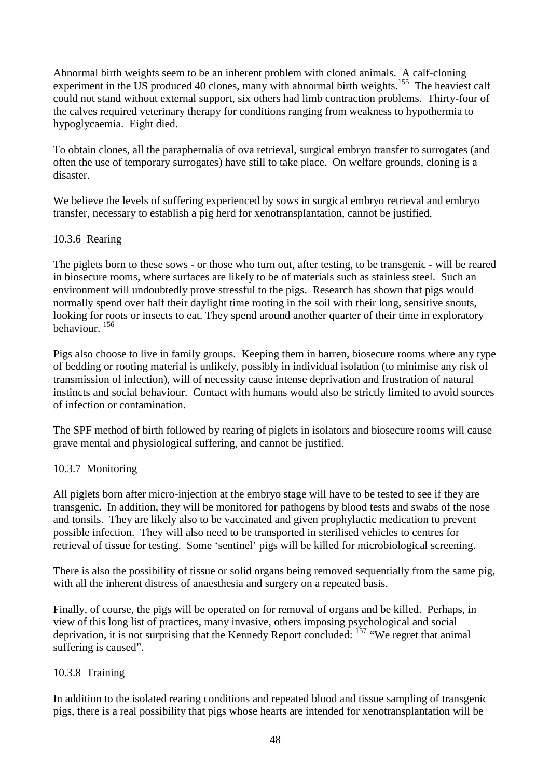Abnormal birth weights seem to be an inherent problem with cloned animals. A calf-cloning experiment in the US produced 40 clones, many with abnormal birth weights.<sup>155</sup> The heaviest calf could not stand without external support, six others had limb contraction problems. Thirty-four of the calves required veterinary therapy for conditions ranging from weakness to hypothermia to hypoglycaemia. Eight died.

To obtain clones, all the paraphernalia of ova retrieval, surgical embryo transfer to surrogates (and often the use of temporary surrogates) have still to take place. On welfare grounds, cloning is a disaster.

We believe the levels of suffering experienced by sows in surgical embryo retrieval and embryo transfer, necessary to establish a pig herd for xenotransplantation, cannot be justified.

## 10.3.6 Rearing

The piglets born to these sows - or those who turn out, after testing, to be transgenic - will be reared in biosecure rooms, where surfaces are likely to be of materials such as stainless steel. Such an environment will undoubtedly prove stressful to the pigs. Research has shown that pigs would normally spend over half their daylight time rooting in the soil with their long, sensitive snouts, looking for roots or insects to eat. They spend around another quarter of their time in exploratory behaviour. 156

Pigs also choose to live in family groups. Keeping them in barren, biosecure rooms where any type of bedding or rooting material is unlikely, possibly in individual isolation (to minimise any risk of transmission of infection), will of necessity cause intense deprivation and frustration of natural instincts and social behaviour. Contact with humans would also be strictly limited to avoid sources of infection or contamination.

The SPF method of birth followed by rearing of piglets in isolators and biosecure rooms will cause grave mental and physiological suffering, and cannot be justified.

## 10.3.7 Monitoring

All piglets born after micro-injection at the embryo stage will have to be tested to see if they are transgenic. In addition, they will be monitored for pathogens by blood tests and swabs of the nose and tonsils. They are likely also to be vaccinated and given prophylactic medication to prevent possible infection. They will also need to be transported in sterilised vehicles to centres for retrieval of tissue for testing. Some 'sentinel' pigs will be killed for microbiological screening.

There is also the possibility of tissue or solid organs being removed sequentially from the same pig, with all the inherent distress of anaesthesia and surgery on a repeated basis.

Finally, of course, the pigs will be operated on for removal of organs and be killed. Perhaps, in view of this long list of practices, many invasive, others imposing psychological and social deprivation, it is not surprising that the Kennedy Report concluded:  $157$  "We regret that animal suffering is caused".

## 10.3.8 Training

In addition to the isolated rearing conditions and repeated blood and tissue sampling of transgenic pigs, there is a real possibility that pigs whose hearts are intended for xenotransplantation will be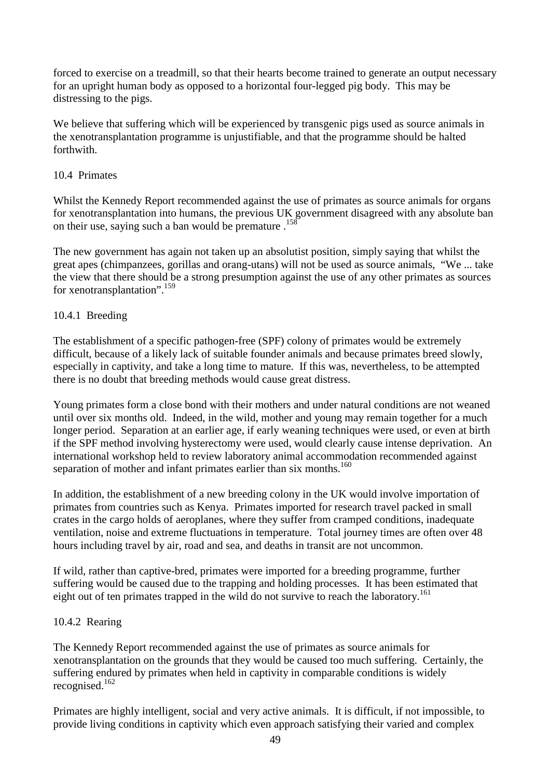forced to exercise on a treadmill, so that their hearts become trained to generate an output necessary for an upright human body as opposed to a horizontal four-legged pig body. This may be distressing to the pigs.

We believe that suffering which will be experienced by transgenic pigs used as source animals in the xenotransplantation programme is unjustifiable, and that the programme should be halted forthwith.

## 10.4 Primates

Whilst the Kennedy Report recommended against the use of primates as source animals for organs for xenotransplantation into humans, the previous UK government disagreed with any absolute ban on their use, saying such a ban would be premature  $.158$ 

The new government has again not taken up an absolutist position, simply saying that whilst the great apes (chimpanzees, gorillas and orang-utans) will not be used as source animals, "We ... take the view that there should be a strong presumption against the use of any other primates as sources for xenotransplantation".<sup>159</sup>

## 10.4.1 Breeding

The establishment of a specific pathogen-free (SPF) colony of primates would be extremely difficult, because of a likely lack of suitable founder animals and because primates breed slowly, especially in captivity, and take a long time to mature. If this was, nevertheless, to be attempted there is no doubt that breeding methods would cause great distress.

Young primates form a close bond with their mothers and under natural conditions are not weaned until over six months old. Indeed, in the wild, mother and young may remain together for a much longer period. Separation at an earlier age, if early weaning techniques were used, or even at birth if the SPF method involving hysterectomy were used, would clearly cause intense deprivation. An international workshop held to review laboratory animal accommodation recommended against separation of mother and infant primates earlier than six months. $160$ 

In addition, the establishment of a new breeding colony in the UK would involve importation of primates from countries such as Kenya. Primates imported for research travel packed in small crates in the cargo holds of aeroplanes, where they suffer from cramped conditions, inadequate ventilation, noise and extreme fluctuations in temperature. Total journey times are often over 48 hours including travel by air, road and sea, and deaths in transit are not uncommon.

If wild, rather than captive-bred, primates were imported for a breeding programme, further suffering would be caused due to the trapping and holding processes. It has been estimated that eight out of ten primates trapped in the wild do not survive to reach the laboratory.<sup>161</sup>

## 10.4.2 Rearing

The Kennedy Report recommended against the use of primates as source animals for xenotransplantation on the grounds that they would be caused too much suffering. Certainly, the suffering endured by primates when held in captivity in comparable conditions is widely recognised.162

Primates are highly intelligent, social and very active animals. It is difficult, if not impossible, to provide living conditions in captivity which even approach satisfying their varied and complex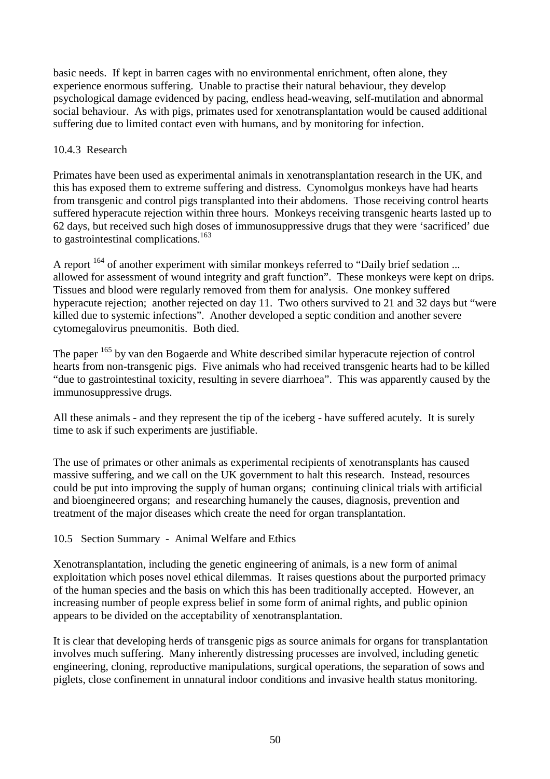basic needs. If kept in barren cages with no environmental enrichment, often alone, they experience enormous suffering. Unable to practise their natural behaviour, they develop psychological damage evidenced by pacing, endless head-weaving, self-mutilation and abnormal social behaviour. As with pigs, primates used for xenotransplantation would be caused additional suffering due to limited contact even with humans, and by monitoring for infection.

## 10.4.3 Research

Primates have been used as experimental animals in xenotransplantation research in the UK, and this has exposed them to extreme suffering and distress. Cynomolgus monkeys have had hearts from transgenic and control pigs transplanted into their abdomens. Those receiving control hearts suffered hyperacute rejection within three hours. Monkeys receiving transgenic hearts lasted up to 62 days, but received such high doses of immunosuppressive drugs that they were 'sacrificed' due to gastrointestinal complications.<sup>163</sup>

A report  $^{164}$  of another experiment with similar monkeys referred to "Daily brief sedation ... allowed for assessment of wound integrity and graft function". These monkeys were kept on drips. Tissues and blood were regularly removed from them for analysis. One monkey suffered hyperacute rejection; another rejected on day 11. Two others survived to 21 and 32 days but "were killed due to systemic infections". Another developed a septic condition and another severe cytomegalovirus pneumonitis. Both died.

The paper <sup>165</sup> by van den Bogaerde and White described similar hyperacute rejection of control hearts from non-transgenic pigs. Five animals who had received transgenic hearts had to be killed "due to gastrointestinal toxicity, resulting in severe diarrhoea". This was apparently caused by the immunosuppressive drugs.

All these animals - and they represent the tip of the iceberg - have suffered acutely. It is surely time to ask if such experiments are justifiable.

The use of primates or other animals as experimental recipients of xenotransplants has caused massive suffering, and we call on the UK government to halt this research. Instead, resources could be put into improving the supply of human organs; continuing clinical trials with artificial and bioengineered organs; and researching humanely the causes, diagnosis, prevention and treatment of the major diseases which create the need for organ transplantation.

## 10.5 Section Summary - Animal Welfare and Ethics

Xenotransplantation, including the genetic engineering of animals, is a new form of animal exploitation which poses novel ethical dilemmas. It raises questions about the purported primacy of the human species and the basis on which this has been traditionally accepted. However, an increasing number of people express belief in some form of animal rights, and public opinion appears to be divided on the acceptability of xenotransplantation.

It is clear that developing herds of transgenic pigs as source animals for organs for transplantation involves much suffering. Many inherently distressing processes are involved, including genetic engineering, cloning, reproductive manipulations, surgical operations, the separation of sows and piglets, close confinement in unnatural indoor conditions and invasive health status monitoring.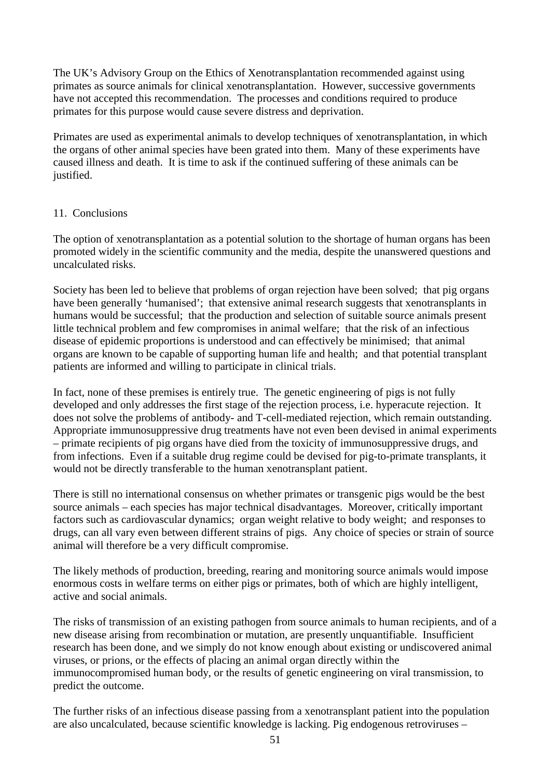The UK's Advisory Group on the Ethics of Xenotransplantation recommended against using primates as source animals for clinical xenotransplantation. However, successive governments have not accepted this recommendation. The processes and conditions required to produce primates for this purpose would cause severe distress and deprivation.

Primates are used as experimental animals to develop techniques of xenotransplantation, in which the organs of other animal species have been grated into them. Many of these experiments have caused illness and death. It is time to ask if the continued suffering of these animals can be justified.

## 11. Conclusions

The option of xenotransplantation as a potential solution to the shortage of human organs has been promoted widely in the scientific community and the media, despite the unanswered questions and uncalculated risks.

Society has been led to believe that problems of organ rejection have been solved; that pig organs have been generally 'humanised'; that extensive animal research suggests that xenotransplants in humans would be successful; that the production and selection of suitable source animals present little technical problem and few compromises in animal welfare; that the risk of an infectious disease of epidemic proportions is understood and can effectively be minimised; that animal organs are known to be capable of supporting human life and health; and that potential transplant patients are informed and willing to participate in clinical trials.

In fact, none of these premises is entirely true. The genetic engineering of pigs is not fully developed and only addresses the first stage of the rejection process, i.e. hyperacute rejection. It does not solve the problems of antibody- and T-cell-mediated rejection, which remain outstanding. Appropriate immunosuppressive drug treatments have not even been devised in animal experiments – primate recipients of pig organs have died from the toxicity of immunosuppressive drugs, and from infections. Even if a suitable drug regime could be devised for pig-to-primate transplants, it would not be directly transferable to the human xenotransplant patient.

There is still no international consensus on whether primates or transgenic pigs would be the best source animals – each species has major technical disadvantages. Moreover, critically important factors such as cardiovascular dynamics; organ weight relative to body weight; and responses to drugs, can all vary even between different strains of pigs. Any choice of species or strain of source animal will therefore be a very difficult compromise.

The likely methods of production, breeding, rearing and monitoring source animals would impose enormous costs in welfare terms on either pigs or primates, both of which are highly intelligent, active and social animals.

The risks of transmission of an existing pathogen from source animals to human recipients, and of a new disease arising from recombination or mutation, are presently unquantifiable. Insufficient research has been done, and we simply do not know enough about existing or undiscovered animal viruses, or prions, or the effects of placing an animal organ directly within the immunocompromised human body, or the results of genetic engineering on viral transmission, to predict the outcome.

The further risks of an infectious disease passing from a xenotransplant patient into the population are also uncalculated, because scientific knowledge is lacking. Pig endogenous retroviruses –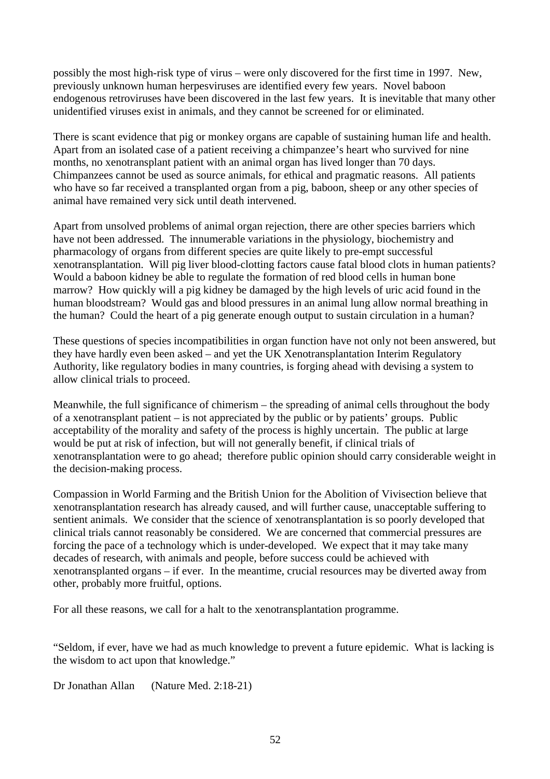possibly the most high-risk type of virus – were only discovered for the first time in 1997. New, previously unknown human herpesviruses are identified every few years. Novel baboon endogenous retroviruses have been discovered in the last few years. It is inevitable that many other unidentified viruses exist in animals, and they cannot be screened for or eliminated.

There is scant evidence that pig or monkey organs are capable of sustaining human life and health. Apart from an isolated case of a patient receiving a chimpanzee's heart who survived for nine months, no xenotransplant patient with an animal organ has lived longer than 70 days. Chimpanzees cannot be used as source animals, for ethical and pragmatic reasons. All patients who have so far received a transplanted organ from a pig, baboon, sheep or any other species of animal have remained very sick until death intervened.

Apart from unsolved problems of animal organ rejection, there are other species barriers which have not been addressed. The innumerable variations in the physiology, biochemistry and pharmacology of organs from different species are quite likely to pre-empt successful xenotransplantation. Will pig liver blood-clotting factors cause fatal blood clots in human patients? Would a baboon kidney be able to regulate the formation of red blood cells in human bone marrow? How quickly will a pig kidney be damaged by the high levels of uric acid found in the human bloodstream? Would gas and blood pressures in an animal lung allow normal breathing in the human? Could the heart of a pig generate enough output to sustain circulation in a human?

These questions of species incompatibilities in organ function have not only not been answered, but they have hardly even been asked – and yet the UK Xenotransplantation Interim Regulatory Authority, like regulatory bodies in many countries, is forging ahead with devising a system to allow clinical trials to proceed.

Meanwhile, the full significance of chimerism – the spreading of animal cells throughout the body of a xenotransplant patient – is not appreciated by the public or by patients' groups. Public acceptability of the morality and safety of the process is highly uncertain. The public at large would be put at risk of infection, but will not generally benefit, if clinical trials of xenotransplantation were to go ahead; therefore public opinion should carry considerable weight in the decision-making process.

Compassion in World Farming and the British Union for the Abolition of Vivisection believe that xenotransplantation research has already caused, and will further cause, unacceptable suffering to sentient animals. We consider that the science of xenotransplantation is so poorly developed that clinical trials cannot reasonably be considered. We are concerned that commercial pressures are forcing the pace of a technology which is under-developed. We expect that it may take many decades of research, with animals and people, before success could be achieved with xenotransplanted organs – if ever. In the meantime, crucial resources may be diverted away from other, probably more fruitful, options.

For all these reasons, we call for a halt to the xenotransplantation programme.

"Seldom, if ever, have we had as much knowledge to prevent a future epidemic. What is lacking is the wisdom to act upon that knowledge."

Dr Jonathan Allan (Nature Med. 2:18-21)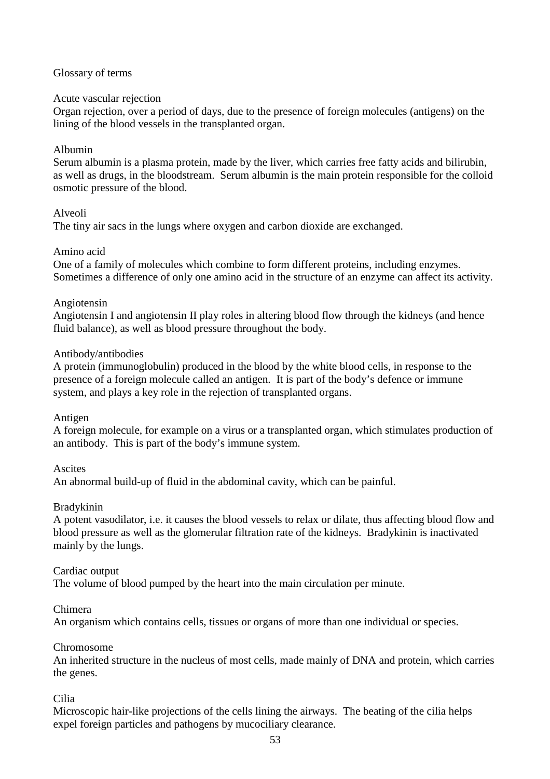#### Glossary of terms

#### Acute vascular rejection

Organ rejection, over a period of days, due to the presence of foreign molecules (antigens) on the lining of the blood vessels in the transplanted organ.

#### Albumin

Serum albumin is a plasma protein, made by the liver, which carries free fatty acids and bilirubin, as well as drugs, in the bloodstream. Serum albumin is the main protein responsible for the colloid osmotic pressure of the blood.

#### Alveoli

The tiny air sacs in the lungs where oxygen and carbon dioxide are exchanged.

#### Amino acid

One of a family of molecules which combine to form different proteins, including enzymes. Sometimes a difference of only one amino acid in the structure of an enzyme can affect its activity.

#### Angiotensin

Angiotensin I and angiotensin II play roles in altering blood flow through the kidneys (and hence fluid balance), as well as blood pressure throughout the body.

#### Antibody/antibodies

A protein (immunoglobulin) produced in the blood by the white blood cells, in response to the presence of a foreign molecule called an antigen. It is part of the body's defence or immune system, and plays a key role in the rejection of transplanted organs.

#### Antigen

A foreign molecule, for example on a virus or a transplanted organ, which stimulates production of an antibody. This is part of the body's immune system.

#### **Ascites**

An abnormal build-up of fluid in the abdominal cavity, which can be painful.

#### Bradykinin

A potent vasodilator, i.e. it causes the blood vessels to relax or dilate, thus affecting blood flow and blood pressure as well as the glomerular filtration rate of the kidneys. Bradykinin is inactivated mainly by the lungs.

#### Cardiac output

The volume of blood pumped by the heart into the main circulation per minute.

#### Chimera

An organism which contains cells, tissues or organs of more than one individual or species.

#### Chromosome

An inherited structure in the nucleus of most cells, made mainly of DNA and protein, which carries the genes.

#### Cilia

Microscopic hair-like projections of the cells lining the airways. The beating of the cilia helps expel foreign particles and pathogens by mucociliary clearance.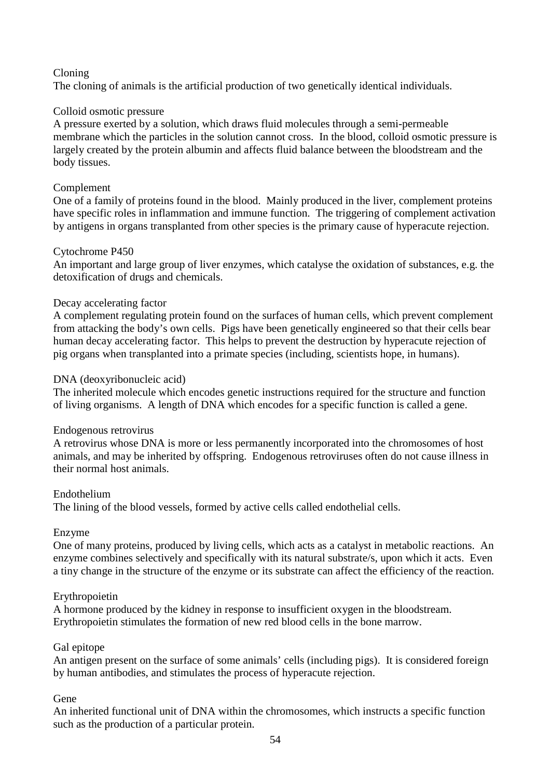## Cloning

The cloning of animals is the artificial production of two genetically identical individuals.

## Colloid osmotic pressure

A pressure exerted by a solution, which draws fluid molecules through a semi-permeable membrane which the particles in the solution cannot cross. In the blood, colloid osmotic pressure is largely created by the protein albumin and affects fluid balance between the bloodstream and the body tissues.

## Complement

One of a family of proteins found in the blood. Mainly produced in the liver, complement proteins have specific roles in inflammation and immune function. The triggering of complement activation by antigens in organs transplanted from other species is the primary cause of hyperacute rejection.

#### Cytochrome P450

An important and large group of liver enzymes, which catalyse the oxidation of substances, e.g. the detoxification of drugs and chemicals.

## Decay accelerating factor

A complement regulating protein found on the surfaces of human cells, which prevent complement from attacking the body's own cells. Pigs have been genetically engineered so that their cells bear human decay accelerating factor. This helps to prevent the destruction by hyperacute rejection of pig organs when transplanted into a primate species (including, scientists hope, in humans).

## DNA (deoxyribonucleic acid)

The inherited molecule which encodes genetic instructions required for the structure and function of living organisms. A length of DNA which encodes for a specific function is called a gene.

#### Endogenous retrovirus

A retrovirus whose DNA is more or less permanently incorporated into the chromosomes of host animals, and may be inherited by offspring. Endogenous retroviruses often do not cause illness in their normal host animals.

#### Endothelium

The lining of the blood vessels, formed by active cells called endothelial cells.

#### Enzyme

One of many proteins, produced by living cells, which acts as a catalyst in metabolic reactions. An enzyme combines selectively and specifically with its natural substrate/s, upon which it acts. Even a tiny change in the structure of the enzyme or its substrate can affect the efficiency of the reaction.

#### Erythropoietin

A hormone produced by the kidney in response to insufficient oxygen in the bloodstream. Erythropoietin stimulates the formation of new red blood cells in the bone marrow.

#### Gal epitope

An antigen present on the surface of some animals' cells (including pigs). It is considered foreign by human antibodies, and stimulates the process of hyperacute rejection.

#### Gene

An inherited functional unit of DNA within the chromosomes, which instructs a specific function such as the production of a particular protein.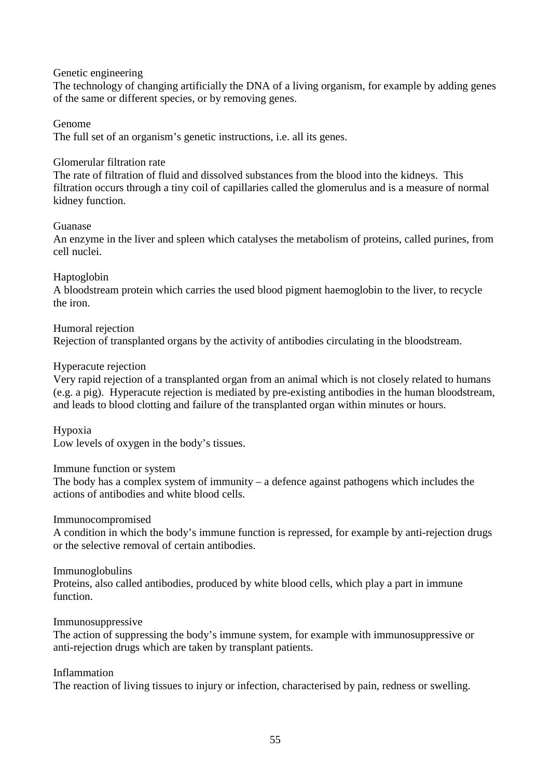#### Genetic engineering

The technology of changing artificially the DNA of a living organism, for example by adding genes of the same or different species, or by removing genes.

#### Genome

The full set of an organism's genetic instructions, i.e. all its genes.

#### Glomerular filtration rate

The rate of filtration of fluid and dissolved substances from the blood into the kidneys. This filtration occurs through a tiny coil of capillaries called the glomerulus and is a measure of normal kidney function.

#### Guanase

An enzyme in the liver and spleen which catalyses the metabolism of proteins, called purines, from cell nuclei.

#### Haptoglobin

A bloodstream protein which carries the used blood pigment haemoglobin to the liver, to recycle the iron.

#### Humoral rejection

Rejection of transplanted organs by the activity of antibodies circulating in the bloodstream.

#### Hyperacute rejection

Very rapid rejection of a transplanted organ from an animal which is not closely related to humans (e.g. a pig). Hyperacute rejection is mediated by pre-existing antibodies in the human bloodstream, and leads to blood clotting and failure of the transplanted organ within minutes or hours.

#### Hypoxia

Low levels of oxygen in the body's tissues.

#### Immune function or system

The body has a complex system of immunity – a defence against pathogens which includes the actions of antibodies and white blood cells.

#### Immunocompromised

A condition in which the body's immune function is repressed, for example by anti-rejection drugs or the selective removal of certain antibodies.

#### Immunoglobulins

Proteins, also called antibodies, produced by white blood cells, which play a part in immune function.

#### Immunosuppressive

The action of suppressing the body's immune system, for example with immunosuppressive or anti-rejection drugs which are taken by transplant patients.

#### Inflammation

The reaction of living tissues to injury or infection, characterised by pain, redness or swelling.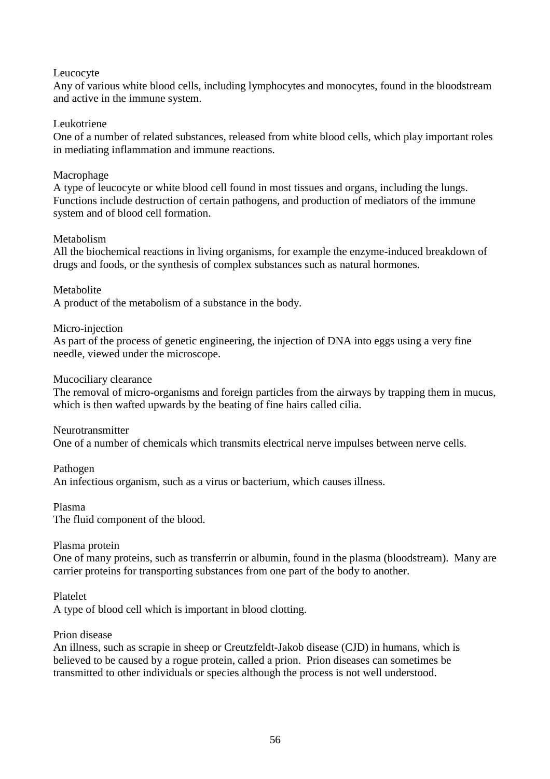## Leucocyte

Any of various white blood cells, including lymphocytes and monocytes, found in the bloodstream and active in the immune system.

#### Leukotriene

One of a number of related substances, released from white blood cells, which play important roles in mediating inflammation and immune reactions.

## Macrophage

A type of leucocyte or white blood cell found in most tissues and organs, including the lungs. Functions include destruction of certain pathogens, and production of mediators of the immune system and of blood cell formation.

#### Metabolism

All the biochemical reactions in living organisms, for example the enzyme-induced breakdown of drugs and foods, or the synthesis of complex substances such as natural hormones.

## **Metabolite**

A product of the metabolism of a substance in the body.

#### Micro-injection

As part of the process of genetic engineering, the injection of DNA into eggs using a very fine needle, viewed under the microscope.

#### Mucociliary clearance

The removal of micro-organisms and foreign particles from the airways by trapping them in mucus, which is then wafted upwards by the beating of fine hairs called cilia.

#### Neurotransmitter

One of a number of chemicals which transmits electrical nerve impulses between nerve cells.

Pathogen An infectious organism, such as a virus or bacterium, which causes illness.

Plasma

The fluid component of the blood.

#### Plasma protein

One of many proteins, such as transferrin or albumin, found in the plasma (bloodstream). Many are carrier proteins for transporting substances from one part of the body to another.

Platelet

A type of blood cell which is important in blood clotting.

#### Prion disease

An illness, such as scrapie in sheep or Creutzfeldt-Jakob disease (CJD) in humans, which is believed to be caused by a rogue protein, called a prion. Prion diseases can sometimes be transmitted to other individuals or species although the process is not well understood.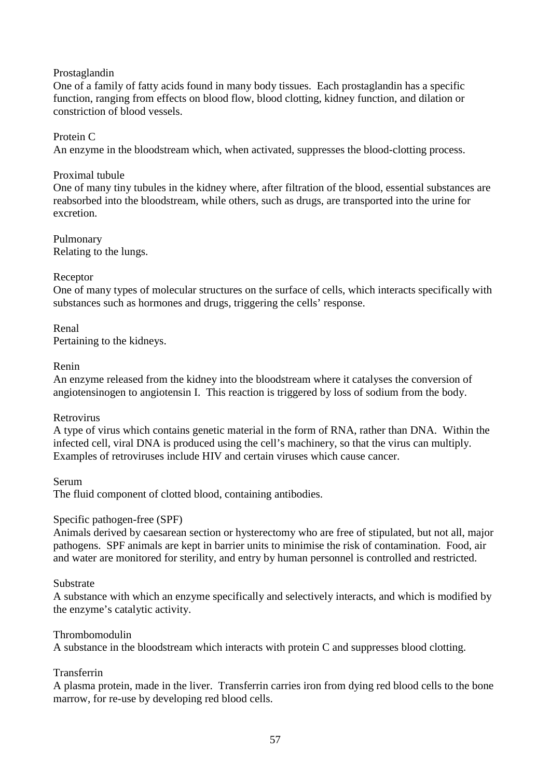## Prostaglandin

One of a family of fatty acids found in many body tissues. Each prostaglandin has a specific function, ranging from effects on blood flow, blood clotting, kidney function, and dilation or constriction of blood vessels.

## Protein C

An enzyme in the bloodstream which, when activated, suppresses the blood-clotting process.

## Proximal tubule

One of many tiny tubules in the kidney where, after filtration of the blood, essential substances are reabsorbed into the bloodstream, while others, such as drugs, are transported into the urine for excretion.

Pulmonary Relating to the lungs.

#### Receptor

One of many types of molecular structures on the surface of cells, which interacts specifically with substances such as hormones and drugs, triggering the cells' response.

## Renal Pertaining to the kidneys.

#### Renin

An enzyme released from the kidney into the bloodstream where it catalyses the conversion of angiotensinogen to angiotensin I. This reaction is triggered by loss of sodium from the body.

#### Retrovirus

A type of virus which contains genetic material in the form of RNA, rather than DNA. Within the infected cell, viral DNA is produced using the cell's machinery, so that the virus can multiply. Examples of retroviruses include HIV and certain viruses which cause cancer.

#### Serum

The fluid component of clotted blood, containing antibodies.

#### Specific pathogen-free (SPF)

Animals derived by caesarean section or hysterectomy who are free of stipulated, but not all, major pathogens. SPF animals are kept in barrier units to minimise the risk of contamination. Food, air and water are monitored for sterility, and entry by human personnel is controlled and restricted.

#### Substrate

A substance with which an enzyme specifically and selectively interacts, and which is modified by the enzyme's catalytic activity.

#### Thrombomodulin

A substance in the bloodstream which interacts with protein C and suppresses blood clotting.

## Transferrin

A plasma protein, made in the liver. Transferrin carries iron from dying red blood cells to the bone marrow, for re-use by developing red blood cells.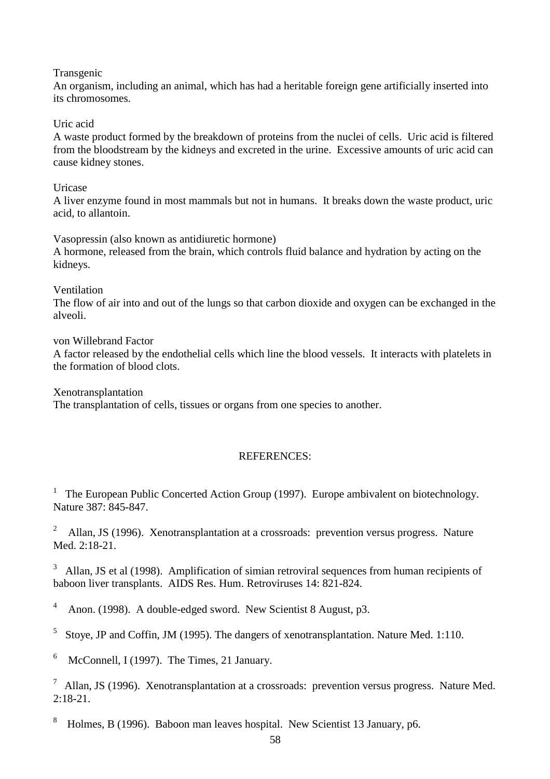Transgenic

An organism, including an animal, which has had a heritable foreign gene artificially inserted into its chromosomes.

Uric acid

A waste product formed by the breakdown of proteins from the nuclei of cells. Uric acid is filtered from the bloodstream by the kidneys and excreted in the urine. Excessive amounts of uric acid can cause kidney stones.

Uricase

A liver enzyme found in most mammals but not in humans. It breaks down the waste product, uric acid, to allantoin.

Vasopressin (also known as antidiuretic hormone) A hormone, released from the brain, which controls fluid balance and hydration by acting on the kidneys.

Ventilation

The flow of air into and out of the lungs so that carbon dioxide and oxygen can be exchanged in the alveoli.

von Willebrand Factor

A factor released by the endothelial cells which line the blood vessels. It interacts with platelets in the formation of blood clots.

Xenotransplantation The transplantation of cells, tissues or organs from one species to another.

## REFERENCES:

<sup>1</sup> The European Public Concerted Action Group (1997). Europe ambivalent on biotechnology. Nature 387: 845-847.

<sup>2</sup> Allan, JS (1996). Xenotransplantation at a crossroads: prevention versus progress. Nature Med. 2:18-21.

<sup>3</sup> Allan, JS et al (1998). Amplification of simian retroviral sequences from human recipients of baboon liver transplants. AIDS Res. Hum. Retroviruses 14: 821-824.

4 Anon. (1998). A double-edged sword. New Scientist 8 August, p3.

5 Stoye, JP and Coffin, JM (1995). The dangers of xenotransplantation. Nature Med. 1:110.

6 McConnell, I (1997). The Times, 21 January.

 $\frac{7}{1}$  Allan, JS (1996). Xenotransplantation at a crossroads: prevention versus progress. Nature Med.  $2.18 - 21$ 

8 Holmes, B (1996). Baboon man leaves hospital. New Scientist 13 January, p6.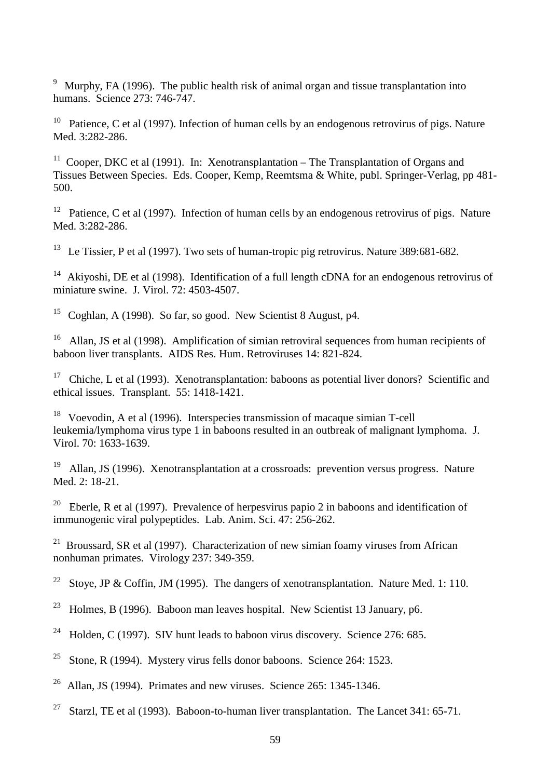<sup>9</sup> Murphy, FA (1996). The public health risk of animal organ and tissue transplantation into humans. Science 273: 746-747.

<sup>10</sup> Patience, C et al (1997). Infection of human cells by an endogenous retrovirus of pigs. Nature Med. 3:282-286.

<sup>11</sup> Cooper, DKC et al (1991). In: Xenotransplantation – The Transplantation of Organs and Tissues Between Species. Eds. Cooper, Kemp, Reemtsma & White, publ. Springer-Verlag, pp 481- 500.

<sup>12</sup> Patience, C et al (1997). Infection of human cells by an endogenous retrovirus of pigs. Nature Med. 3:282-286.

<sup>13</sup> Le Tissier, P et al (1997). Two sets of human-tropic pig retrovirus. Nature 389:681-682.

<sup>14</sup> Akiyoshi, DE et al (1998). Identification of a full length cDNA for an endogenous retrovirus of miniature swine. J. Virol. 72: 4503-4507.

<sup>15</sup> Coghlan, A (1998). So far, so good. New Scientist 8 August,  $p4$ .

<sup>16</sup> Allan, JS et al (1998). Amplification of simian retroviral sequences from human recipients of baboon liver transplants. AIDS Res. Hum. Retroviruses 14: 821-824.

<sup>17</sup> Chiche, L et al (1993). Xenotransplantation: baboons as potential liver donors? Scientific and ethical issues. Transplant. 55: 1418-1421.

18 Voevodin, A et al (1996). Interspecies transmission of macaque simian T-cell leukemia/lymphoma virus type 1 in baboons resulted in an outbreak of malignant lymphoma. J. Virol. 70: 1633-1639.

<sup>19</sup> Allan, JS (1996). Xenotransplantation at a crossroads: prevention versus progress. Nature Med. 2: 18-21.

<sup>20</sup> Eberle, R et al (1997). Prevalence of herpesvirus papio 2 in baboons and identification of immunogenic viral polypeptides. Lab. Anim. Sci. 47: 256-262.

<sup>21</sup> Broussard, SR et al (1997). Characterization of new simian foamy viruses from African nonhuman primates. Virology 237: 349-359.

<sup>22</sup> Stoye, JP & Coffin, JM (1995). The dangers of xenotransplantation. Nature Med. 1: 110.

<sup>23</sup> Holmes, B (1996). Baboon man leaves hospital. New Scientist 13 January, p6.

<sup>24</sup> Holden, C (1997). SIV hunt leads to baboon virus discovery. Science 276: 685.

<sup>25</sup> Stone, R (1994). Mystery virus fells donor baboons. Science 264: 1523.

<sup>26</sup> Allan, JS (1994). Primates and new viruses. Science  $265: 1345-1346$ .

<sup>27</sup> Starzl, TE et al (1993). Baboon-to-human liver transplantation. The Lancet 341: 65-71.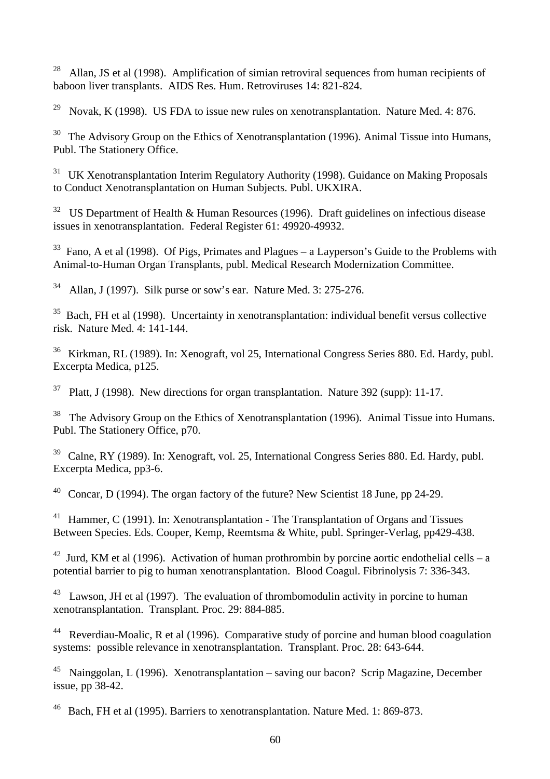<sup>28</sup> Allan, JS et al (1998). Amplification of simian retroviral sequences from human recipients of baboon liver transplants. AIDS Res. Hum. Retroviruses 14: 821-824.

<sup>29</sup> Novak, K (1998). US FDA to issue new rules on xenotransplantation. Nature Med. 4: 876.

 $30$  The Advisory Group on the Ethics of Xenotransplantation (1996). Animal Tissue into Humans, Publ. The Stationery Office.

<sup>31</sup> UK Xenotransplantation Interim Regulatory Authority (1998). Guidance on Making Proposals to Conduct Xenotransplantation on Human Subjects. Publ. UKXIRA.

<sup>32</sup> US Department of Health & Human Resources (1996). Draft guidelines on infectious disease issues in xenotransplantation. Federal Register 61: 49920-49932.

 $33$  Fano, A et al (1998). Of Pigs, Primates and Plagues – a Layperson's Guide to the Problems with Animal-to-Human Organ Transplants, publ. Medical Research Modernization Committee.

 $34$  Allan, J (1997). Silk purse or sow's ear. Nature Med. 3: 275-276.

 $35$  Bach, FH et al (1998). Uncertainty in xenotransplantation: individual benefit versus collective risk. Nature Med. 4: 141-144.

36 Kirkman, RL (1989). In: Xenograft, vol 25, International Congress Series 880. Ed. Hardy, publ. Excerpta Medica, p125.

 $37$  Platt, J (1998). New directions for organ transplantation. Nature 392 (supp): 11-17.

<sup>38</sup> The Advisory Group on the Ethics of Xenotransplantation (1996). Animal Tissue into Humans. Publ. The Stationery Office, p70.

39 Calne, RY (1989). In: Xenograft, vol. 25, International Congress Series 880. Ed. Hardy, publ. Excerpta Medica, pp3-6.

40 Concar, D (1994). The organ factory of the future? New Scientist 18 June, pp 24-29.

Hammer, C (1991). In: Xenotransplantation - The Transplantation of Organs and Tissues Between Species. Eds. Cooper, Kemp, Reemtsma & White, publ. Springer-Verlag, pp429-438.

<sup>42</sup> Jurd, KM et al (1996). Activation of human prothrombin by porcine aortic endothelial cells – a potential barrier to pig to human xenotransplantation. Blood Coagul. Fibrinolysis 7: 336-343.

 $43$  Lawson, JH et al (1997). The evaluation of thrombomodulin activity in porcine to human xenotransplantation. Transplant. Proc. 29: 884-885.

<sup>44</sup> Reverdiau-Moalic, R et al (1996). Comparative study of porcine and human blood coagulation systems: possible relevance in xenotransplantation. Transplant. Proc. 28: 643-644.

<sup>45</sup> Nainggolan, L (1996). Xenotransplantation – saving our bacon? Scrip Magazine, December issue, pp 38-42.

46 Bach, FH et al (1995). Barriers to xenotransplantation. Nature Med. 1: 869-873.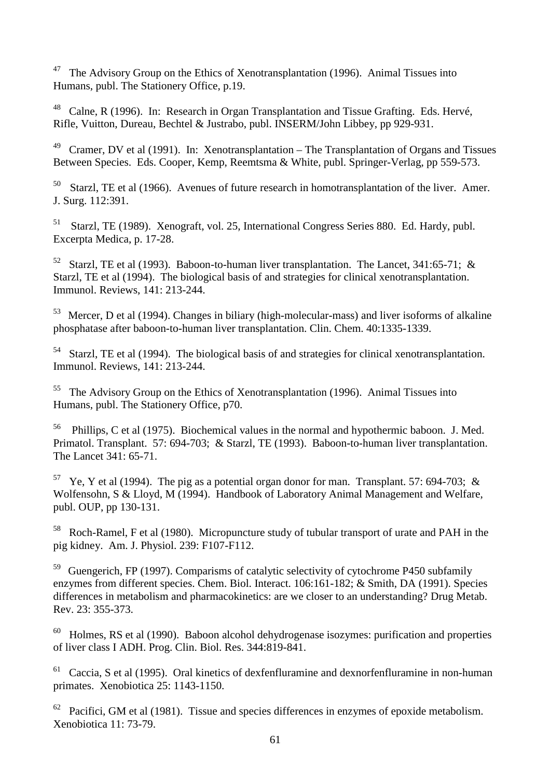<sup>47</sup> The Advisory Group on the Ethics of Xenotransplantation (1996). Animal Tissues into Humans, publ. The Stationery Office, p.19.

<sup>48</sup> Calne, R (1996). In: Research in Organ Transplantation and Tissue Grafting. Eds. Hervé, Rifle, Vuitton, Dureau, Bechtel & Justrabo, publ. INSERM/John Libbey, pp 929-931.

<sup>49</sup> Cramer, DV et al (1991). In: Xenotransplantation – The Transplantation of Organs and Tissues Between Species. Eds. Cooper, Kemp, Reemtsma & White, publ. Springer-Verlag, pp 559-573.

 $50$  Starzl, TE et al (1966). Avenues of future research in homotransplantation of the liver. Amer. J. Surg. 112:391.

51 Starzl, TE (1989). Xenograft, vol. 25, International Congress Series 880. Ed. Hardy, publ. Excerpta Medica, p. 17-28.

<sup>52</sup> Starzl, TE et al (1993). Baboon-to-human liver transplantation. The Lancet, 341:65-71; & Starzl, TE et al (1994). The biological basis of and strategies for clinical xenotransplantation. Immunol. Reviews, 141: 213-244.

53 Mercer, D et al (1994). Changes in biliary (high-molecular-mass) and liver isoforms of alkaline phosphatase after baboon-to-human liver transplantation. Clin. Chem. 40:1335-1339.

54 Starzl, TE et al (1994). The biological basis of and strategies for clinical xenotransplantation. Immunol. Reviews, 141: 213-244.

The Advisory Group on the Ethics of Xenotransplantation (1996). Animal Tissues into Humans, publ. The Stationery Office, p70.

56 Phillips, C et al (1975). Biochemical values in the normal and hypothermic baboon. J. Med. Primatol. Transplant. 57: 694-703; & Starzl, TE (1993). Baboon-to-human liver transplantation. The Lancet 341: 65-71.

<sup>57</sup> Ye, Y et al (1994). The pig as a potential organ donor for man. Transplant. 57: 694-703; & Wolfensohn, S & Lloyd, M (1994). Handbook of Laboratory Animal Management and Welfare, publ. OUP, pp 130-131.

58 Roch-Ramel, F et al (1980). Micropuncture study of tubular transport of urate and PAH in the pig kidney. Am. J. Physiol. 239: F107-F112.

<sup>59</sup> Guengerich, FP (1997). Comparisms of catalytic selectivity of cytochrome P450 subfamily enzymes from different species. Chem. Biol. Interact. 106:161-182; & Smith, DA (1991). Species differences in metabolism and pharmacokinetics: are we closer to an understanding? Drug Metab. Rev. 23: 355-373.

 $60$  Holmes, RS et al (1990). Baboon alcohol dehydrogenase isozymes: purification and properties of liver class I ADH. Prog. Clin. Biol. Res. 344:819-841.

 $61$  Caccia, S et al (1995). Oral kinetics of dexfenfluramine and dexnorfenfluramine in non-human primates. Xenobiotica 25: 1143-1150.

 $62$  Pacifici, GM et al (1981). Tissue and species differences in enzymes of epoxide metabolism. Xenobiotica 11: 73-79.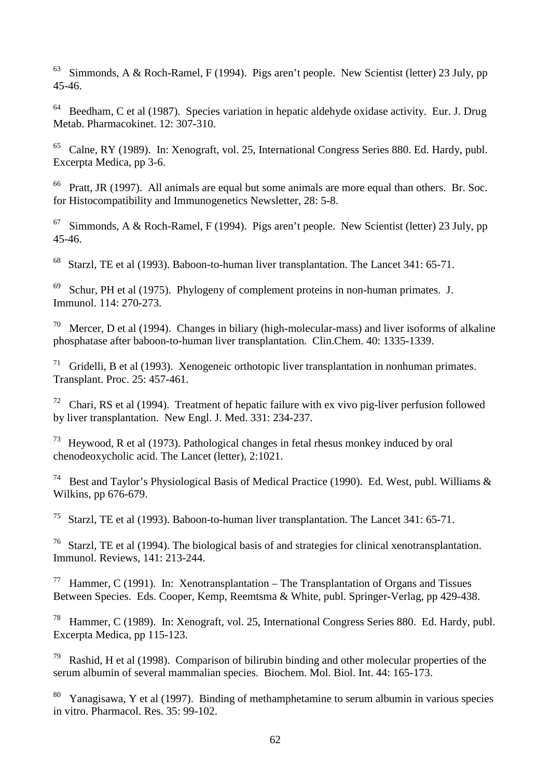$63$  Simmonds, A & Roch-Ramel, F (1994). Pigs aren't people. New Scientist (letter) 23 July, pp 45-46.

 $64$  Beedham, C et al (1987). Species variation in hepatic aldehyde oxidase activity. Eur. J. Drug Metab. Pharmacokinet. 12: 307-310.

65 Calne, RY (1989). In: Xenograft, vol. 25, International Congress Series 880. Ed. Hardy, publ. Excerpta Medica, pp 3-6.

 $66$  Pratt, JR (1997). All animals are equal but some animals are more equal than others. Br. Soc. for Histocompatibility and Immunogenetics Newsletter, 28: 5-8.

 $67$  Simmonds, A & Roch-Ramel, F (1994). Pigs aren't people. New Scientist (letter) 23 July, pp 45-46.

68 Starzl, TE et al (1993). Baboon-to-human liver transplantation. The Lancet 341: 65-71.

 $69$  Schur, PH et al (1975). Phylogeny of complement proteins in non-human primates. J. Immunol. 114: 270-273.

<sup>70</sup> Mercer, D et al (1994). Changes in biliary (high-molecular-mass) and liver isoforms of alkaline phosphatase after baboon-to-human liver transplantation. Clin.Chem. 40: 1335-1339.

<sup>71</sup> Gridelli, B et al (1993). Xenogeneic orthotopic liver transplantation in nonhuman primates. Transplant. Proc. 25: 457-461.

 $72$  Chari, RS et al (1994). Treatment of hepatic failure with ex vivo pig-liver perfusion followed by liver transplantation. New Engl. J. Med. 331: 234-237.

73 Heywood, R et al (1973). Pathological changes in fetal rhesus monkey induced by oral chenodeoxycholic acid. The Lancet (letter), 2:1021.

<sup>74</sup> Best and Taylor's Physiological Basis of Medical Practice (1990). Ed. West, publ. Williams & Wilkins, pp 676-679.

75 Starzl, TE et al (1993). Baboon-to-human liver transplantation. The Lancet 341: 65-71.

<sup>76</sup> Starzl, TE et al (1994). The biological basis of and strategies for clinical xenotransplantation. Immunol. Reviews, 141: 213-244.

<sup>77</sup> Hammer, C (1991). In: Xenotransplantation – The Transplantation of Organs and Tissues Between Species. Eds. Cooper, Kemp, Reemtsma & White, publ. Springer-Verlag, pp 429-438.

78 Hammer, C (1989). In: Xenograft, vol. 25, International Congress Series 880. Ed. Hardy, publ. Excerpta Medica, pp 115-123.

79 Rashid, H et al (1998). Comparison of bilirubin binding and other molecular properties of the serum albumin of several mammalian species. Biochem. Mol. Biol. Int. 44: 165-173.

 $80$  Yanagisawa, Y et al (1997). Binding of methamphetamine to serum albumin in various species in vitro. Pharmacol. Res. 35: 99-102.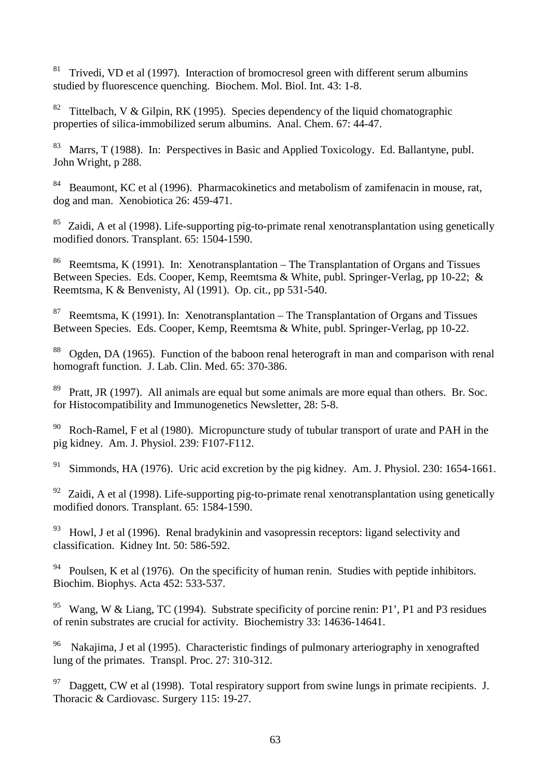$81$  Trivedi, VD et al (1997). Interaction of bromocresol green with different serum albumins studied by fluorescence quenching. Biochem. Mol. Biol. Int. 43: 1-8.

<sup>82</sup> Tittelbach, V & Gilpin, RK (1995). Species dependency of the liquid chomatographic properties of silica-immobilized serum albumins. Anal. Chem. 67: 44-47.

<sup>83</sup> Marrs, T (1988). In: Perspectives in Basic and Applied Toxicology. Ed. Ballantyne, publ. John Wright, p 288.

<sup>84</sup> Beaumont, KC et al (1996). Pharmacokinetics and metabolism of zamifenacin in mouse, rat, dog and man. Xenobiotica 26: 459-471.

 $85$  Zaidi, A et al (1998). Life-supporting pig-to-primate renal xenotransplantation using genetically modified donors. Transplant. 65: 1504-1590.

86 Reemtsma, K (1991). In: Xenotransplantation – The Transplantation of Organs and Tissues Between Species. Eds. Cooper, Kemp, Reemtsma & White, publ. Springer-Verlag, pp 10-22; & Reemtsma, K & Benvenisty, Al (1991). Op. cit., pp 531-540.

<sup>87</sup> Reemtsma, K (1991). In: Xenotransplantation – The Transplantation of Organs and Tissues Between Species. Eds. Cooper, Kemp, Reemtsma & White, publ. Springer-Verlag, pp 10-22.

88 Ogden, DA (1965). Function of the baboon renal heterograft in man and comparison with renal homograft function. J. Lab. Clin. Med. 65: 370-386.

<sup>89</sup> Pratt, JR (1997). All animals are equal but some animals are more equal than others. Br. Soc. for Histocompatibility and Immunogenetics Newsletter, 28: 5-8.

 $90$  Roch-Ramel, F et al (1980). Micropuncture study of tubular transport of urate and PAH in the pig kidney. Am. J. Physiol. 239: F107-F112.

<sup>91</sup> Simmonds, HA (1976). Uric acid excretion by the pig kidney. Am. J. Physiol. 230: 1654-1661.

 $92$  Zaidi, A et al (1998). Life-supporting pig-to-primate renal xenotransplantation using genetically modified donors. Transplant. 65: 1584-1590.

 $93$  Howl, J et al (1996). Renal bradykinin and vasopressin receptors: ligand selectivity and classification. Kidney Int. 50: 586-592.

<sup>94</sup> Poulsen, K et al (1976). On the specificity of human renin. Studies with peptide inhibitors. Biochim. Biophys. Acta 452: 533-537.

<sup>95</sup> Wang, W & Liang, TC (1994). Substrate specificity of porcine renin: P1', P1 and P3 residues of renin substrates are crucial for activity. Biochemistry 33: 14636-14641.

<sup>96</sup> Nakajima, J et al (1995). Characteristic findings of pulmonary arteriography in xenografted lung of the primates. Transpl. Proc. 27: 310-312.

 $97$  Daggett, CW et al (1998). Total respiratory support from swine lungs in primate recipients. J. Thoracic & Cardiovasc. Surgery 115: 19-27.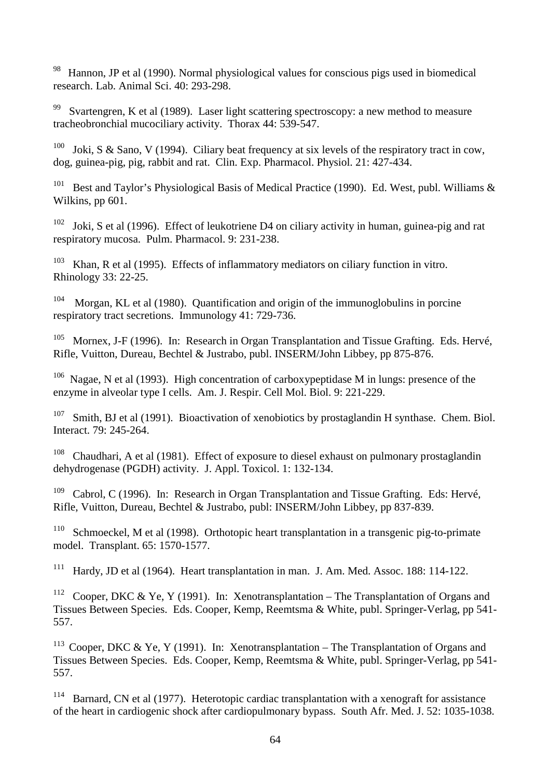<sup>98</sup> Hannon, JP et al (1990). Normal physiological values for conscious pigs used in biomedical research. Lab. Animal Sci. 40: 293-298.

<sup>99</sup> Svartengren, K et al (1989). Laser light scattering spectroscopy: a new method to measure tracheobronchial mucociliary activity. Thorax 44: 539-547.

<sup>100</sup> Joki, S & Sano, V (1994). Ciliary beat frequency at six levels of the respiratory tract in cow, dog, guinea-pig, pig, rabbit and rat. Clin. Exp. Pharmacol. Physiol. 21: 427-434.

<sup>101</sup> Best and Taylor's Physiological Basis of Medical Practice (1990). Ed. West, publ. Williams & Wilkins, pp 601.

 $102$  Joki, S et al (1996). Effect of leukotriene D4 on ciliary activity in human, guinea-pig and rat respiratory mucosa. Pulm. Pharmacol. 9: 231-238.

<sup>103</sup> Khan, R et al (1995). Effects of inflammatory mediators on ciliary function in vitro. Rhinology 33: 22-25.

104 Morgan, KL et al (1980). Quantification and origin of the immunoglobulins in porcine respiratory tract secretions. Immunology 41: 729-736.

<sup>105</sup> Mornex, J-F (1996). In: Research in Organ Transplantation and Tissue Grafting. Eds. Hervé, Rifle, Vuitton, Dureau, Bechtel & Justrabo, publ. INSERM/John Libbey, pp 875-876.

<sup>106</sup> Nagae, N et al (1993). High concentration of carboxypeptidase M in lungs: presence of the enzyme in alveolar type I cells. Am. J. Respir. Cell Mol. Biol. 9: 221-229.

<sup>107</sup> Smith, BJ et al (1991). Bioactivation of xenobiotics by prostaglandin H synthase. Chem. Biol. Interact. 79: 245-264.

<sup>108</sup> Chaudhari, A et al (1981). Effect of exposure to diesel exhaust on pulmonary prostaglandin dehydrogenase (PGDH) activity. J. Appl. Toxicol. 1: 132-134.

<sup>109</sup> Cabrol, C (1996). In: Research in Organ Transplantation and Tissue Grafting. Eds: Hervé, Rifle, Vuitton, Dureau, Bechtel & Justrabo, publ: INSERM/John Libbey, pp 837-839.

<sup>110</sup> Schmoeckel, M et al (1998). Orthotopic heart transplantation in a transgenic pig-to-primate model. Transplant. 65: 1570-1577.

<sup>111</sup> Hardy, JD et al (1964). Heart transplantation in man. J. Am. Med. Assoc. 188: 114-122.

<sup>112</sup> Cooper, DKC & Ye, Y (1991). In: Xenotransplantation – The Transplantation of Organs and Tissues Between Species. Eds. Cooper, Kemp, Reemtsma & White, publ. Springer-Verlag, pp 541- 557.

<sup>113</sup> Cooper, DKC & Ye, Y (1991). In: Xenotransplantation – The Transplantation of Organs and Tissues Between Species. Eds. Cooper, Kemp, Reemtsma & White, publ. Springer-Verlag, pp 541- 557.

<sup>114</sup> Barnard, CN et al (1977). Heterotopic cardiac transplantation with a xenograft for assistance of the heart in cardiogenic shock after cardiopulmonary bypass. South Afr. Med. J. 52: 1035-1038.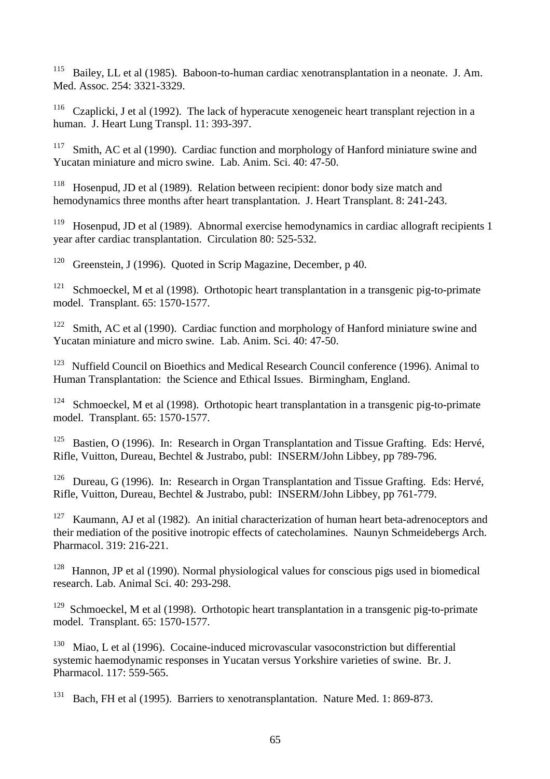<sup>115</sup> Bailey, LL et al (1985). Baboon-to-human cardiac xenotransplantation in a neonate. J. Am. Med. Assoc. 254: 3321-3329.

<sup>116</sup> Czaplicki, J et al (1992). The lack of hyperacute xenogeneic heart transplant rejection in a human. J. Heart Lung Transpl. 11: 393-397.

<sup>117</sup> Smith, AC et al (1990). Cardiac function and morphology of Hanford miniature swine and Yucatan miniature and micro swine. Lab. Anim. Sci. 40: 47-50.

<sup>118</sup> Hosenpud, JD et al (1989). Relation between recipient: donor body size match and hemodynamics three months after heart transplantation. J. Heart Transplant. 8: 241-243.

<sup>119</sup> Hosenpud, JD et al (1989). Abnormal exercise hemodynamics in cardiac allograft recipients 1 year after cardiac transplantation. Circulation 80: 525-532.

<sup>120</sup> Greenstein, J (1996). Quoted in Scrip Magazine, December, p 40.

<sup>121</sup> Schmoeckel, M et al (1998). Orthotopic heart transplantation in a transgenic pig-to-primate model. Transplant. 65: 1570-1577.

<sup>122</sup> Smith, AC et al (1990). Cardiac function and morphology of Hanford miniature swine and Yucatan miniature and micro swine. Lab. Anim. Sci. 40: 47-50.

<sup>123</sup> Nuffield Council on Bioethics and Medical Research Council conference (1996). Animal to Human Transplantation: the Science and Ethical Issues. Birmingham, England.

<sup>124</sup> Schmoeckel, M et al (1998). Orthotopic heart transplantation in a transgenic pig-to-primate model. Transplant. 65: 1570-1577.

<sup>125</sup> Bastien, O (1996). In: Research in Organ Transplantation and Tissue Grafting. Eds: Hervé, Rifle, Vuitton, Dureau, Bechtel & Justrabo, publ: INSERM/John Libbey, pp 789-796.

<sup>126</sup> Dureau, G (1996). In: Research in Organ Transplantation and Tissue Grafting. Eds: Hervé, Rifle, Vuitton, Dureau, Bechtel & Justrabo, publ: INSERM/John Libbey, pp 761-779.

<sup>127</sup> Kaumann, AJ et al (1982). An initial characterization of human heart beta-adrenoceptors and their mediation of the positive inotropic effects of catecholamines. Naunyn Schmeidebergs Arch. Pharmacol. 319: 216-221.

<sup>128</sup> Hannon, JP et al (1990). Normal physiological values for conscious pigs used in biomedical research. Lab. Animal Sci. 40: 293-298.

<sup>129</sup> Schmoeckel, M et al (1998). Orthotopic heart transplantation in a transgenic pig-to-primate model. Transplant. 65: 1570-1577.

 $130$  Miao, L et al (1996). Cocaine-induced microvascular vasoconstriction but differential systemic haemodynamic responses in Yucatan versus Yorkshire varieties of swine. Br. J. Pharmacol. 117: 559-565.

<sup>131</sup> Bach, FH et al (1995). Barriers to xenotransplantation. Nature Med. 1: 869-873.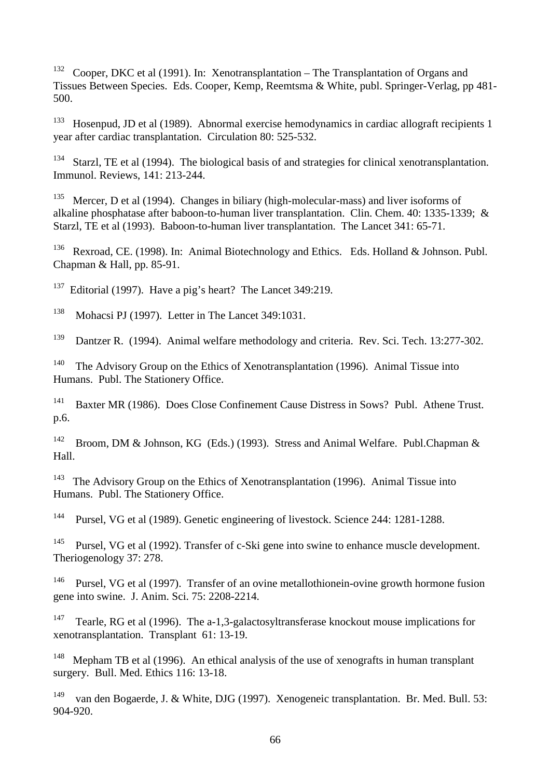132 Cooper, DKC et al (1991). In: Xenotransplantation – The Transplantation of Organs and Tissues Between Species. Eds. Cooper, Kemp, Reemtsma & White, publ. Springer-Verlag, pp 481- 500.

 $133$  Hosenpud, JD et al (1989). Abnormal exercise hemodynamics in cardiac allograft recipients 1 year after cardiac transplantation. Circulation 80: 525-532.

<sup>134</sup> Starzl, TE et al (1994). The biological basis of and strategies for clinical xenotransplantation. Immunol. Reviews, 141: 213-244.

Mercer, D et al (1994). Changes in biliary (high-molecular-mass) and liver isoforms of alkaline phosphatase after baboon-to-human liver transplantation. Clin. Chem. 40: 1335-1339; & Starzl, TE et al (1993). Baboon-to-human liver transplantation. The Lancet 341: 65-71.

<sup>136</sup> Rexroad, CE. (1998). In: Animal Biotechnology and Ethics. Eds. Holland & Johnson. Publ. Chapman & Hall, pp. 85-91.

<sup>137</sup> Editorial (1997). Have a pig's heart? The Lancet  $349:219$ .

138 Mohacsi PJ (1997). Letter in The Lancet 349:1031.

<sup>139</sup> Dantzer R. (1994). Animal welfare methodology and criteria. Rev. Sci. Tech. 13:277-302.

<sup>140</sup> The Advisory Group on the Ethics of Xenotransplantation (1996). Animal Tissue into Humans. Publ. The Stationery Office.

<sup>141</sup> Baxter MR (1986). Does Close Confinement Cause Distress in Sows? Publ. Athene Trust. p.6.

<sup>142</sup> Broom, DM & Johnson, KG (Eds.) (1993). Stress and Animal Welfare. Publ.Chapman & Hall.

<sup>143</sup> The Advisory Group on the Ethics of Xenotransplantation (1996). Animal Tissue into Humans. Publ. The Stationery Office.

144 Pursel, VG et al (1989). Genetic engineering of livestock. Science 244: 1281-1288.

<sup>145</sup> Pursel, VG et al (1992). Transfer of c-Ski gene into swine to enhance muscle development. Theriogenology 37: 278.

<sup>146</sup> Pursel, VG et al (1997). Transfer of an ovine metallothionein-ovine growth hormone fusion gene into swine. J. Anim. Sci. 75: 2208-2214.

<sup>147</sup> Tearle, RG et al (1996). The a-1,3-galactosyltransferase knockout mouse implications for xenotransplantation. Transplant 61: 13-19.

<sup>148</sup> Mepham TB et al (1996). An ethical analysis of the use of xenografts in human transplant surgery. Bull. Med. Ethics 116: 13-18.

<sup>149</sup> van den Bogaerde, J. & White, DJG (1997). Xenogeneic transplantation. Br. Med. Bull. 53: 904-920.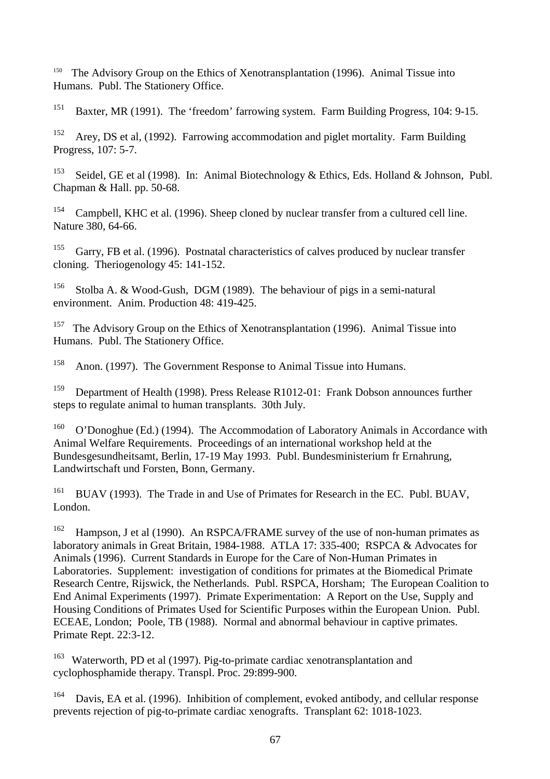<sup>150</sup> The Advisory Group on the Ethics of Xenotransplantation (1996). Animal Tissue into Humans. Publ. The Stationery Office.

<sup>151</sup> Baxter, MR (1991). The 'freedom' farrowing system. Farm Building Progress, 104: 9-15.

<sup>152</sup> Arey, DS et al, (1992). Farrowing accommodation and piglet mortality. Farm Building Progress, 107: 5-7.

<sup>153</sup> Seidel, GE et al (1998). In: Animal Biotechnology & Ethics, Eds. Holland & Johnson, Publ. Chapman & Hall. pp. 50-68.

<sup>154</sup> Campbell, KHC et al. (1996). Sheep cloned by nuclear transfer from a cultured cell line. Nature 380, 64-66.

 $155$  Garry, FB et al. (1996). Postnatal characteristics of calves produced by nuclear transfer cloning. Theriogenology 45: 141-152.

<sup>156</sup> Stolba A. & Wood-Gush, DGM (1989). The behaviour of pigs in a semi-natural environment. Anim. Production 48: 419-425.

<sup>157</sup> The Advisory Group on the Ethics of Xenotransplantation (1996). Animal Tissue into Humans. Publ. The Stationery Office.

158 Anon. (1997). The Government Response to Animal Tissue into Humans.

159 Department of Health (1998). Press Release R1012-01: Frank Dobson announces further steps to regulate animal to human transplants. 30th July.

<sup>160</sup> O'Donoghue (Ed.) (1994). The Accommodation of Laboratory Animals in Accordance with Animal Welfare Requirements. Proceedings of an international workshop held at the Bundesgesundheitsamt, Berlin, 17-19 May 1993. Publ. Bundesministerium fr Ernahrung, Landwirtschaft und Forsten, Bonn, Germany.

<sup>161</sup> BUAV (1993). The Trade in and Use of Primates for Research in the EC. Publ. BUAV, London.

<sup>162</sup> Hampson, J et al (1990). An RSPCA/FRAME survey of the use of non-human primates as laboratory animals in Great Britain, 1984-1988. ATLA 17: 335-400; RSPCA & Advocates for Animals (1996). Current Standards in Europe for the Care of Non-Human Primates in Laboratories. Supplement: investigation of conditions for primates at the Biomedical Primate Research Centre, Rijswick, the Netherlands. Publ. RSPCA, Horsham; The European Coalition to End Animal Experiments (1997). Primate Experimentation: A Report on the Use, Supply and Housing Conditions of Primates Used for Scientific Purposes within the European Union. Publ. ECEAE, London; Poole, TB (1988). Normal and abnormal behaviour in captive primates. Primate Rept. 22:3-12.

163 Waterworth, PD et al (1997). Pig-to-primate cardiac xenotransplantation and cyclophosphamide therapy. Transpl. Proc. 29:899-900.

<sup>164</sup> Davis, EA et al. (1996). Inhibition of complement, evoked antibody, and cellular response prevents rejection of pig-to-primate cardiac xenografts. Transplant 62: 1018-1023.